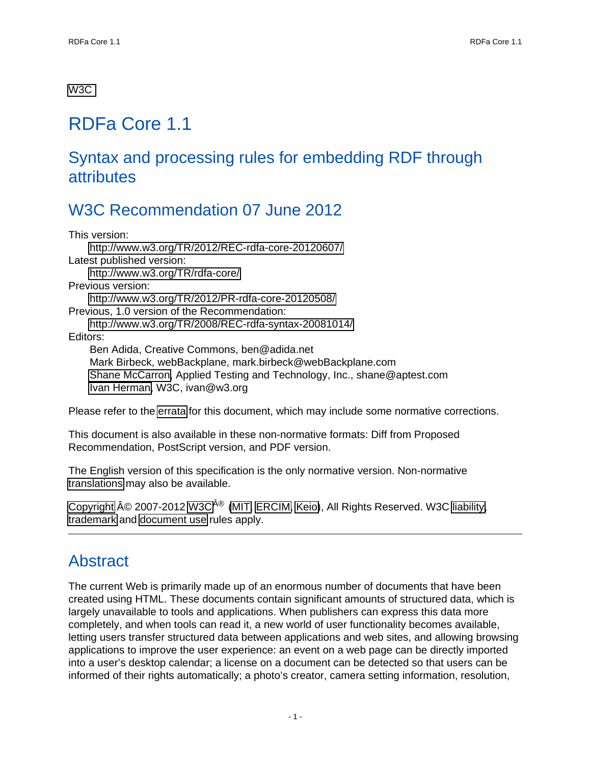[W3C](http://www.w3.org/) 

# RDFa Core 1.1

# Syntax and processing rules for embedding RDF through attributes

# W3C Recommendation 07 June 2012

This version: <http://www.w3.org/TR/2012/REC-rdfa-core-20120607/> Latest published version: <http://www.w3.org/TR/rdfa-core/> Previous version: <http://www.w3.org/TR/2012/PR-rdfa-core-20120508/> Previous, 1.0 version of the Recommendation: <http://www.w3.org/TR/2008/REC-rdfa-syntax-20081014/> Editors: Ben Adida, Creative Commons, ben@adida.net Mark Birbeck, webBackplane, mark.birbeck@webBackplane.com [Shane McCarron,](http://blog.halindrome.com/) Applied Testing and Technology, Inc., shane@aptest.com [Ivan Herman,](http://www.w3.org/People/Ivan/) W3C, ivan@w3.org

Please refer to the [errata](http://www.w3.org/2010/02/rdfa/errata.html) for this document, which may include some normative corrections.

This document is also available in these non-normative formats: Diff from Proposed Recommendation, PostScript version, and PDF version.

The English version of this specification is the only normative version. Non-normative [translations](http://www.w3.org/Consortium/Translation/) may also be available.

[Copyright](http://www.w3.org/Consortium/Legal/ipr-notice#Copyright) © 2007-2012 [W3C](http://www.w3.org/)<sup>®</sup> [\(MIT,](http://www.csail.mit.edu/) [ERCIM,](http://www.ercim.eu/) [Keio\)](http://www.keio.ac.jp/), All Rights Reserved. W3C [liability,](http://www.w3.org/Consortium/Legal/ipr-notice#Legal_Disclaimer) [trademark](http://www.w3.org/Consortium/Legal/ipr-notice#W3C_Trademarks) and [document use](http://www.w3.org/Consortium/Legal/copyright-documents) rules apply.

# Abstract

The current Web is primarily made up of an enormous number of documents that have been created using HTML. These documents contain significant amounts of structured data, which is largely unavailable to tools and applications. When publishers can express this data more completely, and when tools can read it, a new world of user functionality becomes available, letting users transfer structured data between applications and web sites, and allowing browsing applications to improve the user experience: an event on a web page can be directly imported into a user's desktop calendar; a license on a document can be detected so that users can be informed of their rights automatically; a photo's creator, camera setting information, resolution,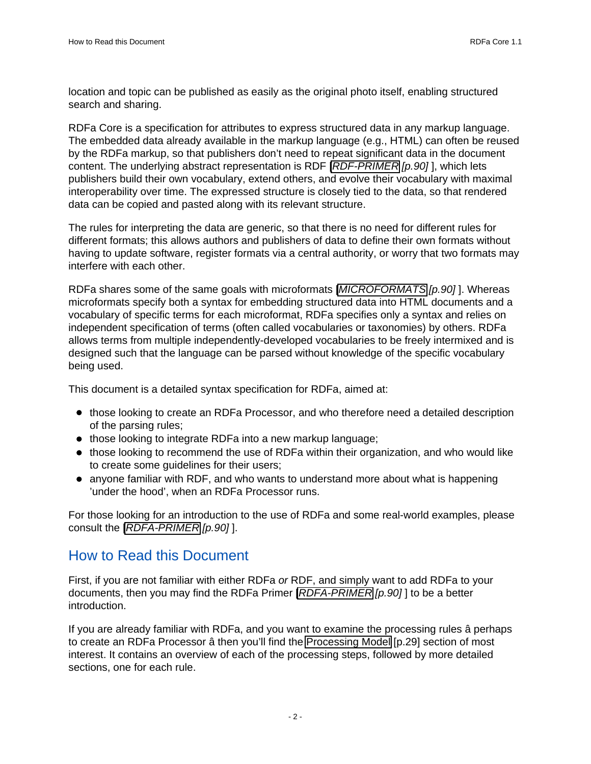location and topic can be published as easily as the original photo itself, enabling structured search and sharing.

RDFa Core is a specification for attributes to express structured data in any markup language. The embedded data already available in the markup language (e.g., HTML) can often be reused by the RDFa markup, so that publishers don't need to repeat significant data in the document content. The underlying abstract representation is RDF [[RDF-PRIMER](#page-89-0) [p.90]], which lets publishers build their own vocabulary, extend others, and evolve their vocabulary with maximal interoperability over time. The expressed structure is closely tied to the data, so that rendered data can be copied and pasted along with its relevant structure.

The rules for interpreting the data are generic, so that there is no need for different rules for different formats; this allows authors and publishers of data to define their own formats without having to update software, register formats via a central authority, or worry that two formats may interfere with each other.

RDFa shares some of the same goals with microformats [[MICROFORMATS](#page-89-1) [p.90]]. Whereas microformats specify both a syntax for embedding structured data into HTML documents and a vocabulary of specific terms for each microformat, RDFa specifies only a syntax and relies on independent specification of terms (often called vocabularies or taxonomies) by others. RDFa allows terms from multiple independently-developed vocabularies to be freely intermixed and is designed such that the language can be parsed without knowledge of the specific vocabulary being used.

This document is a detailed syntax specification for RDFa, aimed at:

- those looking to create an RDFa Processor, and who therefore need a detailed description of the parsing rules;
- those looking to integrate RDFa into a new markup language;
- those looking to recommend the use of RDFa within their organization, and who would like to create some guidelines for their users;
- anyone familiar with RDF, and who wants to understand more about what is happening 'under the hood', when an RDFa Processor runs.

For those looking for an introduction to the use of RDFa and some real-world examples, please consult the [[RDFA-PRIMER](#page-89-2) [p.90]].

#### How to Read this Document

First, if you are not familiar with either RDFa or RDF, and simply want to add RDFa to your documents, then you may find the RDFa Primer  $[RDFA-PRIMER [p.90] ]$  $[RDFA-PRIMER [p.90] ]$  $[RDFA-PRIMER [p.90] ]$  to be a better introduction.

If you are already familiar with RDFa, and you want to examine the processing rules â perhaps to create an RDFa Processor â then you'll find the [Processing Model](#page-28-0) [p.29] section of most interest. It contains an overview of each of the processing steps, followed by more detailed sections, one for each rule.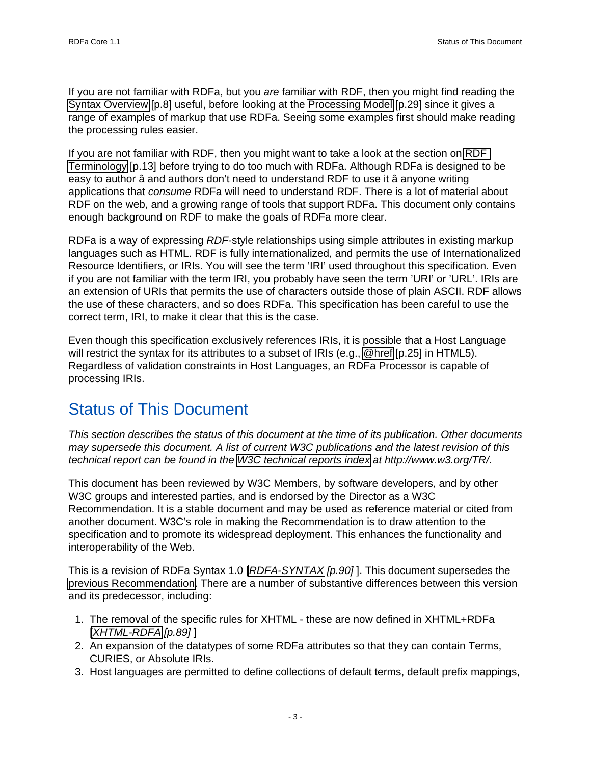If you are not familiar with RDFa, but you are familiar with RDF, then you might find reading the [Syntax Overview](#page-7-0) [p.8] useful, before looking at the [Processing Model](#page-28-0) [p.29] since it gives a range of examples of markup that use RDFa. Seeing some examples first should make reading the processing rules easier.

If you are not familiar with RDF, then you might want to take a look at the section on [RDF](#page-12-0)  [Terminology](#page-12-0) [p.13] before trying to do too much with RDFa. Although RDFa is designed to be easy to author â and authors don't need to understand RDF to use it â anyone writing applications that consume RDFa will need to understand RDF. There is a lot of material about RDF on the web, and a growing range of tools that support RDFa. This document only contains enough background on RDF to make the goals of RDFa more clear.

RDFa is a way of expressing RDF-style relationships using simple attributes in existing markup languages such as HTML. RDF is fully internationalized, and permits the use of Internationalized Resource Identifiers, or IRIs. You will see the term 'IRI' used throughout this specification. Even if you are not familiar with the term IRI, you probably have seen the term 'URI' or 'URL'. IRIs are an extension of URIs that permits the use of characters outside those of plain ASCII. RDF allows the use of these characters, and so does RDFa. This specification has been careful to use the correct term, IRI, to make it clear that this is the case.

Even though this specification exclusively references IRIs, it is possible that a Host Language will restrict the syntax for its attributes to a subset of IRIs (e.g., [@href](#page-24-0) [p.25] in HTML5). Regardless of validation constraints in Host Languages, an RDFa Processor is capable of processing IRIs.

# Status of This Document

This section describes the status of this document at the time of its publication. Other documents may supersede this document. A list of current W3C publications and the latest revision of this technical report can be found in the [W3C technical reports index](http://www.w3.org/TR/) at http://www.w3.org/TR/.

This document has been reviewed by W3C Members, by software developers, and by other W3C groups and interested parties, and is endorsed by the Director as a W3C Recommendation. It is a stable document and may be used as reference material or cited from another document. W3C's role in making the Recommendation is to draw attention to the specification and to promote its widespread deployment. This enhances the functionality and interoperability of the Web.

This is a revision of RDFa Syntax 1.0 [[RDFA-SYNTAX](#page-89-3) [p.90]]. This document supersedes the [previous Recommendation.](http://www.w3.org/TR/2008/REC-rdfa-syntax-20081014) There are a number of substantive differences between this version and its predecessor, including:

- 1. The removal of the specific rules for XHTML these are now defined in XHTML+RDFa  $[XHTML-RDFA [p.89]$  $[XHTML-RDFA [p.89]$  $[XHTML-RDFA [p.89]$
- 2. An expansion of the datatypes of some RDFa attributes so that they can contain Terms, CURIES, or Absolute IRIs.
- 3. Host languages are permitted to define collections of default terms, default prefix mappings,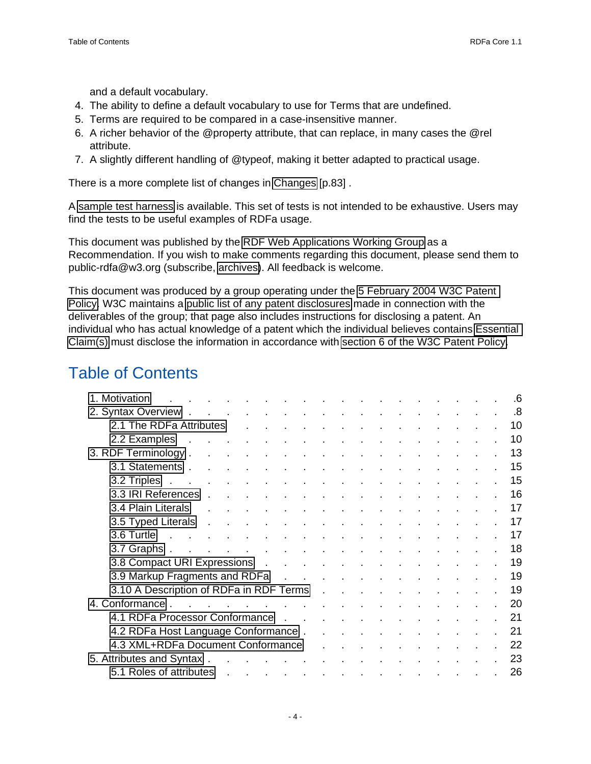and a default vocabulary.

- 4. The ability to define a default vocabulary to use for Terms that are undefined.
- 5. Terms are required to be compared in a case-insensitive manner.
- 6. A richer behavior of the @property attribute, that can replace, in many cases the @rel attribute.
- 7. A slightly different handling of @typeof, making it better adapted to practical usage.

There is a more complete list of changes in [Changes](#page-82-0) [p.83] .

A [sample test harness](http://rdfa.info/test-suite/) is available. This set of tests is not intended to be exhaustive. Users may find the tests to be useful examples of RDFa usage.

This document was published by the [RDF Web Applications Working Group](http://www.w3.org/2010/02/rdfa) as a Recommendation. If you wish to make comments regarding this document, please send them to public-rdfa@w3.org (subscribe, [archives\)](http://lists.w3.org/Archives/Public/public-rdfa/). All feedback is welcome.

This document was produced by a group operating under the [5 February 2004 W3C Patent](http://www.w3.org/Consortium/Patent-Policy-20040205/)  [Policy.](http://www.w3.org/Consortium/Patent-Policy-20040205/) W3C maintains a [public list of any patent disclosures](http://www.w3.org/2004/01/pp-impl/44350/status) made in connection with the deliverables of the group; that page also includes instructions for disclosing a patent. An individual who has actual knowledge of a patent which the individual believes contains [Essential](http://www.w3.org/Consortium/Patent-Policy-20040205/#def-essential)  [Claim\(s\)](http://www.w3.org/Consortium/Patent-Policy-20040205/#def-essential) must disclose the information in accordance with [section 6 of the W3C Patent Policy.](http://www.w3.org/Consortium/Patent-Policy-20040205/#sec-Disclosure)

### Table of Contents

| 1. Motivation                                                                                                                                                                                                                  |               |                                          |                          |                                          |                         |                          |           |                                 |            |                           |                                                                                                                 |  | .6 |
|--------------------------------------------------------------------------------------------------------------------------------------------------------------------------------------------------------------------------------|---------------|------------------------------------------|--------------------------|------------------------------------------|-------------------------|--------------------------|-----------|---------------------------------|------------|---------------------------|-----------------------------------------------------------------------------------------------------------------|--|----|
| 2. Syntax Overview                                                                                                                                                                                                             | $\sim 10$     |                                          |                          | and the contract of the con-             |                         |                          |           | <b>Contract Contract Street</b> |            |                           |                                                                                                                 |  | .8 |
| 2.1 The RDFa Attributes                                                                                                                                                                                                        |               | $\mathbf{r}$                             |                          | the contract of the contract of          |                         |                          |           |                                 | $\sim 100$ |                           |                                                                                                                 |  | 10 |
| 2.2 Examples                                                                                                                                                                                                                   |               | and the state of the state of            |                          | $\sim$                                   | $\sim 100$ km s $^{-1}$ | $\sim 100$               |           | $\sim 100$                      |            |                           |                                                                                                                 |  | 10 |
| 3. RDF Terminology.                                                                                                                                                                                                            | $\mathcal{L}$ |                                          | <b>Contract Contract</b> | $\sim 100$                               | $\sim 10$               | $\sim 10$                | $\sim 10$ |                                 |            |                           |                                                                                                                 |  | 13 |
| 3.1 Statements                                                                                                                                                                                                                 |               |                                          |                          |                                          |                         |                          |           |                                 |            |                           | the contract of the contract of the contract of the contract of the contract of the contract of the contract of |  | 15 |
| 3.2 Triples                                                                                                                                                                                                                    |               | the contract of the contract of the con- |                          |                                          |                         |                          |           |                                 |            |                           |                                                                                                                 |  | 15 |
| 3.3 IRI References .                                                                                                                                                                                                           | $\sim$        |                                          |                          | the contract of the contract of the con- |                         |                          |           |                                 |            |                           | and a strong state of the                                                                                       |  | 16 |
| 3.4 Plain Literals                                                                                                                                                                                                             |               |                                          |                          | <b>Contract Contract</b>                 |                         | $\sim 10$                |           | $\sim 10$                       |            |                           |                                                                                                                 |  | 17 |
| 3.5 Typed Literals .                                                                                                                                                                                                           | $\sim$ $\sim$ |                                          | <b>Contract Contract</b> | <b>Contract Contract</b>                 |                         | <b>Contract Contract</b> |           | $\sim 100$ km s $^{-1}$         | $\sim 100$ |                           |                                                                                                                 |  | 17 |
| 3.6 Turtle .<br>the contract of the contract of the contract of the contract of the contract of                                                                                                                                |               |                                          |                          |                                          |                         |                          |           |                                 |            |                           |                                                                                                                 |  | 17 |
| 3.7 Graphs                                                                                                                                                                                                                     |               |                                          |                          |                                          |                         |                          |           |                                 |            |                           |                                                                                                                 |  | 18 |
| 3.8 Compact URI Expressions                                                                                                                                                                                                    |               |                                          |                          |                                          |                         |                          |           |                                 |            |                           | and a strong state of the                                                                                       |  | 19 |
| 3.9 Markup Fragments and RDFa                                                                                                                                                                                                  |               |                                          |                          |                                          |                         |                          |           |                                 |            |                           |                                                                                                                 |  | 19 |
| 3.10 A Description of RDFa in RDF Terms.                                                                                                                                                                                       |               |                                          |                          |                                          |                         |                          |           | $\mathbf{r}$                    | $\sim 100$ |                           |                                                                                                                 |  | 19 |
| 4. Conformance.<br>the contract of the contract of the contract of                                                                                                                                                             |               |                                          |                          |                                          |                         |                          |           |                                 |            | $\mathbf{r} = \mathbf{r}$ |                                                                                                                 |  | 20 |
| 4.1 RDFa Processor Conformance                                                                                                                                                                                                 |               |                                          |                          |                                          |                         |                          |           |                                 |            |                           | and the contract of the contract of                                                                             |  | 21 |
| 4.2 RDFa Host Language Conformance                                                                                                                                                                                             |               |                                          |                          |                                          |                         |                          |           |                                 |            |                           |                                                                                                                 |  | 21 |
| 4.3 XML+RDFa Document Conformance                                                                                                                                                                                              |               |                                          |                          |                                          |                         | <b>Contract Contract</b> |           | <b>Contract Contract</b>        |            |                           |                                                                                                                 |  | 22 |
| 5. Attributes and Syntax                                                                                                                                                                                                       |               |                                          |                          |                                          |                         |                          |           |                                 |            |                           |                                                                                                                 |  | 23 |
| 5.1 Roles of attributes in the contract of the contract of the contract of the contract of the contract of the contract of the contract of the contract of the contract of the contract of the contract of the contract of the |               |                                          |                          |                                          |                         |                          |           |                                 |            |                           |                                                                                                                 |  | 26 |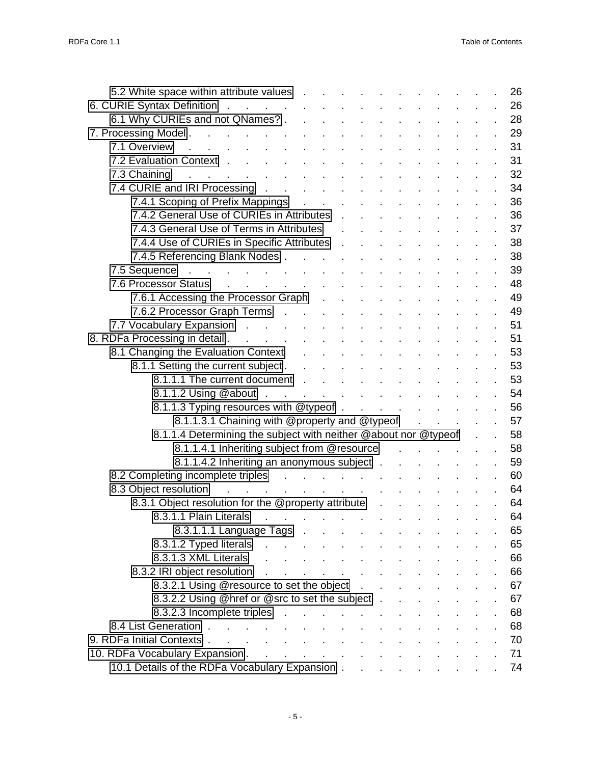| 5.2 White space within attribute values .                                                                                                                                                                                                              |  | 26  |
|--------------------------------------------------------------------------------------------------------------------------------------------------------------------------------------------------------------------------------------------------------|--|-----|
| 6. CURIE Syntax Definition<br>the company of the company of                                                                                                                                                                                            |  | 26  |
| 6.1 Why CURIEs and not QNames?                                                                                                                                                                                                                         |  | 28  |
| 7. Processing Model.                                                                                                                                                                                                                                   |  | 29  |
| and the contract of the contract of the contract of the<br>7.1 Overview                                                                                                                                                                                |  | 31  |
| and the second contract of the second contract of<br>7.2 Evaluation Context.                                                                                                                                                                           |  | 31  |
| 7.3 Chaining<br>a construction of the construction of the construction of the construction of the construction of the construction of the construction of the construction of the construction of the construction of the construction of the          |  | 32  |
| 7.4 CURIE and IRI Processing                                                                                                                                                                                                                           |  | 34  |
| and a straightful contract and<br>7.4.1 Scoping of Prefix Mappings                                                                                                                                                                                     |  | 36  |
| 7.4.2 General Use of CURIEs in Attributes<br>and the state of the state of the                                                                                                                                                                         |  | 36  |
| 7.4.3 General Use of Terms in Attributes<br>and a strong control of the state of                                                                                                                                                                       |  | 37  |
| 7.4.4 Use of CURIEs in Specific Attributes                                                                                                                                                                                                             |  | 38  |
| 7.4.5 Referencing Blank Nodes                                                                                                                                                                                                                          |  | 38  |
| 7.5 Sequence                                                                                                                                                                                                                                           |  | 39  |
| a construction of the construction of the construction of<br>7.6 Processor Status                                                                                                                                                                      |  | 48  |
| 7.6.1 Accessing the Processor Graph                                                                                                                                                                                                                    |  | 49  |
| 7.6.2 Processor Graph Terms                                                                                                                                                                                                                            |  | 49  |
|                                                                                                                                                                                                                                                        |  | 51  |
|                                                                                                                                                                                                                                                        |  | 51  |
| and a straightful and a straight<br>8.1 Changing the Evaluation Context                                                                                                                                                                                |  | 53  |
| 8.1.1 Setting the current subject<br>and the contract of the contract of the                                                                                                                                                                           |  | 53  |
| and the contract of the contract of the<br>8.1.1.1 The current document .                                                                                                                                                                              |  | 53  |
| 8.1.1.2 Using @about                                                                                                                                                                                                                                   |  | 54  |
| 8.1.1.3 Typing resources with @typeof                                                                                                                                                                                                                  |  | 56  |
| 8.1.1.3.1 Chaining with @property and @typeof                                                                                                                                                                                                          |  | 57  |
| 8.1.1.4 Determining the subject with neither @about nor @typeof                                                                                                                                                                                        |  | 58  |
| 8.1.1.4.1 Inheriting subject from @resource                                                                                                                                                                                                            |  | 58  |
| 8.1.1.4.2 Inheriting an anonymous subject                                                                                                                                                                                                              |  | 59  |
| 8.2 Completing incomplete triples enters and the set of the set of the set of the set of the set of the set of the set of the set of the set of the set of the set of the set of the set of the set of the set of the set of t                         |  | 60  |
| 8.3 Object resolution resolution and resolution and resolution and resolution and resolution and resolution and resolution and resolution and resolution and resolution and resolution and resolution and resolution and resol                         |  | 64  |
| 8.3.1 Object resolution for the @property attribute                                                                                                                                                                                                    |  | 64  |
| 8.3.1.1 Plain Literals (a) result of the set of the set of the set of the set of the set of the set of the set o                                                                                                                                       |  | 64  |
| 8.3.1.1.1 Language Tags                                                                                                                                                                                                                                |  | 65  |
| 8.3.1.2 Typed literals                                                                                                                                                                                                                                 |  | 65  |
| 8.3.1.3 XML Literals<br>and the contract of the contract of the contract of the contract of the contract of the contract of the contract of the contract of the contract of the contract of the contract of the contract of the contract of the contra |  | 66  |
| 8.3.2 IRI object resolution                                                                                                                                                                                                                            |  | 66  |
| 8.3.2.1 Using @resource to set the object                                                                                                                                                                                                              |  | 67  |
| 8.3.2.2 Using @href or @src to set the subject                                                                                                                                                                                                         |  | 67  |
| 8.3.2.3 Incomplete triples                                                                                                                                                                                                                             |  | 68  |
|                                                                                                                                                                                                                                                        |  | 68  |
|                                                                                                                                                                                                                                                        |  | 7.0 |
|                                                                                                                                                                                                                                                        |  | 7.1 |
| 10.1 Details of the RDFa Vocabulary Expansion                                                                                                                                                                                                          |  | 7.4 |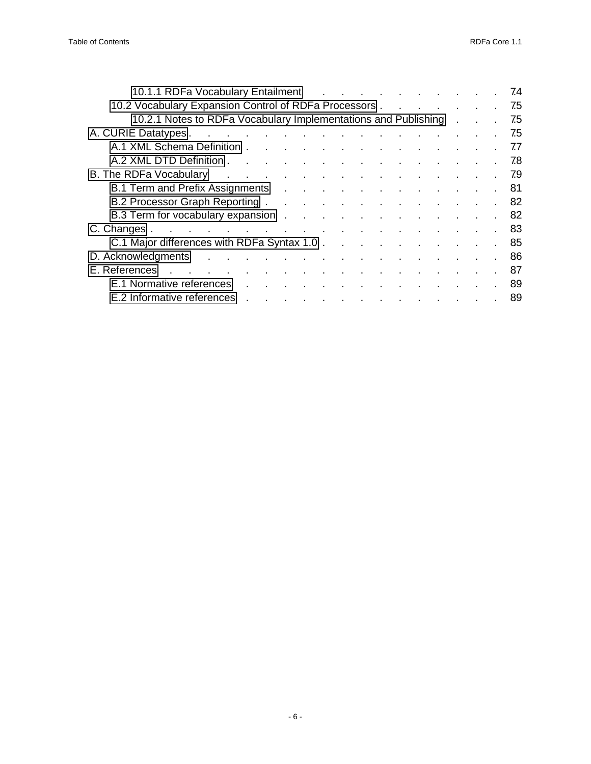<span id="page-5-0"></span>

|                                                                                                                                                                                                                                       |  | 74                                                                                                                                                                                                                                                                                                                                                                                            |  |  |  |  |
|---------------------------------------------------------------------------------------------------------------------------------------------------------------------------------------------------------------------------------------|--|-----------------------------------------------------------------------------------------------------------------------------------------------------------------------------------------------------------------------------------------------------------------------------------------------------------------------------------------------------------------------------------------------|--|--|--|--|
|                                                                                                                                                                                                                                       |  | 75                                                                                                                                                                                                                                                                                                                                                                                            |  |  |  |  |
|                                                                                                                                                                                                                                       |  | 75                                                                                                                                                                                                                                                                                                                                                                                            |  |  |  |  |
|                                                                                                                                                                                                                                       |  | 75                                                                                                                                                                                                                                                                                                                                                                                            |  |  |  |  |
|                                                                                                                                                                                                                                       |  | 7.7                                                                                                                                                                                                                                                                                                                                                                                           |  |  |  |  |
|                                                                                                                                                                                                                                       |  | -78                                                                                                                                                                                                                                                                                                                                                                                           |  |  |  |  |
|                                                                                                                                                                                                                                       |  | - 79                                                                                                                                                                                                                                                                                                                                                                                          |  |  |  |  |
|                                                                                                                                                                                                                                       |  | -81                                                                                                                                                                                                                                                                                                                                                                                           |  |  |  |  |
|                                                                                                                                                                                                                                       |  | . 82                                                                                                                                                                                                                                                                                                                                                                                          |  |  |  |  |
| B.3 Term for vocabulary expansion example and the set of the set of the set of the set of the set of the set of the set of the set of the set of the set of the set of the set of the set of the set of the set of the set of<br>- 82 |  |                                                                                                                                                                                                                                                                                                                                                                                               |  |  |  |  |
|                                                                                                                                                                                                                                       |  | 83                                                                                                                                                                                                                                                                                                                                                                                            |  |  |  |  |
| - 85                                                                                                                                                                                                                                  |  |                                                                                                                                                                                                                                                                                                                                                                                               |  |  |  |  |
|                                                                                                                                                                                                                                       |  | 86                                                                                                                                                                                                                                                                                                                                                                                            |  |  |  |  |
|                                                                                                                                                                                                                                       |  | 87                                                                                                                                                                                                                                                                                                                                                                                            |  |  |  |  |
|                                                                                                                                                                                                                                       |  | -89                                                                                                                                                                                                                                                                                                                                                                                           |  |  |  |  |
| . 89                                                                                                                                                                                                                                  |  |                                                                                                                                                                                                                                                                                                                                                                                               |  |  |  |  |
|                                                                                                                                                                                                                                       |  | 10.1.1 RDFa Vocabulary Entailment<br>10.2 Vocabulary Expansion Control of RDFa Processors<br>10.2.1 Notes to RDFa Vocabulary Implementations and Publishing<br>B.1 Term and Prefix Assignments and a series of the series of the series of the series of the series of the series of the series of the series of the series of the series of the series of the series of the series of the se |  |  |  |  |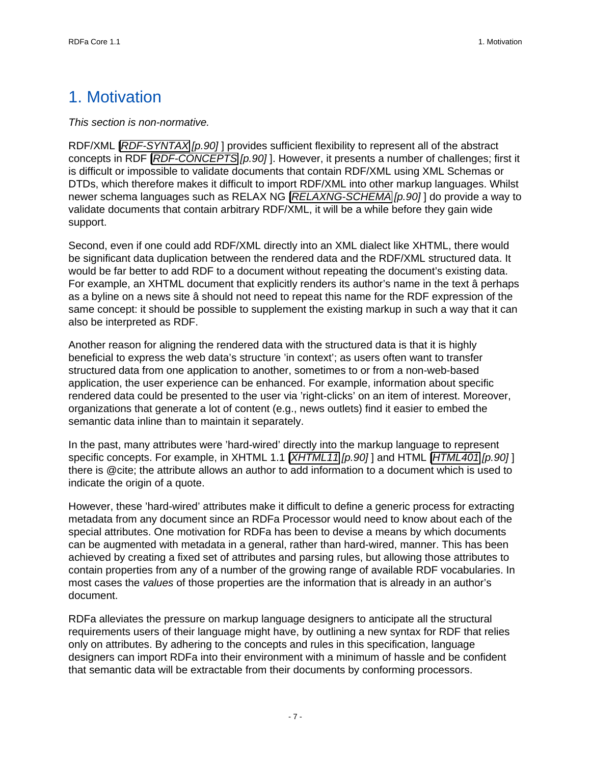### 1. Motivation

#### This section is non-normative.

RDF/XML [[RDF-SYNTAX](#page-89-4) [p.90]] provides sufficient flexibility to represent all of the abstract concepts in RDF [[RDF-CONCEPTS](#page-89-5) [p.90] ]. However, it presents a number of challenges; first it is difficult or impossible to validate documents that contain RDF/XML using XML Schemas or DTDs, which therefore makes it difficult to import RDF/XML into other markup languages. Whilst newer schema languages such as RELAX NG [[RELAXNG-SCHEMA](#page-89-6) [p.90]] do provide a way to validate documents that contain arbitrary RDF/XML, it will be a while before they gain wide support.

Second, even if one could add RDF/XML directly into an XML dialect like XHTML, there would be significant data duplication between the rendered data and the RDF/XML structured data. It would be far better to add RDF to a document without repeating the document's existing data. For example, an XHTML document that explicitly renders its author's name in the text â perhaps as a byline on a news site â should not need to repeat this name for the RDF expression of the same concept: it should be possible to supplement the existing markup in such a way that it can also be interpreted as RDF.

Another reason for aligning the rendered data with the structured data is that it is highly beneficial to express the web data's structure 'in context'; as users often want to transfer structured data from one application to another, sometimes to or from a non-web-based application, the user experience can be enhanced. For example, information about specific rendered data could be presented to the user via 'right-clicks' on an item of interest. Moreover, organizations that generate a lot of content (e.g., news outlets) find it easier to embed the semantic data inline than to maintain it separately.

In the past, many attributes were 'hard-wired' directly into the markup language to represent specific concepts. For example, in XHTML 1.1 [[XHTML11](#page-89-7) [p.90]] and HTML [[HTML401](#page-89-8) [p.90]] there is @cite; the attribute allows an author to add information to a document which is used to indicate the origin of a quote.

However, these 'hard-wired' attributes make it difficult to define a generic process for extracting metadata from any document since an RDFa Processor would need to know about each of the special attributes. One motivation for RDFa has been to devise a means by which documents can be augmented with metadata in a general, rather than hard-wired, manner. This has been achieved by creating a fixed set of attributes and parsing rules, but allowing those attributes to contain properties from any of a number of the growing range of available RDF vocabularies. In most cases the values of those properties are the information that is already in an author's document.

RDFa alleviates the pressure on markup language designers to anticipate all the structural requirements users of their language might have, by outlining a new syntax for RDF that relies only on attributes. By adhering to the concepts and rules in this specification, language designers can import RDFa into their environment with a minimum of hassle and be confident that semantic data will be extractable from their documents by conforming processors.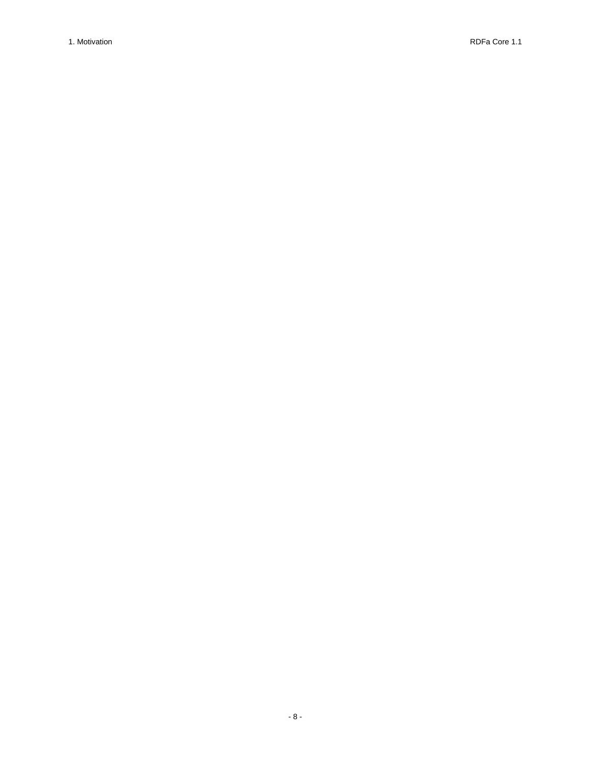<span id="page-7-0"></span>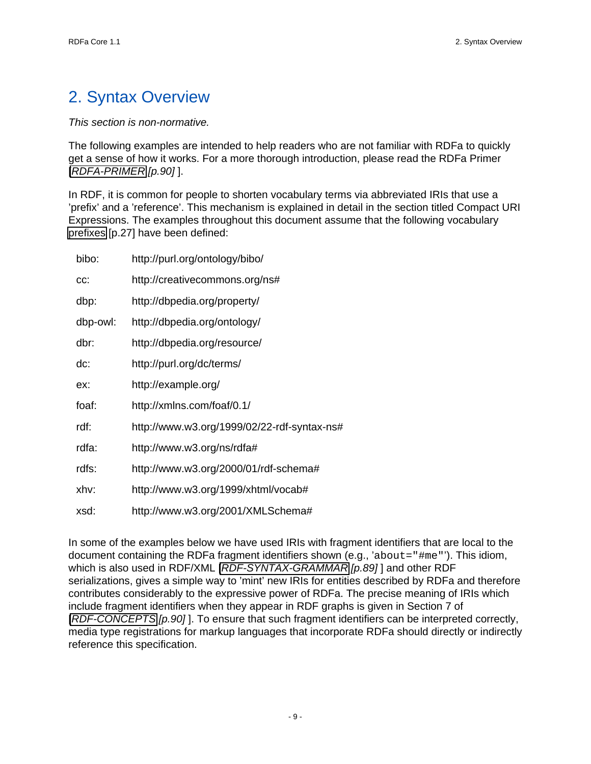# 2. Syntax Overview

This section is non-normative.

The following examples are intended to help readers who are not familiar with RDFa to quickly get a sense of how it works. For a more thorough introduction, please read the RDFa Primer [[RDFA-PRIMER](#page-89-2) [p.90] ].

In RDF, it is common for people to shorten vocabulary terms via abbreviated IRIs that use a 'prefix' and a 'reference'. This mechanism is explained in detail in the section titled Compact URI Expressions. The examples throughout this document assume that the following vocabulary [prefixes](#page-26-0) [p.27] have been defined:

| bibo:    | http://purl.org/ontology/bibo/              |
|----------|---------------------------------------------|
| CC:      | http://creativecommons.org/ns#              |
| dbp:     | http://dbpedia.org/property/                |
| dbp-owl: | http://dbpedia.org/ontology/                |
| dbr:     | http://dbpedia.org/resource/                |
| dc:      | http://purl.org/dc/terms/                   |
| ex:      | http://example.org/                         |
| foaf:    | http://xmlns.com/foaf/0.1/                  |
| rdf:     | http://www.w3.org/1999/02/22-rdf-syntax-ns# |
| rdfa:    | http://www.w3.org/ns/rdfa#                  |
| rdfs:    | http://www.w3.org/2000/01/rdf-schema#       |
| xhv:     | http://www.w3.org/1999/xhtml/vocab#         |
| xsd:     | http://www.w3.org/2001/XMLSchema#           |

In some of the examples below we have used IRIs with fragment identifiers that are local to the document containing the RDFa fragment identifiers shown (e.g., 'about="#me"'). This idiom, which is also used in RDF/XML [[RDF-SYNTAX-GRAMMAR](#page-88-3) [p.89]] and other RDF serializations, gives a simple way to 'mint' new IRIs for entities described by RDFa and therefore contributes considerably to the expressive power of RDFa. The precise meaning of IRIs which include fragment identifiers when they appear in RDF graphs is given in Section 7 of [[RDF-CONCEPTS](#page-89-5) [p.90]]. To ensure that such fragment identifiers can be interpreted correctly, media type registrations for markup languages that incorporate RDFa should directly or indirectly reference this specification.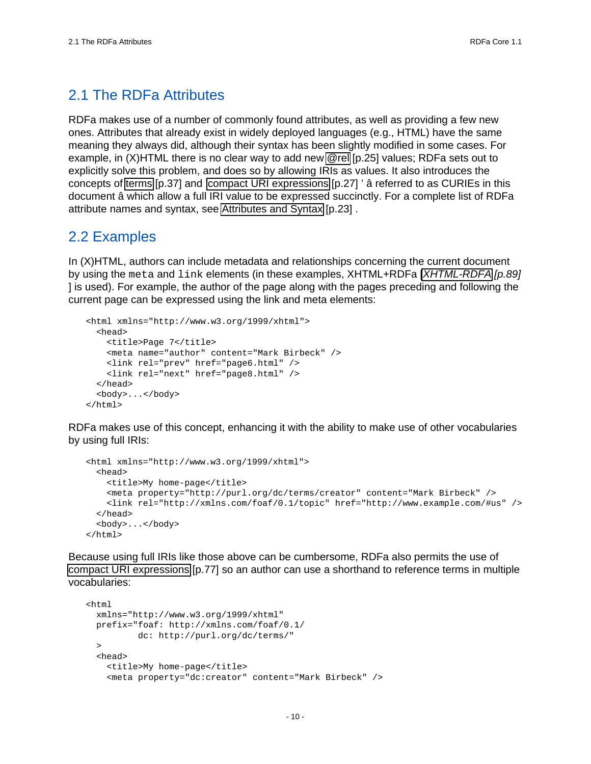#### <span id="page-9-0"></span>2.1 The RDFa Attributes

RDFa makes use of a number of commonly found attributes, as well as providing a few new ones. Attributes that already exist in widely deployed languages (e.g., HTML) have the same meaning they always did, although their syntax has been slightly modified in some cases. For example, in (X)HTML there is no clear way to add new [@rel](#page-24-1) [p.25] values; RDFa sets out to explicitly solve this problem, and does so by allowing IRIs as values. It also introduces the concepts of [terms](#page-36-1) [p.37] and ['compact URI expressions](#page-26-1) [p.27] ' â referred to as CURIEs in this document â which allow a full IRI value to be expressed succinctly. For a complete list of RDFa attribute names and syntax, see [Attributes and Syntax](#page-22-0) [p.23] .

#### <span id="page-9-1"></span>2.2 Examples

In (X)HTML, authors can include metadata and relationships concerning the current document by using the meta and link elements (in these examples, XHTML+RDFa [[XHTML-RDFA](#page-88-0) [p.89] ] is used). For example, the author of the page along with the pages preceding and following the current page can be expressed using the link and meta elements:

```
<html xmlns="http://www.w3.org/1999/xhtml">
  <head>
    <title>Page 7</title>
    <meta name="author" content="Mark Birbeck" />
    <link rel="prev" href="page6.html" />
    <link rel="next" href="page8.html" />
  </head>
  <body>...</body>
</html>
```
RDFa makes use of this concept, enhancing it with the ability to make use of other vocabularies by using full IRIs:

```
<html xmlns="http://www.w3.org/1999/xhtml">
  <head>
     <title>My home-page</title>
     <meta property="http://purl.org/dc/terms/creator" content="Mark Birbeck" />
     <link rel="http://xmlns.com/foaf/0.1/topic" href="http://www.example.com/#us" />
   </head>
   <body>...</body>
</html>
```
Because using full IRIs like those above can be cumbersome, RDFa also permits the use of [compact URI expressions](#page-76-1) [p.77] so an author can use a shorthand to reference terms in multiple vocabularies:

```
<html
  xmlns="http://www.w3.org/1999/xhtml"
  prefix="foaf: http://xmlns.com/foaf/0.1/
            dc: http://purl.org/dc/terms/"
  \overline{\phantom{a}} <head>
     <title>My home-page</title>
     <meta property="dc:creator" content="Mark Birbeck" />
```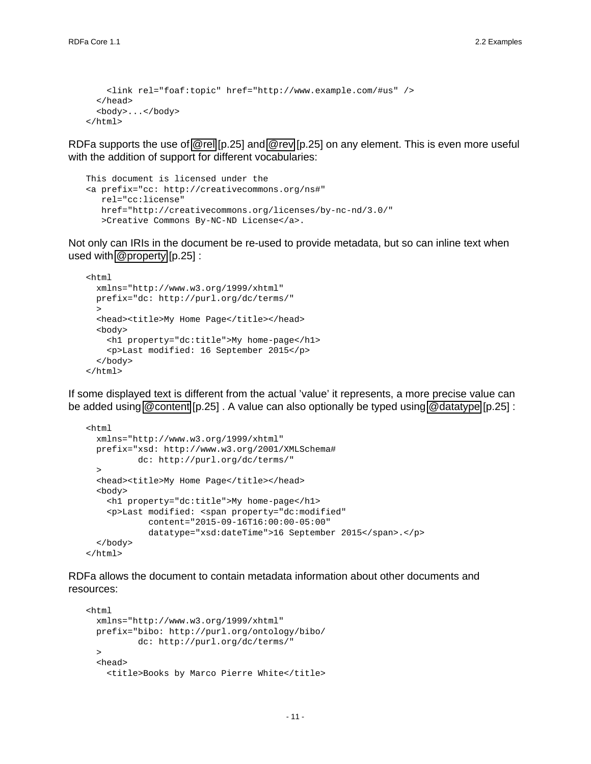```
 <link rel="foaf:topic" href="http://www.example.com/#us" />
  </head>
   <body>...</body>
</html>
```
<span id="page-10-0"></span>RDFa supports the use of [@rel](#page-24-1) [p.25] and [@rev](#page-24-2) [p.25] on any element. This is even more useful with the addition of support for different vocabularies:

```
This document is licensed under the 
<a prefix="cc: http://creativecommons.org/ns#"
    rel="cc:license"
    href="http://creativecommons.org/licenses/by-nc-nd/3.0/"
    >Creative Commons By-NC-ND License</a>.
```
Not only can IRIs in the document be re-used to provide metadata, but so can inline text when used with [@property](#page-24-3) [p.25] :

```
<html
  xmlns="http://www.w3.org/1999/xhtml"
  prefix="dc: http://purl.org/dc/terms/"
 >
 <head><title>My Home Page</title></head>
  <body>
    <h1 property="dc:title">My home-page</h1>
     <p>Last modified: 16 September 2015</p>
   </body>
</html>
```
If some displayed text is different from the actual 'value' it represents, a more precise value can be added using [@content](#page-24-4) [p.25] . A value can also optionally be typed using [@datatype](#page-24-5) [p.25] :

```
<html
  xmlns="http://www.w3.org/1999/xhtml"
  prefix="xsd: http://www.w3.org/2001/XMLSchema#
           dc: http://purl.org/dc/terms/"
   >
 <head><title>My Home Page</title></head>
   <body>
    <h1 property="dc:title">My home-page</h1>
     <p>Last modified: <span property="dc:modified"
             content="2015-09-16T16:00:00-05:00"
            datatype="xsd:dateTime">16 September 2015</span>.</p>
  </body>
</html>
```
RDFa allows the document to contain metadata information about other documents and resources:

```
<html
  xmlns="http://www.w3.org/1999/xhtml"
  prefix="bibo: http://purl.org/ontology/bibo/
          dc: http://purl.org/dc/terms/"
 >
  <head>
     <title>Books by Marco Pierre White</title>
```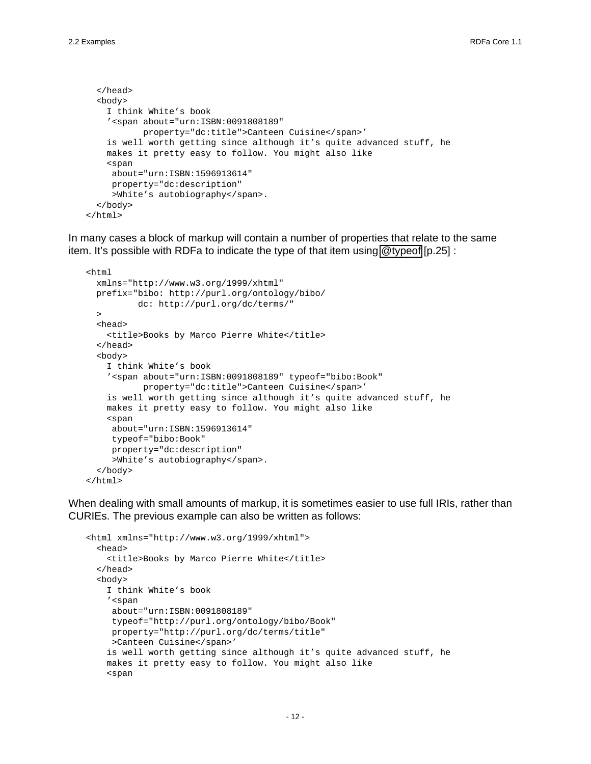```
 </head>
  <body>
     I think White's book
     '<span about="urn:ISBN:0091808189" 
            property="dc:title">Canteen Cuisine</span>'
     is well worth getting since although it's quite advanced stuff, he
    makes it pretty easy to follow. You might also like
     <span 
     about="urn:ISBN:1596913614" 
     property="dc:description"
      >White's autobiography</span>.
  </body>
</html>
```
In many cases a block of markup will contain a number of properties that relate to the same item. It's possible with RDFa to indicate the type of that item using [@typeof](#page-24-6) [p.25] :

```
<html
  xmlns="http://www.w3.org/1999/xhtml"
  prefix="bibo: http://purl.org/ontology/bibo/
           dc: http://purl.org/dc/terms/"
 \ddot{\phantom{1}} <head>
     <title>Books by Marco Pierre White</title>
  </head>
  <body>
     I think White's book
     '<span about="urn:ISBN:0091808189" typeof="bibo:Book"
            property="dc:title">Canteen Cuisine</span>'
     is well worth getting since although it's quite advanced stuff, he
    makes it pretty easy to follow. You might also like
     <span 
     about="urn:ISBN:1596913614"
      typeof="bibo:Book"
     property="dc:description"
      >White's autobiography</span>.
  </body>
</html>
```
When dealing with small amounts of markup, it is sometimes easier to use full IRIs, rather than CURIEs. The previous example can also be written as follows:

```
<html xmlns="http://www.w3.org/1999/xhtml">
  <head>
    <title>Books by Marco Pierre White</title>
  </head>
  <body>
    I think White's book
     '<span
     about="urn:ISBN:0091808189"
      typeof="http://purl.org/ontology/bibo/Book"
     property="http://purl.org/dc/terms/title"
     >Canteen Cuisine</span>'
    is well worth getting since although it's quite advanced stuff, he
    makes it pretty easy to follow. You might also like
    <span
```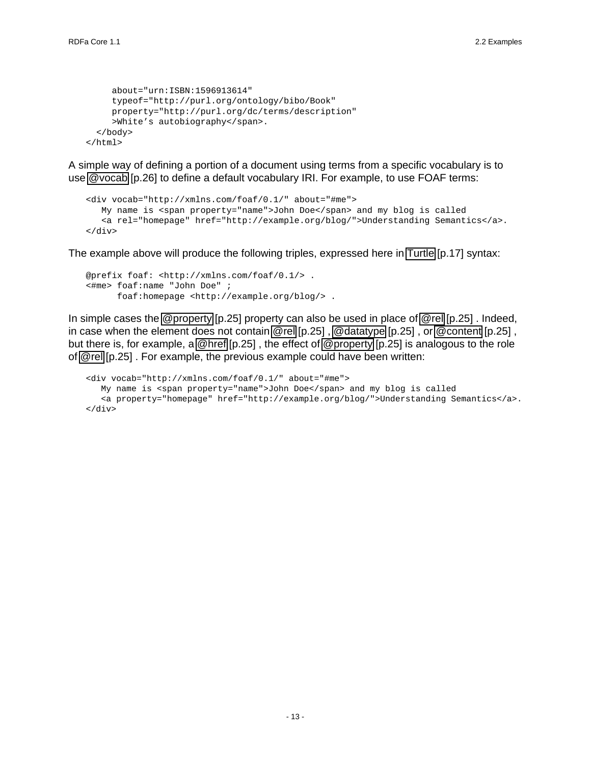```
 about="urn:ISBN:1596913614"
      typeof="http://purl.org/ontology/bibo/Book"
      property="http://purl.org/dc/terms/description"
      >White's autobiography</span>.
   </body>
</html>
```
A simple way of defining a portion of a document using terms from a specific vocabulary is to use [@vocab](#page-25-3) [p.26] to define a default vocabulary IRI. For example, to use FOAF terms:

```
<div vocab="http://xmlns.com/foaf/0.1/" about="#me">
   My name is <span property="name">John Doe</span> and my blog is called
   <a rel="homepage" href="http://example.org/blog/">Understanding Semantics</a>.
</div>
```
The example above will produce the following triples, expressed here in [Turtle](#page-16-2) [p.17] syntax:

```
@prefix foaf: <http://xmlns.com/foaf/0.1/> .
<#me> foaf:name "John Doe" ;
       foaf:homepage <http://example.org/blog/> .
```
In simple cases the [@property](#page-24-3) [p.25] property can also be used in place of [@rel](#page-24-1) [p.25] . Indeed, in case when the element does not contain [@rel](#page-24-1) [p.25] , [@datatype](#page-24-5) [p.25] , or [@content](#page-24-4) [p.25] , but there is, for example, a [@href](#page-24-0) [p.25] , the effect of [@property](#page-24-3) [p.25] is analogous to the role of [@rel](#page-24-1) [p.25] . For example, the previous example could have been written:

```
<div vocab="http://xmlns.com/foaf/0.1/" about="#me">
  My name is <span property="name">John Doe</span> and my blog is called
    <a property="homepage" href="http://example.org/blog/">Understanding Semantics</a>.
</div>
```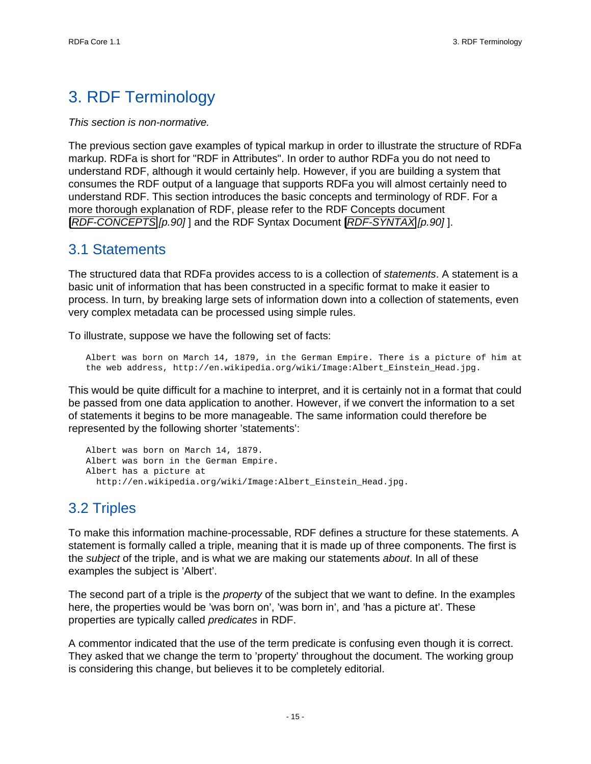# 3. RDF Terminology

This section is non-normative.

The previous section gave examples of typical markup in order to illustrate the structure of RDFa markup. RDFa is short for "RDF in Attributes". In order to author RDFa you do not need to understand RDF, although it would certainly help. However, if you are building a system that consumes the RDF output of a language that supports RDFa you will almost certainly need to understand RDF. This section introduces the basic concepts and terminology of RDF. For a more thorough explanation of RDF, please refer to the RDF Concepts document [[RDF-CONCEPTS](#page-89-5) [p.90]] and the RDF Syntax Document [[RDF-SYNTAX](#page-89-4) [p.90]].

#### <span id="page-14-0"></span>3.1 Statements

The structured data that RDFa provides access to is a collection of *statements*. A statement is a basic unit of information that has been constructed in a specific format to make it easier to process. In turn, by breaking large sets of information down into a collection of statements, even very complex metadata can be processed using simple rules.

To illustrate, suppose we have the following set of facts:

Albert was born on March 14, 1879, in the German Empire. There is a picture of him at the web address, http://en.wikipedia.org/wiki/Image:Albert\_Einstein\_Head.jpg.

This would be quite difficult for a machine to interpret, and it is certainly not in a format that could be passed from one data application to another. However, if we convert the information to a set of statements it begins to be more manageable. The same information could therefore be represented by the following shorter 'statements':

```
Albert was born on March 14, 1879.
Albert was born in the German Empire.
Albert has a picture at
   http://en.wikipedia.org/wiki/Image:Albert_Einstein_Head.jpg.
```
#### <span id="page-14-1"></span>3.2 Triples

<span id="page-14-2"></span>To make this information machine-processable, RDF defines a structure for these statements. A statement is formally called a triple, meaning that it is made up of three components. The first is the *subject* of the triple, and is what we are making our statements *about*. In all of these examples the subject is 'Albert'.

The second part of a triple is the *property* of the subject that we want to define. In the examples here, the properties would be 'was born on', 'was born in', and 'has a picture at'. These properties are typically called predicates in RDF.

A commentor indicated that the use of the term predicate is confusing even though it is correct. They asked that we change the term to 'property' throughout the document. The working group is considering this change, but believes it to be completely editorial.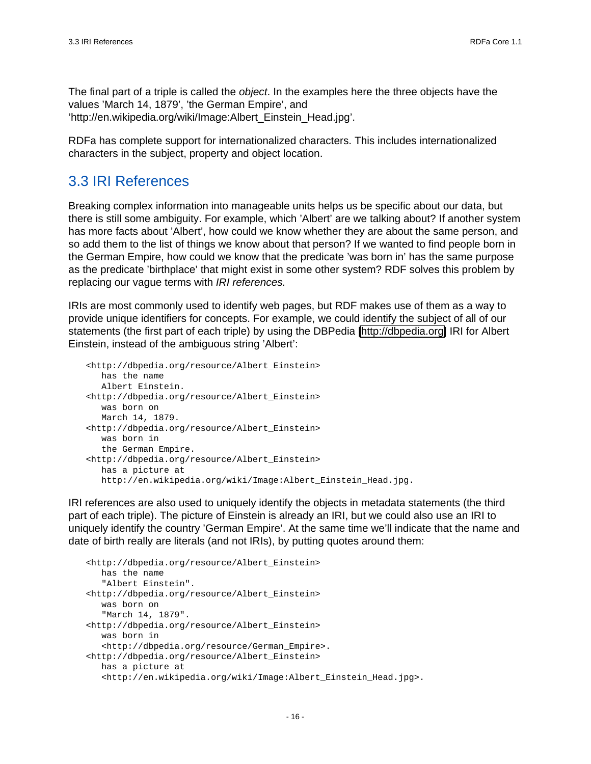The final part of a triple is called the *object*. In the examples here the three objects have the values 'March 14, 1879', 'the German Empire', and 'http://en.wikipedia.org/wiki/Image:Albert\_Einstein\_Head.jpg'.

RDFa has complete support for internationalized characters. This includes internationalized characters in the subject, property and object location.

#### <span id="page-15-0"></span>3.3 IRI References

Breaking complex information into manageable units helps us be specific about our data, but there is still some ambiguity. For example, which 'Albert' are we talking about? If another system has more facts about 'Albert', how could we know whether they are about the same person, and so add them to the list of things we know about that person? If we wanted to find people born in the German Empire, how could we know that the predicate 'was born in' has the same purpose as the predicate 'birthplace' that might exist in some other system? RDF solves this problem by replacing our vague terms with IRI references.

<span id="page-15-1"></span>IRIs are most commonly used to identify web pages, but RDF makes use of them as a way to provide unique identifiers for concepts. For example, we could identify the subject of all of our statements (the first part of each triple) by using the DBPedia [\[http://dbpedia.org\]](http://dbpedia.org/) IRI for Albert Einstein, instead of the ambiguous string 'Albert':

```
<http://dbpedia.org/resource/Albert_Einstein>
   has the name 
   Albert Einstein.
<http://dbpedia.org/resource/Albert_Einstein>
   was born on 
   March 14, 1879.
<http://dbpedia.org/resource/Albert_Einstein>
   was born in 
   the German Empire.
<http://dbpedia.org/resource/Albert_Einstein>
   has a picture at
   http://en.wikipedia.org/wiki/Image:Albert_Einstein_Head.jpg.
```
IRI references are also used to uniquely identify the objects in metadata statements (the third part of each triple). The picture of Einstein is already an IRI, but we could also use an IRI to uniquely identify the country 'German Empire'. At the same time we'll indicate that the name and date of birth really are literals (and not IRIs), by putting quotes around them:

```
<http://dbpedia.org/resource/Albert_Einstein> 
   has the name 
    "Albert Einstein".
<http://dbpedia.org/resource/Albert_Einstein> 
   was born on 
   "March 14, 1879".
<http://dbpedia.org/resource/Albert_Einstein> 
   was born in 
   <http://dbpedia.org/resource/German_Empire>.
<http://dbpedia.org/resource/Albert_Einstein> 
   has a picture at
    <http://en.wikipedia.org/wiki/Image:Albert_Einstein_Head.jpg>.
```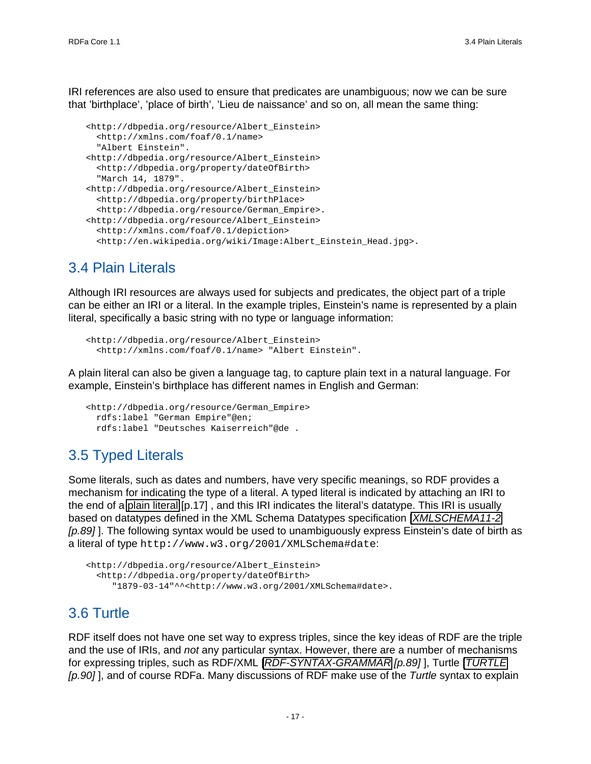IRI references are also used to ensure that predicates are unambiguous; now we can be sure that 'birthplace', 'place of birth', 'Lieu de naissance' and so on, all mean the same thing:

```
<http://dbpedia.org/resource/Albert_Einstein>
   <http://xmlns.com/foaf/0.1/name>
   "Albert Einstein".
<http://dbpedia.org/resource/Albert_Einstein>
   <http://dbpedia.org/property/dateOfBirth>
   "March 14, 1879".
<http://dbpedia.org/resource/Albert_Einstein>
   <http://dbpedia.org/property/birthPlace>
   <http://dbpedia.org/resource/German_Empire>.
<http://dbpedia.org/resource/Albert_Einstein>
   <http://xmlns.com/foaf/0.1/depiction>
   <http://en.wikipedia.org/wiki/Image:Albert_Einstein_Head.jpg>.
```
#### <span id="page-16-0"></span>3.4 Plain Literals

<span id="page-16-3"></span>Although IRI resources are always used for subjects and predicates, the object part of a triple can be either an IRI or a literal. In the example triples, Einstein's name is represented by a plain literal, specifically a basic string with no type or language information:

```
<http://dbpedia.org/resource/Albert_Einstein>
  <http://xmlns.com/foaf/0.1/name> "Albert Einstein".
```
A plain literal can also be given a language tag, to capture plain text in a natural language. For example, Einstein's birthplace has different names in English and German:

```
<http://dbpedia.org/resource/German_Empire>
  rdfs:label "German Empire"@en;
  rdfs:label "Deutsches Kaiserreich"@de .
```
#### <span id="page-16-1"></span>3.5 Typed Literals

Some literals, such as dates and numbers, have very specific meanings, so RDF provides a mechanism for indicating the type of a literal. A typed literal is indicated by attaching an IRI to the end of a [plain literal](#page-16-3) [p.17] , and this IRI indicates the literal's datatype. This IRI is usually based on datatypes defined in the XML Schema Datatypes specification [[XMLSCHEMA11-2](#page-88-4)  [p.89] ]. The following syntax would be used to unambiguously express Einstein's date of birth as a literal of type http://www.w3.org/2001/XMLSchema#date:

```
<http://dbpedia.org/resource/Albert_Einstein>
   <http://dbpedia.org/property/dateOfBirth> 
      "1879-03-14"^^<http://www.w3.org/2001/XMLSchema#date>.
```
#### <span id="page-16-2"></span>3.6 Turtle

RDF itself does not have one set way to express triples, since the key ideas of RDF are the triple and the use of IRIs, and not any particular syntax. However, there are a number of mechanisms for expressing triples, such as RDF/XML [[RDF-SYNTAX-GRAMMAR](#page-88-3) [p.89] ], Turtle [[TURTLE](#page-89-9)  [p.90], and of course RDFa. Many discussions of RDF make use of the Turtle syntax to explain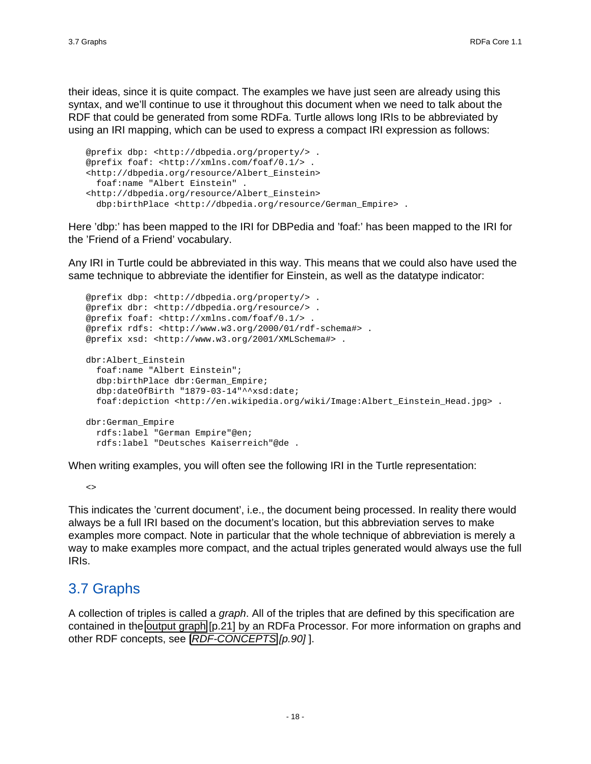their ideas, since it is quite compact. The examples we have just seen are already using this syntax, and we'll continue to use it throughout this document when we need to talk about the RDF that could be generated from some RDFa. Turtle allows long IRIs to be abbreviated by using an IRI mapping, which can be used to express a compact IRI expression as follows:

```
@prefix dbp: <http://dbpedia.org/property/> .
@prefix foaf: <http://xmlns.com/foaf/0.1/> .
<http://dbpedia.org/resource/Albert_Einstein>
  foaf:name "Albert Einstein" .
<http://dbpedia.org/resource/Albert_Einstein>
  dbp:birthPlace <http://dbpedia.org/resource/German_Empire> .
```
Here 'dbp:' has been mapped to the IRI for DBPedia and 'foaf:' has been mapped to the IRI for the 'Friend of a Friend' vocabulary.

Any IRI in Turtle could be abbreviated in this way. This means that we could also have used the same technique to abbreviate the identifier for Einstein, as well as the datatype indicator:

```
@prefix dbp: <http://dbpedia.org/property/> .
@prefix dbr: <http://dbpedia.org/resource/> .
@prefix foaf: <http://xmlns.com/foaf/0.1/> .
@prefix rdfs: <http://www.w3.org/2000/01/rdf-schema#> .
@prefix xsd: <http://www.w3.org/2001/XMLSchema#> .
dbr:Albert_Einstein
   foaf:name "Albert Einstein";
   dbp:birthPlace dbr:German_Empire;
   dbp:dateOfBirth "1879-03-14"^^xsd:date;
   foaf:depiction <http://en.wikipedia.org/wiki/Image:Albert_Einstein_Head.jpg> .
dbr:German_Empire
   rdfs:label "German Empire"@en;
   rdfs:label "Deutsches Kaiserreich"@de .
```
When writing examples, you will often see the following IRI in the Turtle representation:

 $\leftrightarrow$ 

This indicates the 'current document', i.e., the document being processed. In reality there would always be a full IRI based on the document's location, but this abbreviation serves to make examples more compact. Note in particular that the whole technique of abbreviation is merely a way to make examples more compact, and the actual triples generated would always use the full IRIs.

#### <span id="page-17-0"></span>3.7 Graphs

A collection of triples is called a *graph*. All of the triples that are defined by this specification are contained in the [output graph](#page-20-2) [p.21] by an RDFa Processor. For more information on graphs and other RDF concepts, see [[RDF-CONCEPTS](#page-89-5) [p.90] ].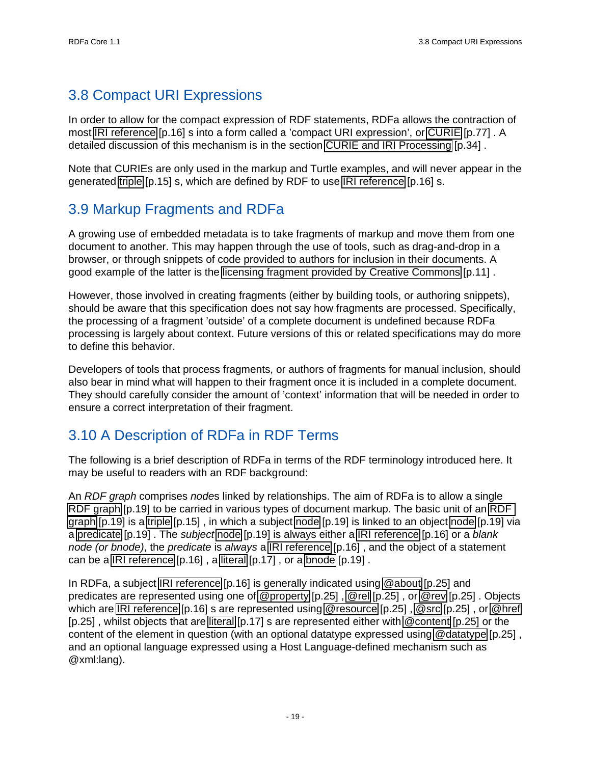### <span id="page-18-0"></span>3.8 Compact URI Expressions

In order to allow for the compact expression of RDF statements, RDFa allows the contraction of most [IRI reference](#page-15-1) [p.16] s into a form called a 'compact URI expression', or [CURIE](#page-76-1) [p.77] . A detailed discussion of this mechanism is in the section [CURIE and IRI Processing](#page-33-0) [p.34] .

Note that CURIEs are only used in the markup and Turtle examples, and will never appear in the generated [triple](#page-14-2) [p.15] s, which are defined by RDF to use [IRI reference](#page-15-1) [p.16] s.

#### <span id="page-18-1"></span>3.9 Markup Fragments and RDFa

A growing use of embedded metadata is to take fragments of markup and move them from one document to another. This may happen through the use of tools, such as drag-and-drop in a browser, or through snippets of code provided to authors for inclusion in their documents. A good example of the latter is the [licensing fragment provided by Creative Commons](#page-10-0) [p.11] .

However, those involved in creating fragments (either by building tools, or authoring snippets), should be aware that this specification does not say how fragments are processed. Specifically, the processing of a fragment 'outside' of a complete document is undefined because RDFa processing is largely about context. Future versions of this or related specifications may do more to define this behavior.

Developers of tools that process fragments, or authors of fragments for manual inclusion, should also bear in mind what will happen to their fragment once it is included in a complete document. They should carefully consider the amount of 'context' information that will be needed in order to ensure a correct interpretation of their fragment.

#### <span id="page-18-2"></span>3.10 A Description of RDFa in RDF Terms

The following is a brief description of RDFa in terms of the RDF terminology introduced here. It may be useful to readers with an RDF background:

<span id="page-18-5"></span><span id="page-18-3"></span>An RDF graph comprises nodes linked by relationships. The aim of RDFa is to allow a single [RDF graph](#page-18-3) [p.19] to be carried in various types of document markup. The basic unit of an [RDF](#page-18-3)  [graph](#page-18-3) [p.19] is a [triple](#page-14-2) [p.15] , in which a subject [node](#page-18-3) [p.19] is linked to an object [node](#page-18-3) [p.19] via a [predicate](#page-18-4)  $[p.19]$ . The *subject* [node](#page-18-3)  $[p.19]$  is always either a [IRI reference](#page-15-1)  $[p.16]$  or a *blank* node (or bnode), the predicate is always a [IRI reference](#page-15-1) [p.16], and the object of a statement can be a [IRI reference](#page-15-1) [p.16] , a [literal](#page-16-3) [p.17] , or a [bnode](#page-18-5) [p.19] .

<span id="page-18-4"></span>In RDFa, a subject [IRI reference](#page-15-1) [p.16] is generally indicated using [@about](#page-24-7) [p.25] and predicates are represented using one of [@property](#page-24-3) [p.25] , [@rel](#page-24-1) [p.25] , or [@rev](#page-24-2) [p.25] . Objects which are [IRI reference](#page-15-1) [p.16] s are represented using [@resource](#page-24-8) [p.25], [@src](#page-24-9) [p.25], or @href [p.25] , whilst objects that are [literal](#page-16-3) [p.17] s are represented either with [@content](#page-24-4) [p.25] or the content of the element in question (with an optional datatype expressed using [@datatype](#page-24-5) [p.25] , and an optional language expressed using a Host Language-defined mechanism such as @xml:lang).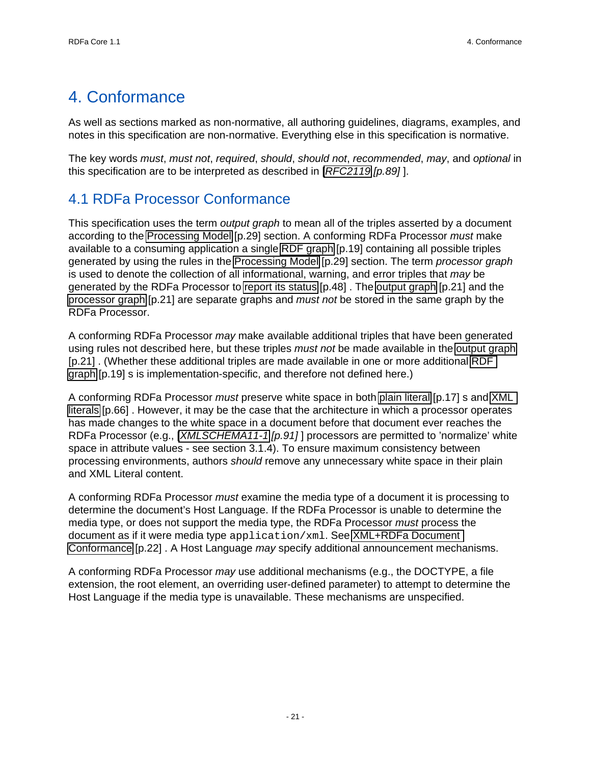### 4. Conformance

As well as sections marked as non-normative, all authoring guidelines, diagrams, examples, and notes in this specification are non-normative. Everything else in this specification is normative.

The key words must, must not, required, should, should not, recommended, may, and optional in this specification are to be interpreted as described in [[RFC2119](#page-88-5) [p.89]].

### <span id="page-20-0"></span>4.1 RDFa Processor Conformance

<span id="page-20-3"></span><span id="page-20-2"></span>This specification uses the term *output graph* to mean all of the triples asserted by a document according to the [Processing Model](#page-28-0) [p.29] section. A conforming RDFa Processor must make available to a consuming application a single [RDF graph](#page-18-3) [p.19] containing all possible triples generated by using the rules in the [Processing Model](#page-28-0) [p.29] section. The term *processor graph* is used to denote the collection of all informational, warning, and error triples that may be generated by the RDFa Processor to [report its status](#page-47-0) [p.48] . The [output graph](#page-20-2) [p.21] and the [processor graph](#page-20-3) [p.21] are separate graphs and *must not* be stored in the same graph by the RDFa Processor.

A conforming RDFa Processor may make available additional triples that have been generated using rules not described here, but these triples *must not* be made available in the output graph [p.21] . (Whether these additional triples are made available in one or more additional [RDF](#page-18-3)  [graph](#page-18-3) [p.19] s is implementation-specific, and therefore not defined here.)

A conforming RDFa Processor *must* preserve white space in both [plain literal](#page-16-3) [p.17] s and XML [literals](#page-65-2) [p.66] . However, it may be the case that the architecture in which a processor operates has made changes to the white space in a document before that document ever reaches the RDFa Processor (e.g., [[XMLSCHEMA11-1](#page-90-0) [p.91]] processors are permitted to 'normalize' white space in attribute values - see section 3.1.4). To ensure maximum consistency between processing environments, authors should remove any unnecessary white space in their plain and XML Literal content.

A conforming RDFa Processor *must* examine the media type of a document it is processing to determine the document's Host Language. If the RDFa Processor is unable to determine the media type, or does not support the media type, the RDFa Processor *must* process the document as if it were media type application/xml. See [XML+RDFa Document](#page-21-0)  [Conformance](#page-21-0) [p.22] . A Host Language may specify additional announcement mechanisms.

<span id="page-20-1"></span>A conforming RDFa Processor may use additional mechanisms (e.g., the DOCTYPE, a file extension, the root element, an overriding user-defined parameter) to attempt to determine the Host Language if the media type is unavailable. These mechanisms are unspecified.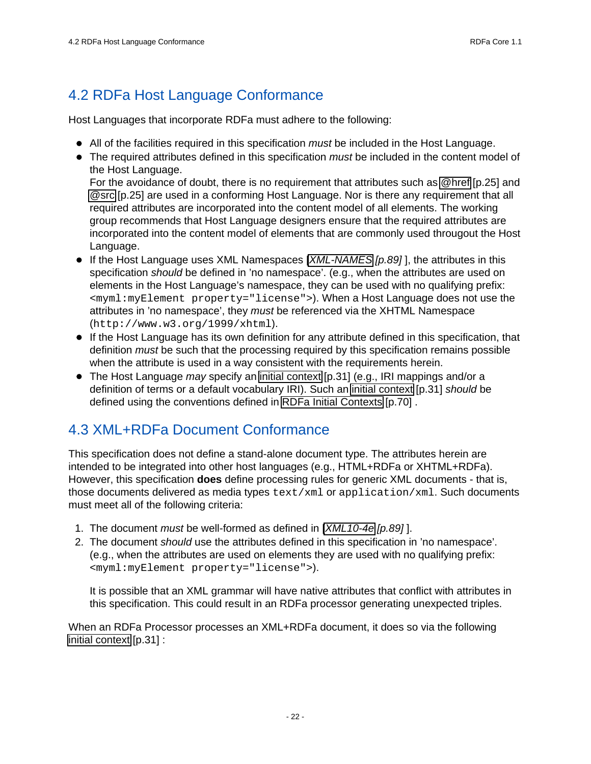### 4.2 RDFa Host Language Conformance

Host Languages that incorporate RDFa must adhere to the following:

- All of the facilities required in this specification *must* be included in the Host Language.
- The required attributes defined in this specification *must* be included in the content model of the Host Language.

For the avoidance of doubt, there is no requirement that attributes such as [@href](#page-24-0) [p.25] and [@src](#page-24-9) [p.25] are used in a conforming Host Language. Nor is there any requirement that all required attributes are incorporated into the content model of all elements. The working group recommends that Host Language designers ensure that the required attributes are incorporated into the content model of elements that are commonly used througout the Host Language.

- If the Host Language uses XML Namespaces [[XML-NAMES](#page-88-6) [p.89]], the attributes in this specification should be defined in 'no namespace'. (e.g., when the attributes are used on elements in the Host Language's namespace, they can be used with no qualifying prefix: <myml:myElement property="license">). When a Host Language does not use the attributes in 'no namespace', they must be referenced via the XHTML Namespace (http://www.w3.org/1999/xhtml).
- If the Host Language has its own definition for any attribute defined in this specification, that definition *must* be such that the processing required by this specification remains possible when the attribute is used in a way consistent with the requirements herein.
- The Host Language *may* specify an [initial context](#page-30-2) [p.31] (e.g., IRI mappings and/or a definition of terms or a default vocabulary IRI). Such an [initial context](#page-30-2) [p.31] should be defined using the conventions defined in [RDFa Initial Contexts](#page-69-0) [p.70] .

### <span id="page-21-0"></span>4.3 XML+RDFa Document Conformance

This specification does not define a stand-alone document type. The attributes herein are intended to be integrated into other host languages (e.g., HTML+RDFa or XHTML+RDFa). However, this specification **does** define processing rules for generic XML documents - that is, those documents delivered as media types text/xml or application/xml. Such documents must meet all of the following criteria:

- 1. The document *must* be well-formed as defined in [[XML10-4e](#page-88-7) [p.89]].
- 2. The document should use the attributes defined in this specification in 'no namespace'. (e.g., when the attributes are used on elements they are used with no qualifying prefix: <myml:myElement property="license">).

It is possible that an XML grammar will have native attributes that conflict with attributes in this specification. This could result in an RDFa processor generating unexpected triples.

When an RDFa Processor processes an XML+RDFa document, it does so via the following [initial context](#page-30-2) [p.31] :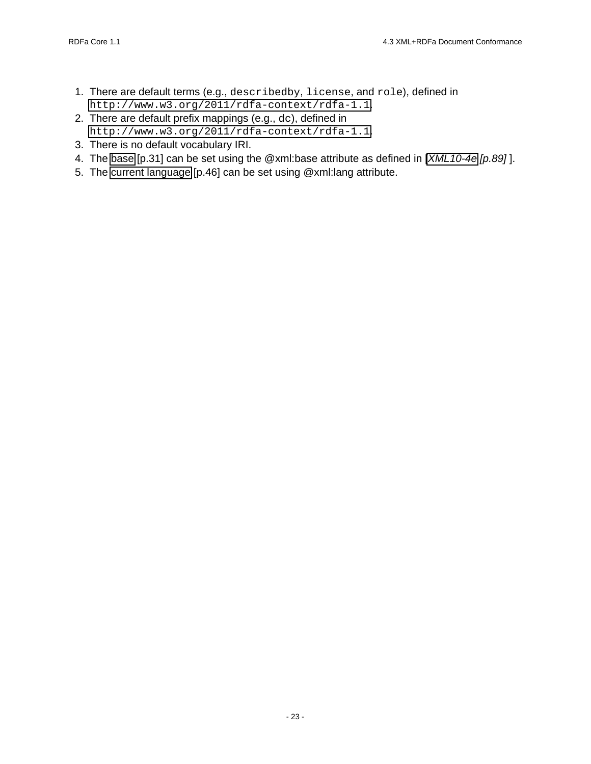- 1. There are default terms (e.g., describedby, license, and role), defined in <http://www.w3.org/2011/rdfa-context/rdfa-1.1>.
- 2. There are default prefix mappings (e.g., dc), defined in <http://www.w3.org/2011/rdfa-context/rdfa-1.1>.
- 3. There is no default vocabulary IRI.
- 4. The [base](#page-30-3) [p.31] can be set using the @xml:base attribute as defined in [[XML10-4e](#page-88-7) [p.89]].
- <span id="page-22-0"></span>5. The [current language](#page-45-0) [p.46] can be set using @xml:lang attribute.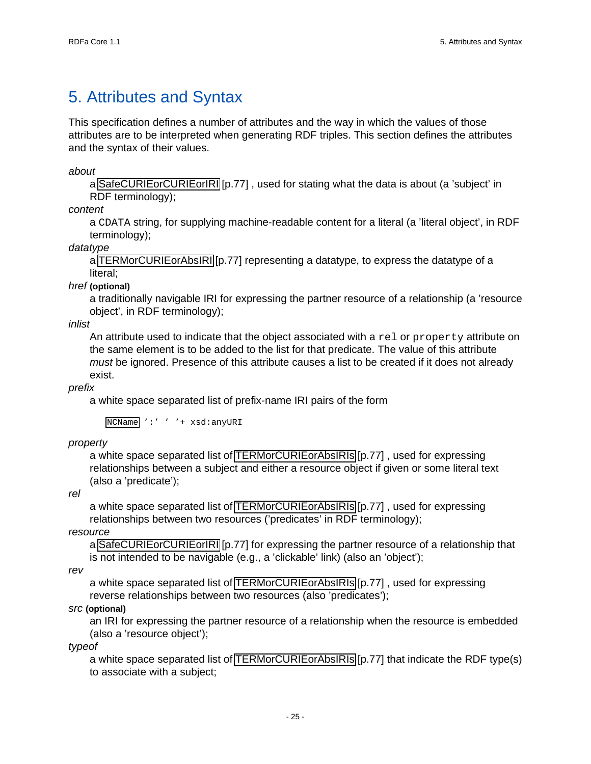### 5. Attributes and Syntax

This specification defines a number of attributes and the way in which the values of those attributes are to be interpreted when generating RDF triples. This section defines the attributes and the syntax of their values.

<span id="page-24-7"></span>about

a [SafeCURIEorCURIEorIRI](#page-76-2) [p.77] , used for stating what the data is about (a 'subject' in RDF terminology);

<span id="page-24-4"></span>content

a CDATA string, for supplying machine-readable content for a literal (a 'literal object', in RDF terminology);

<span id="page-24-5"></span>datatype

a [TERMorCURIEorAbsIRI](#page-76-3) [p.77] representing a datatype, to express the datatype of a literal;

<span id="page-24-0"></span>href **(optional)**

a traditionally navigable IRI for expressing the partner resource of a relationship (a 'resource object', in RDF terminology);

<span id="page-24-11"></span>inlist

An attribute used to indicate that the object associated with a rel or property attribute on the same element is to be added to the list for that predicate. The value of this attribute must be ignored. Presence of this attribute causes a list to be created if it does not already exist.

<span id="page-24-10"></span>prefix

a white space separated list of prefix-name IRI pairs of the form

[NCName](#page-26-2) ':' ' '+ xsd:anyURI

<span id="page-24-3"></span>property

a white space separated list of [TERMorCURIEorAbsIRIs](#page-76-4) [p.77] , used for expressing relationships between a subject and either a resource object if given or some literal text (also a 'predicate');

<span id="page-24-1"></span>rel

a white space separated list of [TERMorCURIEorAbsIRIs](#page-76-4) [p.77] , used for expressing relationships between two resources ('predicates' in RDF terminology);

<span id="page-24-8"></span>resource

a [SafeCURIEorCURIEorIRI](#page-76-2) [p.77] for expressing the partner resource of a relationship that is not intended to be navigable (e.g., a 'clickable' link) (also an 'object');

<span id="page-24-2"></span>rev

a white space separated list of [TERMorCURIEorAbsIRIs](#page-76-4) [p.77] , used for expressing reverse relationships between two resources (also 'predicates');

<span id="page-24-9"></span>src **(optional)**

an IRI for expressing the partner resource of a relationship when the resource is embedded (also a 'resource object');

<span id="page-24-6"></span>typeof

a white space separated list of [TERMorCURIEorAbsIRIs](#page-76-4) [p.77] that indicate the RDF type(s) to associate with a subject;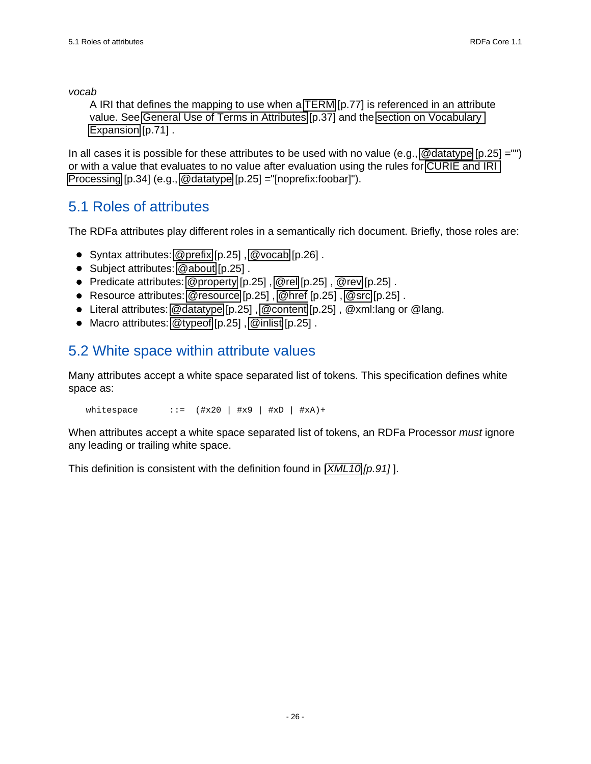<span id="page-25-3"></span>vocab

A IRI that defines the mapping to use when a [TERM](#page-76-5) [p.77] is referenced in an attribute value. See [General Use of Terms in Attributes](#page-36-0) [p.37] and the [section on Vocabulary](#page-70-0)  [Expansion](#page-70-0) [p.71] .

In all cases it is possible for these attributes to be used with no value (e.g., [@datatype](#page-24-5) [p.25] ="") or with a value that evaluates to no value after evaluation using the rules for [CURIE and IRI](#page-33-0)  [Processing](#page-33-0) [p.34] (e.g., [@datatype](#page-24-5) [p.25] ="[noprefix:foobar]").

#### <span id="page-25-0"></span>5.1 Roles of attributes

The RDFa attributes play different roles in a semantically rich document. Briefly, those roles are:

- Syntax attributes: [@prefix](#page-24-10) [p.25], [@vocab](#page-25-3) [p.26].
- Subject attributes: [@about](#page-24-7) [p.25] .
- Predicate attributes: [@property](#page-24-3) [p.25], [@rel](#page-24-1) [p.25], [@rev](#page-24-2) [p.25].
- Resource attributes: [@resource](#page-24-8) [p.25], [@href](#page-24-0) [p.25], [@src](#page-24-9) [p.25].
- Literal attributes: [@datatype](#page-24-5) [p.25] , [@content](#page-24-4) [p.25] , @xml:lang or @lang.
- Macro attributes: [@typeof](#page-24-6) [p.25], [@inlist](#page-24-11) [p.25].

#### <span id="page-25-1"></span>5.2 White space within attribute values

Many attributes accept a white space separated list of tokens. This specification defines white space as:

whitespace  $\cdot :=$   $(\#x20 \mid \#x9 \mid \#xD \mid \#xA) +$ 

When attributes accept a white space separated list of tokens, an RDFa Processor *must* ignore any leading or trailing white space.

<span id="page-25-2"></span>This definition is consistent with the definition found in [[XML10](#page-90-1) [p.91]].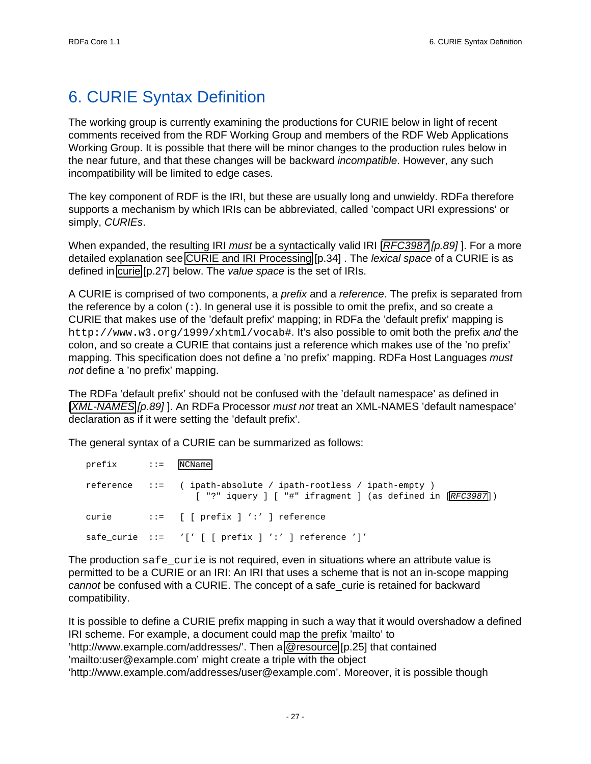# 6. CURIE Syntax Definition

The working group is currently examining the productions for CURIE below in light of recent comments received from the RDF Working Group and members of the RDF Web Applications Working Group. It is possible that there will be minor changes to the production rules below in the near future, and that these changes will be backward *incompatible*. However, any such incompatibility will be limited to edge cases.

<span id="page-26-1"></span>The key component of RDF is the IRI, but these are usually long and unwieldy. RDFa therefore supports a mechanism by which IRIs can be abbreviated, called 'compact URI expressions' or simply, CURIEs.

When expanded, the resulting IRI must be a syntactically valid IRI [[RFC3987](#page-88-8) [p.89] ]. For a more detailed explanation see [CURIE and IRI Processing](#page-33-0) [p.34]. The *lexical space* of a CURIE is as defined in [curie](#page-26-3) [p.27] below. The value space is the set of IRIs.

<span id="page-26-0"></span>A CURIE is comprised of two components, a *prefix* and a *reference*. The prefix is separated from the reference by a colon  $(·)$ . In general use it is possible to omit the prefix, and so create a CURIE that makes use of the 'default prefix' mapping; in RDFa the 'default prefix' mapping is http://www.w3.org/1999/xhtml/vocab#. It's also possible to omit both the prefix and the colon, and so create a CURIE that contains just a reference which makes use of the 'no prefix' mapping. This specification does not define a 'no prefix' mapping. RDFa Host Languages must not define a 'no prefix' mapping.

The RDFa 'default prefix' should not be confused with the 'default namespace' as defined in [[XML-NAMES](#page-88-6) [p.89]]. An RDFa Processor must not treat an XML-NAMES 'default namespace' declaration as if it were setting the 'default prefix'.

<span id="page-26-2"></span>The general syntax of a CURIE can be summarized as follows:

| $prefix \t :: = NCMame$ |                                                                                                                                   |
|-------------------------|-----------------------------------------------------------------------------------------------------------------------------------|
|                         | $reference$ ::= (ipath-absolute / ipath-rootless / ipath-empty )<br>[ "?" iquery ] [ "#" ifraqment ] (as defined in $[RFC3987]$ ) |
|                         | curie $\cdots$ ::= [[prefix ]':' ] reference                                                                                      |
|                         | safe_curie $ ::= '[' [ [ prefix ] ' : ' ] reference ']'$                                                                          |

<span id="page-26-3"></span>The production safe curie is not required, even in situations where an attribute value is permitted to be a CURIE or an IRI: An IRI that uses a scheme that is not an in-scope mapping cannot be confused with a CURIE. The concept of a safe curie is retained for backward compatibility.

It is possible to define a CURIE prefix mapping in such a way that it would overshadow a defined IRI scheme. For example, a document could map the prefix 'mailto' to 'http://www.example.com/addresses/'. Then a [@resource](#page-24-8) [p.25] that contained 'mailto:user@example.com' might create a triple with the object 'http://www.example.com/addresses/user@example.com'. Moreover, it is possible though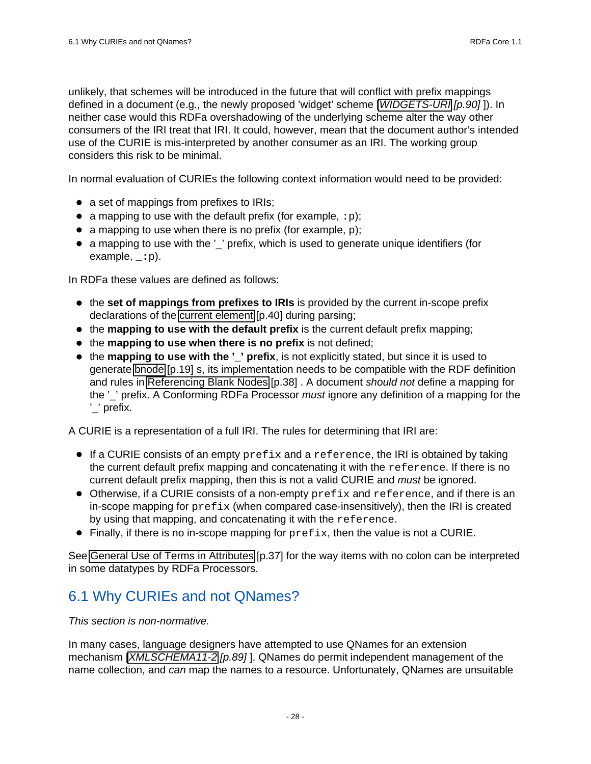unlikely, that schemes will be introduced in the future that will conflict with prefix mappings defined in a document (e.g., the newly proposed 'widget' scheme [[WIDGETS-URI](#page-89-10) [p.90]). In neither case would this RDFa overshadowing of the underlying scheme alter the way other consumers of the IRI treat that IRI. It could, however, mean that the document author's intended use of the CURIE is mis-interpreted by another consumer as an IRI. The working group considers this risk to be minimal.

In normal evaluation of CURIEs the following context information would need to be provided:

- a set of mappings from prefixes to IRIs;
- a mapping to use with the default prefix (for example,  $:p$ );
- a mapping to use when there is no prefix (for example,  $p$ );
- a mapping to use with the '\_' prefix, which is used to generate unique identifiers (for example,  $:p$ ).

In RDFa these values are defined as follows:

- **the set of mappings from prefixes to IRIs** is provided by the current in-scope prefix declarations of the [current element](#page-39-0) [p.40] during parsing;
- the **mapping to use with the default prefix** is the current default prefix mapping;
- **•** the **mapping to use when there is no prefix** is not defined;
- the **mapping to use with the '\_' prefix**, is not explicitly stated, but since it is used to generate [bnode](#page-18-5) [p.19] s, its implementation needs to be compatible with the RDF definition and rules in [Referencing Blank Nodes](#page-37-1) [p.38] . A document should not define a mapping for the '' prefix. A Conforming RDFa Processor *must* ignore any definition of a mapping for the '\_' prefix.

A CURIE is a representation of a full IRI. The rules for determining that IRI are:

- $\bullet$  If a CURIE consists of an empty  $\text{prefix}$  and a reference, the IRI is obtained by taking the current default prefix mapping and concatenating it with the reference. If there is no current default prefix mapping, then this is not a valid CURIE and *must* be ignored.
- $\bullet$  Otherwise, if a CURIE consists of a non-empty  $\text{prefix}$  and  $\text{reference}$ , and if there is an in-scope mapping for  $prefix$  (when compared case-insensitively), then the IRI is created by using that mapping, and concatenating it with the reference.
- $\bullet$  Finally, if there is no in-scope mapping for  $prefix$ , then the value is not a CURIE.

See [General Use of Terms in Attributes](#page-36-0) [p.37] for the way items with no colon can be interpreted in some datatypes by RDFa Processors.

### <span id="page-27-0"></span>6.1 Why CURIEs and not QNames?

This section is non-normative.

In many cases, language designers have attempted to use QNames for an extension mechanism [[XMLSCHEMA11-2](#page-88-4) [p.89]]. QNames do permit independent management of the name collection, and can map the names to a resource. Unfortunately, QNames are unsuitable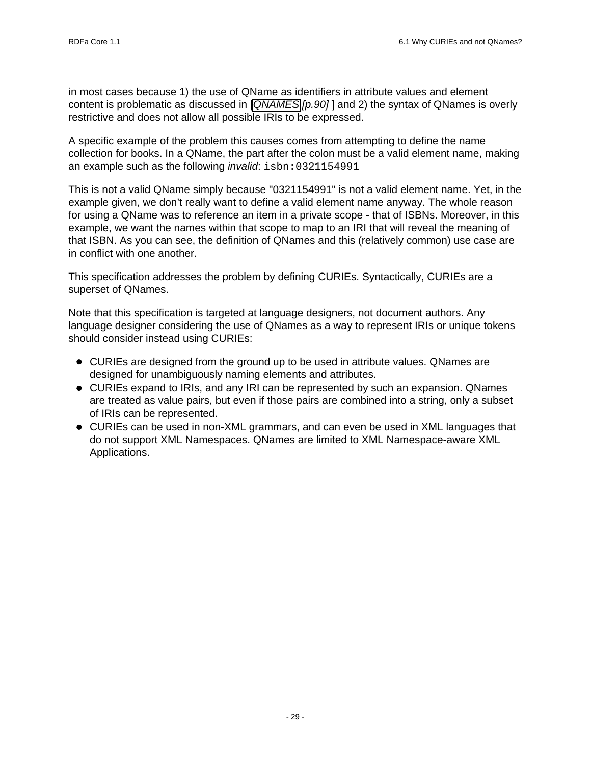in most cases because 1) the use of QName as identifiers in attribute values and element content is problematic as discussed in [[QNAMES](#page-89-11) [p.90]] and 2) the syntax of QNames is overly restrictive and does not allow all possible IRIs to be expressed.

A specific example of the problem this causes comes from attempting to define the name collection for books. In a QName, the part after the colon must be a valid element name, making an example such as the following *invalid*: isbn:0321154991

This is not a valid QName simply because "0321154991" is not a valid element name. Yet, in the example given, we don't really want to define a valid element name anyway. The whole reason for using a QName was to reference an item in a private scope - that of ISBNs. Moreover, in this example, we want the names within that scope to map to an IRI that will reveal the meaning of that ISBN. As you can see, the definition of QNames and this (relatively common) use case are in conflict with one another.

This specification addresses the problem by defining CURIEs. Syntactically, CURIEs are a superset of QNames.

Note that this specification is targeted at language designers, not document authors. Any language designer considering the use of QNames as a way to represent IRIs or unique tokens should consider instead using CURIEs:

- CURIEs are designed from the ground up to be used in attribute values. QNames are designed for unambiguously naming elements and attributes.
- CURIEs expand to IRIs, and any IRI can be represented by such an expansion. QNames are treated as value pairs, but even if those pairs are combined into a string, only a subset of IRIs can be represented.
- <span id="page-28-0"></span>CURIEs can be used in non-XML grammars, and can even be used in XML languages that do not support XML Namespaces. QNames are limited to XML Namespace-aware XML Applications.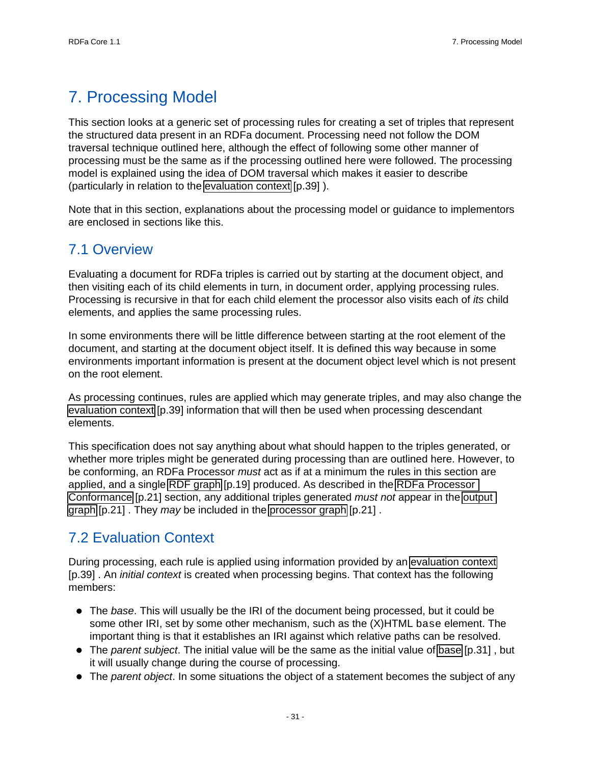# 7. Processing Model

This section looks at a generic set of processing rules for creating a set of triples that represent the structured data present in an RDFa document. Processing need not follow the DOM traversal technique outlined here, although the effect of following some other manner of processing must be the same as if the processing outlined here were followed. The processing model is explained using the idea of DOM traversal which makes it easier to describe (particularly in relation to the [evaluation context](#page-38-1) [p.39] ).

Note that in this section, explanations about the processing model or guidance to implementors are enclosed in sections like this.

### <span id="page-30-0"></span>7.1 Overview

Evaluating a document for RDFa triples is carried out by starting at the document object, and then visiting each of its child elements in turn, in document order, applying processing rules. Processing is recursive in that for each child element the processor also visits each of *its* child elements, and applies the same processing rules.

In some environments there will be little difference between starting at the root element of the document, and starting at the document object itself. It is defined this way because in some environments important information is present at the document object level which is not present on the root element.

As processing continues, rules are applied which may generate triples, and may also change the [evaluation context](#page-38-1) [p.39] information that will then be used when processing descendant elements.

This specification does not say anything about what should happen to the triples generated, or whether more triples might be generated during processing than are outlined here. However, to be conforming, an RDFa Processor *must* act as if at a minimum the rules in this section are applied, and a single [RDF graph](#page-18-3) [p.19] produced. As described in the [RDFa Processor](#page-20-0)  [Conformance](#page-20-0) [p.21] section, any additional triples generated must not appear in the [output](#page-20-2)  [graph](#page-20-2) [p.21]. They may be included in the [processor graph](#page-20-3) [p.21].

### <span id="page-30-1"></span>7.2 Evaluation Context

<span id="page-30-2"></span>During processing, each rule is applied using information provided by an [evaluation context](#page-38-1)  [p.39] . An *initial context* is created when processing begins. That context has the following members:

- <span id="page-30-3"></span>• The base. This will usually be the IRI of the document being processed, but it could be some other IRI, set by some other mechanism, such as the (X)HTML base element. The important thing is that it establishes an IRI against which relative paths can be resolved.
- <span id="page-30-4"></span> $\bullet$  The parent subject. The initial value will be the same as the initial value of [base](#page-30-3) [p.31], but it will usually change during the course of processing.
- The parent object. In some situations the object of a statement becomes the subject of any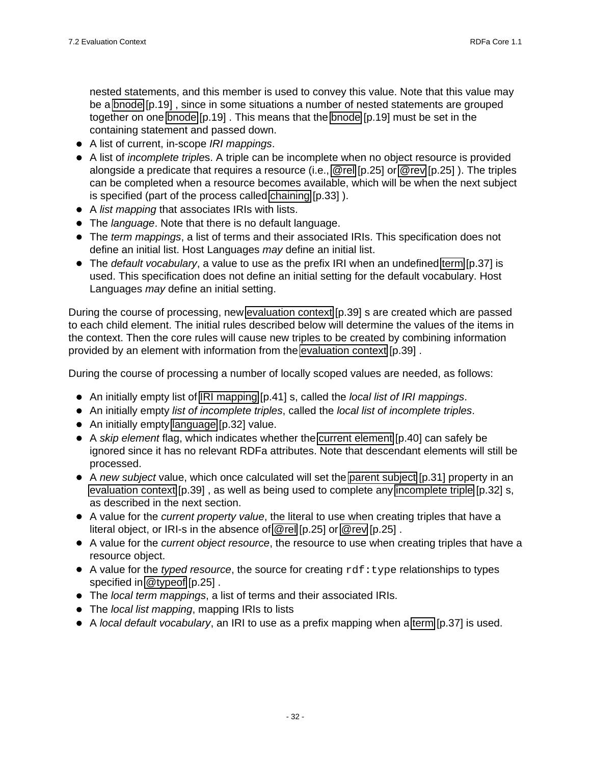nested statements, and this member is used to convey this value. Note that this value may be a [bnode](#page-18-5) [p.19] , since in some situations a number of nested statements are grouped together on one [bnode](#page-18-5) [p.19] . This means that the [bnode](#page-18-5) [p.19] must be set in the containing statement and passed down.

- A list of current, in-scope IRI mappings.
- <span id="page-31-2"></span>• A list of *incomplete triples*. A triple can be incomplete when no object resource is provided alongside a predicate that requires a resource (i.e., [@rel](#page-24-1) [p.25] or [@rev](#page-24-2) [p.25] ). The triples can be completed when a resource becomes available, which will be when the next subject is specified (part of the process called [chaining](#page-32-0) [p.33] ).
- A list mapping that associates IRIs with lists.
- <span id="page-31-1"></span>• The *language*. Note that there is no default language.
- The term mappings, a list of terms and their associated IRIs. This specification does not define an initial list. Host Languages may define an initial list.
- The *default vocabulary*, a value to use as the prefix IRI when an undefined [term](#page-36-1) [p.37] is used. This specification does not define an initial setting for the default vocabulary. Host Languages *may* define an initial setting.

During the course of processing, new [evaluation context](#page-38-1) [p.39] s are created which are passed to each child element. The initial rules described below will determine the values of the items in the context. Then the core rules will cause new triples to be created by combining information provided by an element with information from the [evaluation context](#page-38-1) [p.39] .

During the course of processing a number of locally scoped values are needed, as follows:

- An initially empty list of [IRI mapping](#page-40-0) [p.41] s, called the *local list of IRI mappings*.
- An initially empty *list of incomplete triples*, called the *local list of incomplete triples*.
- An initially empty [language](#page-31-1) [p.32] value.
- $\bullet$  A skip element flag, which indicates whether the [current element](#page-39-0) [p.40] can safely be ignored since it has no relevant RDFa attributes. Note that descendant elements will still be processed.
- A new subject value, which once calculated will set the [parent subject](#page-30-4) [p.31] property in an [evaluation context](#page-38-1) [p.39], as well as being used to complete any [incomplete triple](#page-31-2) [p.32] s, as described in the next section.
- A value for the *current property value*, the literal to use when creating triples that have a literal object, or IRI-s in the absence of [@rel](#page-24-1) [p.25] or [@rev](#page-24-2) [p.25] .
- A value for the *current object resource*, the resource to use when creating triples that have a resource object.
- $\bullet$  A value for the *typed resource*, the source for creating  $\text{rdf}:$  type relationships to types specified in [@typeof](#page-24-6) [p.25] .
- The *local term mappings*, a list of terms and their associated IRIs.
- The *local list mapping*, mapping IRIs to lists
- <span id="page-31-0"></span>A local default vocabulary, an IRI to use as a prefix mapping when a [term](#page-36-1) [p.37] is used.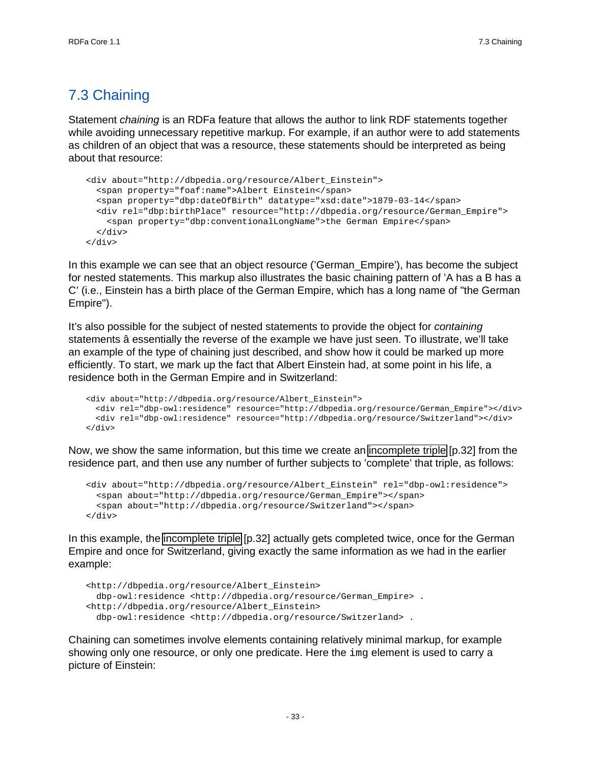### 7.3 Chaining

<span id="page-32-0"></span>Statement *chaining* is an RDFa feature that allows the author to link RDF statements together while avoiding unnecessary repetitive markup. For example, if an author were to add statements as children of an object that was a resource, these statements should be interpreted as being about that resource:

```
<div about="http://dbpedia.org/resource/Albert_Einstein">
  <span property="foaf:name">Albert Einstein</span>
  <span property="dbp:dateOfBirth" datatype="xsd:date">1879-03-14</span>
  <div rel="dbp:birthPlace" resource="http://dbpedia.org/resource/German_Empire">
    <span property="dbp:conventionalLongName">the German Empire</span>
  </div>
</div>
```
In this example we can see that an object resource ('German\_Empire'), has become the subject for nested statements. This markup also illustrates the basic chaining pattern of 'A has a B has a C' (i.e., Einstein has a birth place of the German Empire, which has a long name of "the German Empire").

It's also possible for the subject of nested statements to provide the object for *containing* statements â essentially the reverse of the example we have just seen. To illustrate, we'll take an example of the type of chaining just described, and show how it could be marked up more efficiently. To start, we mark up the fact that Albert Einstein had, at some point in his life, a residence both in the German Empire and in Switzerland:

```
<div about="http://dbpedia.org/resource/Albert_Einstein">
  <div rel="dbp-owl:residence" resource="http://dbpedia.org/resource/German_Empire"></div>
  <div rel="dbp-owl:residence" resource="http://dbpedia.org/resource/Switzerland"></div>
</div>
```
Now, we show the same information, but this time we create an [incomplete triple](#page-31-2) [p.32] from the residence part, and then use any number of further subjects to 'complete' that triple, as follows:

```
<div about="http://dbpedia.org/resource/Albert_Einstein" rel="dbp-owl:residence">
  <span about="http://dbpedia.org/resource/German_Empire"></span>
  <span about="http://dbpedia.org/resource/Switzerland"></span>
</div>
```
In this example, the [incomplete triple](#page-31-2) [p.32] actually gets completed twice, once for the German Empire and once for Switzerland, giving exactly the same information as we had in the earlier example:

```
<http://dbpedia.org/resource/Albert_Einstein>
  dbp-owl:residence <http://dbpedia.org/resource/German_Empire> .
<http://dbpedia.org/resource/Albert_Einstein>
  dbp-owl:residence <http://dbpedia.org/resource/Switzerland> .
```
Chaining can sometimes involve elements containing relatively minimal markup, for example showing only one resource, or only one predicate. Here the img element is used to carry a picture of Einstein: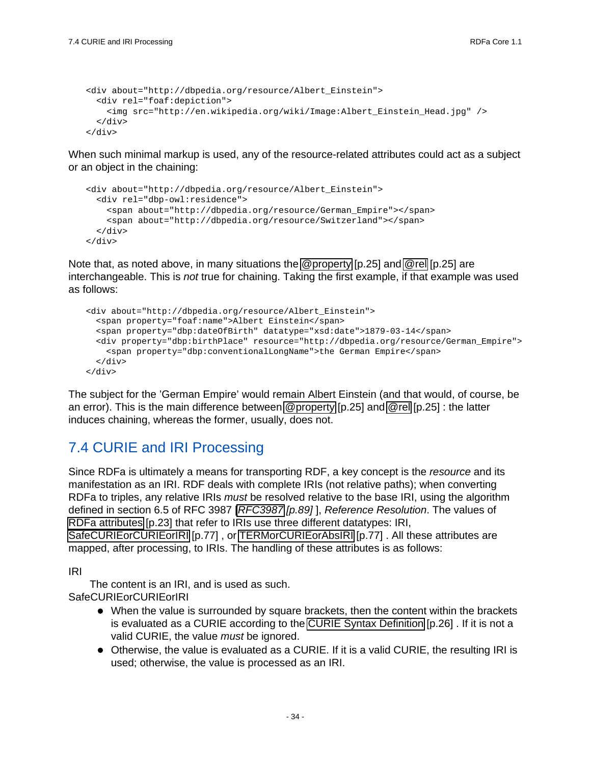```
<div about="http://dbpedia.org/resource/Albert_Einstein">
   <div rel="foaf:depiction">
     <img src="http://en.wikipedia.org/wiki/Image:Albert_Einstein_Head.jpg" />
   </div>
</div>
```
When such minimal markup is used, any of the resource-related attributes could act as a subject or an object in the chaining:

```
<div about="http://dbpedia.org/resource/Albert_Einstein">
   <div rel="dbp-owl:residence">
     <span about="http://dbpedia.org/resource/German_Empire"></span>
     <span about="http://dbpedia.org/resource/Switzerland"></span>
  </div>
</div>
```
Note that, as noted above, in many situations the [@property](#page-24-3) [p.25] and [@rel](#page-24-1) [p.25] are interchangeable. This is not true for chaining. Taking the first example, if that example was used as follows:

```
<div about="http://dbpedia.org/resource/Albert_Einstein">
   <span property="foaf:name">Albert Einstein</span>
   <span property="dbp:dateOfBirth" datatype="xsd:date">1879-03-14</span>
   <div property="dbp:birthPlace" resource="http://dbpedia.org/resource/German_Empire">
     <span property="dbp:conventionalLongName">the German Empire</span>
   </div>
</div>
```
The subject for the 'German Empire' would remain Albert Einstein (and that would, of course, be an error). This is the main difference between [@property](#page-24-3) [p.25] and [@rel](#page-24-1) [p.25] : the latter induces chaining, whereas the former, usually, does not.

#### <span id="page-33-0"></span>7.4 CURIE and IRI Processing

Since RDFa is ultimately a means for transporting RDF, a key concept is the resource and its manifestation as an IRI. RDF deals with complete IRIs (not relative paths); when converting RDFa to triples, any relative IRIs *must* be resolved relative to the base IRI, using the algorithm defined in section 6.5 of RFC 3987 [[RFC3987](#page-88-8) [p.89] ], Reference Resolution. The values of [RDFa attributes](#page-22-0) [p.23] that refer to IRIs use three different datatypes: IRI, [SafeCURIEorCURIEorIRI](#page-76-2) [p.77] , or [TERMorCURIEorAbsIRI](#page-76-3) [p.77] . All these attributes are mapped, after processing, to IRIs. The handling of these attributes is as follows:

IRI

The content is an IRI, and is used as such. SafeCURIEorCURIEorIRI

- When the value is surrounded by square brackets, then the content within the brackets is evaluated as a CURIE according to the [CURIE Syntax Definition](#page-25-2) [p.26] . If it is not a valid CURIE, the value must be ignored.
- Otherwise, the value is evaluated as a CURIE. If it is a valid CURIE, the resulting IRI is used; otherwise, the value is processed as an IRI.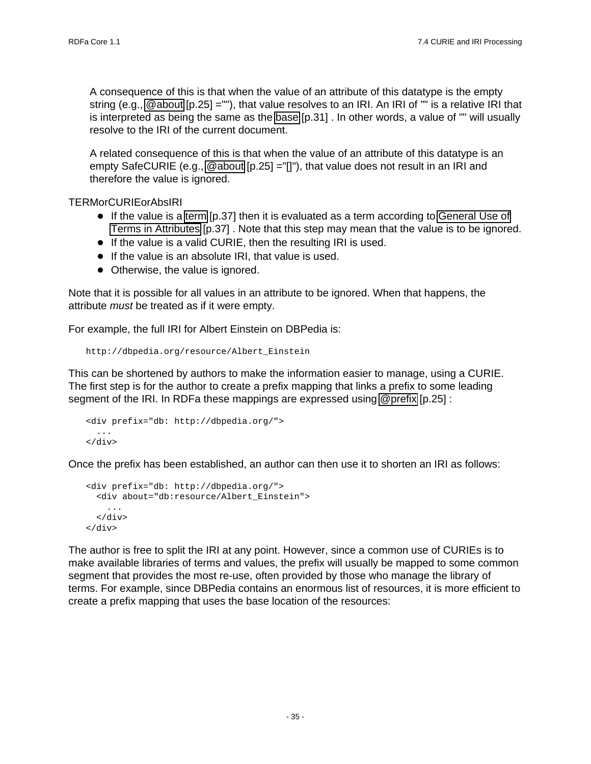A consequence of this is that when the value of an attribute of this datatype is the empty string (e.g., [@about](#page-24-7) [p.25] =""), that value resolves to an IRI. An IRI of "" is a relative IRI that is interpreted as being the same as the [base](#page-30-3) [p.31] . In other words, a value of "" will usually resolve to the IRI of the current document.

A related consequence of this is that when the value of an attribute of this datatype is an empty SafeCURIE (e.g., [@about](#page-24-7) [p.25] ="[]"), that value does not result in an IRI and therefore the value is ignored.

TERMorCURIEorAbsIRI

- $\bullet$  If the value is a [term](#page-36-1) [p.37] then it is evaluated as a term according to [General Use of](#page-36-0) [Terms in Attributes](#page-36-0) [p.37] . Note that this step may mean that the value is to be ignored.
- If the value is a valid CURIE, then the resulting IRI is used.
- If the value is an absolute IRI, that value is used.
- Otherwise, the value is ignored.

Note that it is possible for all values in an attribute to be ignored. When that happens, the attribute must be treated as if it were empty.

For example, the full IRI for Albert Einstein on DBPedia is:

```
http://dbpedia.org/resource/Albert_Einstein
```
This can be shortened by authors to make the information easier to manage, using a CURIE. The first step is for the author to create a prefix mapping that links a prefix to some leading segment of the IRI. In RDFa these mappings are expressed using [@prefix](#page-24-10) [p.25] :

```
<div prefix="db: http://dbpedia.org/">
  ...
</div>
```
Once the prefix has been established, an author can then use it to shorten an IRI as follows:

```
<div prefix="db: http://dbpedia.org/">
  <div about="db:resource/Albert_Einstein">
  </div>
</div>
```
The author is free to split the IRI at any point. However, since a common use of CURIEs is to make available libraries of terms and values, the prefix will usually be mapped to some common segment that provides the most re-use, often provided by those who manage the library of terms. For example, since DBPedia contains an enormous list of resources, it is more efficient to create a prefix mapping that uses the base location of the resources: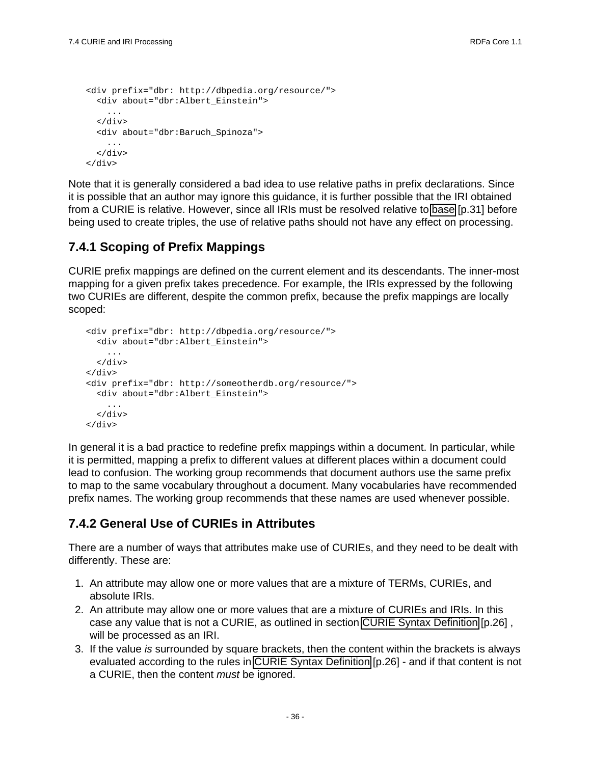```
<div prefix="dbr: http://dbpedia.org/resource/">
   <div about="dbr:Albert_Einstein">
     ...
   </div>
   <div about="dbr:Baruch_Spinoza">
     ...
   </div>
</div>
```
Note that it is generally considered a bad idea to use relative paths in prefix declarations. Since it is possible that an author may ignore this guidance, it is further possible that the IRI obtained from a CURIE is relative. However, since all IRIs must be resolved relative to [base](#page-30-3) [p.31] before being used to create triples, the use of relative paths should not have any effect on processing.

#### <span id="page-35-0"></span>**7.4.1 Scoping of Prefix Mappings**

CURIE prefix mappings are defined on the current element and its descendants. The inner-most mapping for a given prefix takes precedence. For example, the IRIs expressed by the following two CURIEs are different, despite the common prefix, because the prefix mappings are locally scoped:

```
<div prefix="dbr: http://dbpedia.org/resource/">
   <div about="dbr:Albert_Einstein">
     ...
   </div>
</div>
<div prefix="dbr: http://someotherdb.org/resource/">
   <div about="dbr:Albert_Einstein">
     ...
   </div>
</div>
```
In general it is a bad practice to redefine prefix mappings within a document. In particular, while it is permitted, mapping a prefix to different values at different places within a document could lead to confusion. The working group recommends that document authors use the same prefix to map to the same vocabulary throughout a document. Many vocabularies have recommended prefix names. The working group recommends that these names are used whenever possible.

#### <span id="page-35-1"></span>**7.4.2 General Use of CURIEs in Attributes**

There are a number of ways that attributes make use of CURIEs, and they need to be dealt with differently. These are:

- 1. An attribute may allow one or more values that are a mixture of TERMs, CURIEs, and absolute IRIs.
- 2. An attribute may allow one or more values that are a mixture of CURIEs and IRIs. In this case any value that is not a CURIE, as outlined in section [CURIE Syntax Definition](#page-25-2) [p.26] , will be processed as an IRI.
- 3. If the value is surrounded by square brackets, then the content within the brackets is always evaluated according to the rules in [CURIE Syntax Definition](#page-25-2) [p.26] - and if that content is not a CURIE, then the content *must* be ignored.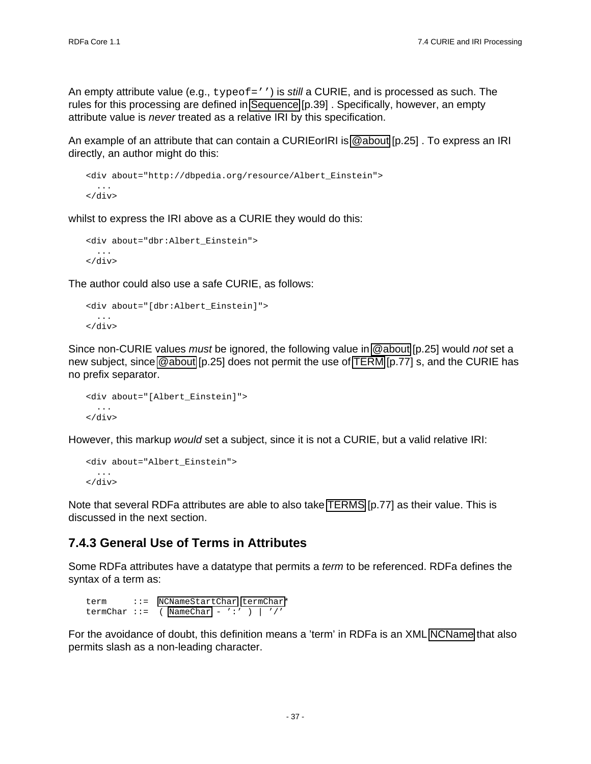An empty attribute value (e.g.,  $typeof='')$  is still a CURIE, and is processed as such. The rules for this processing are defined in [Sequence](#page-38-0) [p.39] . Specifically, however, an empty attribute value is never treated as a relative IRI by this specification.

An example of an attribute that can contain a CURIEorIRI is [@about](#page-24-0) [p.25] . To express an IRI directly, an author might do this:

```
<div about="http://dbpedia.org/resource/Albert_Einstein">
  ...
</div>
```
whilst to express the IRI above as a CURIE they would do this:

```
<div about="dbr:Albert_Einstein">
   ...
</div>
```
The author could also use a safe CURIE, as follows:

```
<div about="[dbr:Albert_Einstein]">
   ...
</div>
```
Since non-CURIE values must be ignored, the following value in [@about](#page-24-0) [p.25] would not set a new subject, since [@about](#page-24-0) [p.25] does not permit the use of [TERM](#page-76-0) [p.77] s, and the CURIE has no prefix separator.

```
<div about="[Albert_Einstein]">
   ...
</div>
```
However, this markup would set a subject, since it is not a CURIE, but a valid relative IRI:

```
<div about="Albert_Einstein">
  ...
</div>
```
Note that several RDFa attributes are able to also take [TERMS](#page-76-0) [p.77] as their value. This is discussed in the next section.

## **7.4.3 General Use of Terms in Attributes**

<span id="page-36-2"></span><span id="page-36-1"></span>Some RDFa attributes have a datatype that permits a term to be referenced. RDFa defines the syntax of a term as:

```
term ::= NCNameStartChar termChar*
termChar ::= NameChar - ':' ) | '/'
```
<span id="page-36-0"></span>For the avoidance of doubt, this definition means a 'term' in RDFa is an XML [NCName](http://www.w3.org/TR/2006/REC-xml-names-20060816/#NT-NCName) that also permits slash as a non-leading character.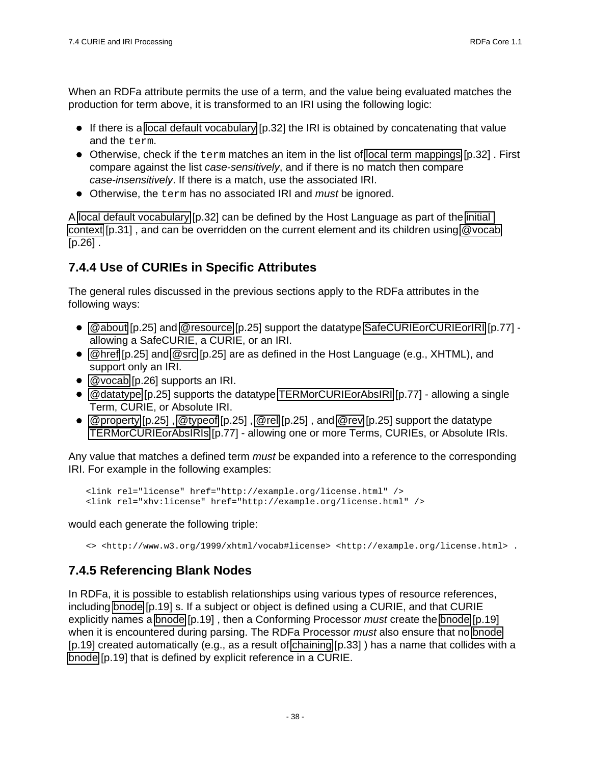When an RDFa attribute permits the use of a term, and the value being evaluated matches the production for term above, it is transformed to an IRI using the following logic:

- $\bullet$  If there is a [local default vocabulary](#page-31-0) [p.32] the IRI is obtained by concatenating that value and the term.
- $\bullet$  Otherwise, check if the term matches an item in the list of [local term mappings](#page-31-1) [p.32]. First compare against the list case-sensitively, and if there is no match then compare case-insensitively. If there is a match, use the associated IRI.
- $\bullet$  Otherwise, the term has no associated IRI and *must* be ignored.

A [local default vocabulary](#page-31-0) [p.32] can be defined by the Host Language as part of the [initial](#page-30-0)  [context](#page-30-0) [p.31] , and can be overridden on the current element and its children using [@vocab](#page-25-0)   $[p.26]$ .

## **7.4.4 Use of CURIEs in Specific Attributes**

The general rules discussed in the previous sections apply to the RDFa attributes in the following ways:

- [@about](#page-24-0) [p.25] and [@resource](#page-24-1) [p.25] support the datatype [SafeCURIEorCURIEorIRI](#page-76-1) [p.77] allowing a SafeCURIE, a CURIE, or an IRI.
- [@href](#page-24-2) [p.25] and [@src](#page-24-3) [p.25] are as defined in the Host Language (e.g., XHTML), and support only an IRI.
- [@vocab](#page-25-0) [p.26] supports an IRI.
- [@datatype](#page-24-4) [p.25] supports the datatype [TERMorCURIEorAbsIRI](#page-76-2) [p.77] allowing a single Term, CURIE, or Absolute IRI.
- [@property](#page-24-5) [p.25] , [@typeof](#page-24-6) [p.25] , [@rel](#page-24-7) [p.25] , and [@rev](#page-24-8) [p.25] support the datatype [TERMorCURIEorAbsIRIs](#page-76-3) [p.77] - allowing one or more Terms, CURIEs, or Absolute IRIs.

Any value that matches a defined term *must* be expanded into a reference to the corresponding IRI. For example in the following examples:

```
<link rel="license" href="http://example.org/license.html" />
<link rel="xhv:license" href="http://example.org/license.html" />
```
would each generate the following triple:

<> <http://www.w3.org/1999/xhtml/vocab#license> <http://example.org/license.html> .

## **7.4.5 Referencing Blank Nodes**

In RDFa, it is possible to establish relationships using various types of resource references, including [bnode](#page-18-0) [p.19] s. If a subject or object is defined using a CURIE, and that CURIE explicitly names a [bnode](#page-18-0) [p.19] , then a Conforming Processor must create the [bnode](#page-18-0) [p.19] when it is encountered during parsing. The RDFa Processor *must* also ensure that no bnode [p.19] created automatically (e.g., as a result of [chaining](#page-32-0) [p.33] ) has a name that collides with a [bnode](#page-18-0) [p.19] that is defined by explicit reference in a CURIE.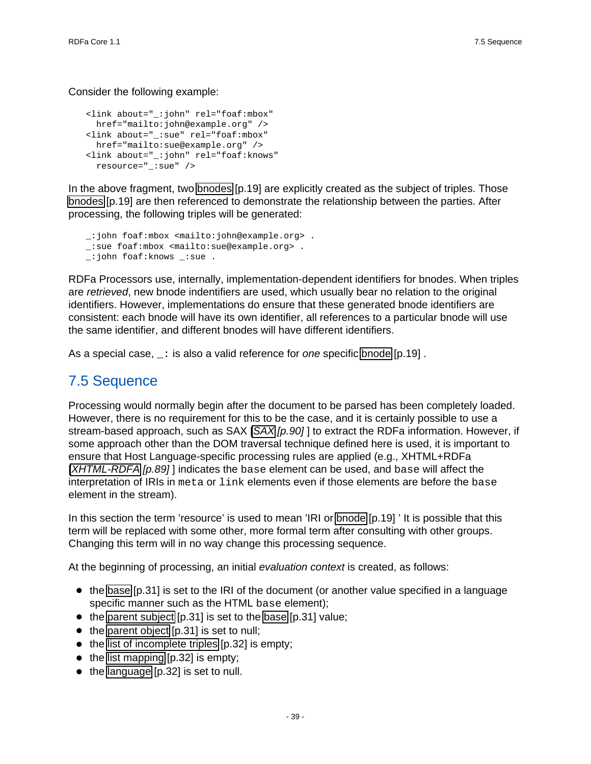Consider the following example:

```
<link about="_:john" rel="foaf:mbox"
  href="mailto:john@example.org" />
<link about="_:sue" rel="foaf:mbox"
  href="mailto:sue@example.org" />
<link about="_:john" rel="foaf:knows"
  resource="_:sue" />
```
In the above fragment, two [bnodes](#page-18-0) [p.19] are explicitly created as the subject of triples. Those [bnodes](#page-18-0) [p.19] are then referenced to demonstrate the relationship between the parties. After processing, the following triples will be generated:

```
_:john foaf:mbox <mailto:john@example.org> .
_:sue foaf:mbox <mailto:sue@example.org> .
_:john foaf:knows _:sue .
```
RDFa Processors use, internally, implementation-dependent identifiers for bnodes. When triples are retrieved, new bnode indentifiers are used, which usually bear no relation to the original identifiers. However, implementations do ensure that these generated bnode identifiers are consistent: each bnode will have its own identifier, all references to a particular bnode will use the same identifier, and different bnodes will have different identifiers.

As a special case,  $\overline{\phantom{a}}$ : is also a valid reference for one specific [bnode](#page-18-0) [p.19].

## <span id="page-38-0"></span>7.5 Sequence

Processing would normally begin after the document to be parsed has been completely loaded. However, there is no requirement for this to be the case, and it is certainly possible to use a stream-based approach, such as [SAX](#page-89-0)  $[SAX]$   $[DAY]$  to extract the RDFa information. However, if some approach other than the DOM traversal technique defined here is used, it is important to ensure that Host Language-specific processing rules are applied (e.g., XHTML+RDFa [[XHTML-RDFA](#page-88-0) [p.89]] indicates the base element can be used, and base will affect the interpretation of IRIs in meta or link elements even if those elements are before the base element in the stream).

In this section the term 'resource' is used to mean 'IRI or [bnode](#page-18-0) [p.19] ' It is possible that this term will be replaced with some other, more formal term after consulting with other groups. Changing this term will in no way change this processing sequence.

<span id="page-38-1"></span>At the beginning of processing, an initial evaluation context is created, as follows:

- $\bullet$  the [base](#page-30-1) [p.31] is set to the IRI of the document (or another value specified in a language specific manner such as the HTML base element);
- $\bullet$  the [parent subject](#page-30-2) [p.31] is set to the [base](#page-30-1) [p.31] value;
- $\bullet$  the [parent object](#page-30-3)  $[p.31]$  is set to null;
- $\bullet$  the [list of incomplete triples](#page-31-2) [p.32] is empty;
- $\bullet$  the [list mapping](#page-31-3)  $[p.32]$  is empty;
- $\bullet$  the [language](#page-31-4) [p.32] is set to null.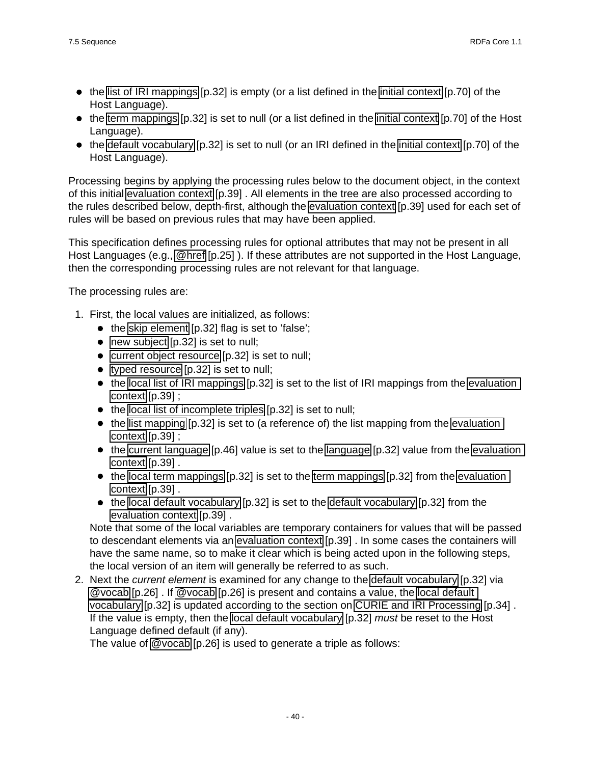- $\bullet$  the [list of IRI mappings](#page-31-5) [p.32] is empty (or a list defined in the [initial context](#page-69-0) [p.70] of the Host Language).
- $\bullet$  the [term mappings](#page-31-6) [p.32] is set to null (or a list defined in the [initial context](#page-69-0) [p.70] of the Host Language).
- $\bullet$  the [default vocabulary](#page-31-7) [p.32] is set to null (or an IRI defined in the [initial context](#page-69-0) [p.70] of the Host Language).

Processing begins by applying the processing rules below to the document object, in the context of this initial [evaluation context](#page-38-1) [p.39] . All elements in the tree are also processed according to the rules described below, depth-first, although the [evaluation context](#page-38-1) [p.39] used for each set of rules will be based on previous rules that may have been applied.

This specification defines processing rules for optional attributes that may not be present in all Host Languages (e.g., [@href](#page-24-2) [p.25] ). If these attributes are not supported in the Host Language, then the corresponding processing rules are not relevant for that language.

The processing rules are:

- 1. First, the local values are initialized, as follows:
	- $\bullet$  the [skip element](#page-31-8) [p.32] flag is set to 'false';
	- $\bullet$  [new subject](#page-31-9) [p.32] is set to null;
	- [current object resource](#page-31-10) [p.32] is set to null;
	- [typed resource](#page-31-11) [p.32] is set to null;
	- $\bullet$  the [local list of IRI mappings](#page-31-12) [p.32] is set to the list of IRI mappings from the evaluation [context](#page-38-1) [p.39] ;
	- $\bullet$  the [local list of incomplete triples](#page-31-2) [p.32] is set to null;
	- $\bullet$  the [list mapping](#page-31-3) [p.32] is set to (a reference of) the list mapping from the evaluation [context](#page-38-1) [p.39] ;
	- $\bullet$  the [current language](#page-45-0) [p.46] value is set to the [language](#page-31-4) [p.32] value from the evaluation [context](#page-38-1) [p.39] .
	- $\bullet$  the [local term mappings](#page-31-1) [p.32] is set to the [term mappings](#page-31-6) [p.32] from the evaluation [context](#page-38-1) [p.39] .
	- the [local default vocabulary](#page-31-0) [p.32] is set to the [default vocabulary](#page-31-7) [p.32] from the [evaluation context](#page-38-1) [p.39] .

Note that some of the local variables are temporary containers for values that will be passed to descendant elements via an [evaluation context](#page-38-1) [p.39] . In some cases the containers will have the same name, so to make it clear which is being acted upon in the following steps, the local version of an item will generally be referred to as such.

<span id="page-39-0"></span>2. Next the *current element* is examined for any change to the [default vocabulary](#page-31-7) [p.32] via [@vocab](#page-25-0) [p.26] . If [@vocab](#page-25-0) [p.26] is present and contains a value, the [local default](#page-31-0)  [vocabulary](#page-31-0) [p.32] is updated according to the section on [CURIE and IRI Processing](#page-33-0) [p.34] . If the value is empty, then the [local default vocabulary](#page-31-0) [p.32] must be reset to the Host Language defined default (if any).

The value of [@vocab](#page-25-0) [p.26] is used to generate a triple as follows: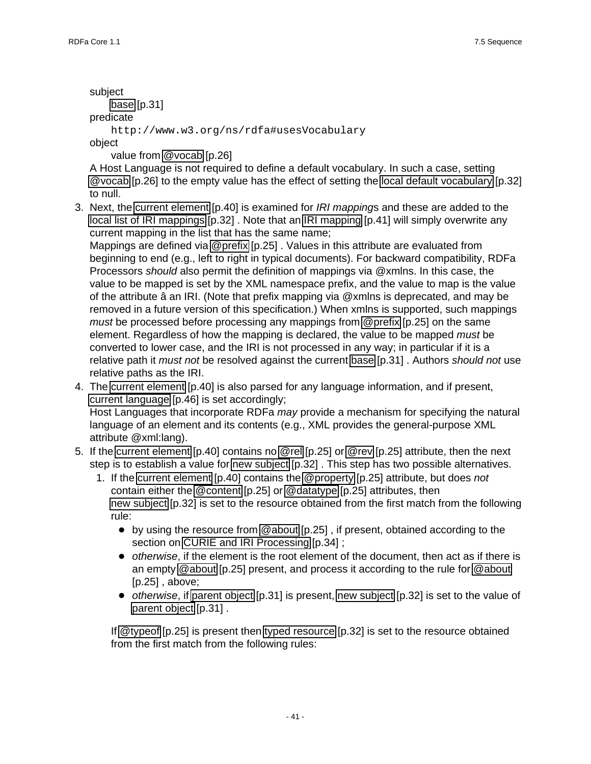```
subject 
   base [p.31] 
predicate 
   http://www.w3.org/ns/rdfa#usesVocabulary
```
object

value from [@vocab](#page-25-0) [p.26]

A Host Language is not required to define a default vocabulary. In such a case, setting [@vocab](#page-25-0) [p.26] to the empty value has the effect of setting the [local default vocabulary](#page-31-0) [p.32] to null.

<span id="page-40-0"></span>3. Next, the [current element](#page-39-0) [p.40] is examined for IRI mappings and these are added to the [local list of IRI mappings](#page-31-12) [p.32] . Note that an [IRI mapping](#page-40-0) [p.41] will simply overwrite any current mapping in the list that has the same name;

Mappings are defined via [@prefix](#page-24-9) [p.25] . Values in this attribute are evaluated from beginning to end (e.g., left to right in typical documents). For backward compatibility, RDFa Processors *should* also permit the definition of mappings via @xmlns. In this case, the value to be mapped is set by the XML namespace prefix, and the value to map is the value of the attribute â an IRI. (Note that prefix mapping via @xmlns is deprecated, and may be removed in a future version of this specification.) When xmlns is supported, such mappings must be processed before processing any mappings from [@prefix](#page-24-9) [p.25] on the same element. Regardless of how the mapping is declared, the value to be mapped must be converted to lower case, and the IRI is not processed in any way; in particular if it is a relative path it *must not* be resolved against the current [base](#page-30-1) [p.31]. Authors should not use relative paths as the IRI.

- 4. The [current element](#page-39-0) [p.40] is also parsed for any language information, and if present, [current language](#page-45-0) [p.46] is set accordingly; Host Languages that incorporate RDFa may provide a mechanism for specifying the natural language of an element and its contents (e.g., XML provides the general-purpose XML attribute @xml:lang).
- 5. If the [current element](#page-39-0) [p.40] contains no [@rel](#page-24-7) [p.25] or [@rev](#page-24-8) [p.25] attribute, then the next step is to establish a value for [new subject](#page-31-9) [p.32] . This step has two possible alternatives.
	- 1. If the [current element](#page-39-0) [p.40] contains the [@property](#page-24-5) [p.25] attribute, but does not contain either the [@content](#page-24-10) [p.25] or [@datatype](#page-24-4) [p.25] attributes, then [new subject](#page-31-9) [p.32] is set to the resource obtained from the first match from the following rule:
		- $\bullet$  by using the resource from [@about](#page-24-0) [p.25], if present, obtained according to the section on [CURIE and IRI Processing](#page-33-0) [p.34] ;
		- $\bullet$  otherwise, if the element is the root element of the document, then act as if there is an empty [@about](#page-24-0) [p.25] present, and process it according to the rule for [@about](#page-24-0)   $[p.25]$ , above;
		- $\bullet$  otherwise, if [parent object](#page-30-3) [p.31] is present, [new subject](#page-31-9) [p.32] is set to the value of [parent object](#page-30-3) [p.31] .

If [@typeof](#page-24-6) [p.25] is present then [typed resource](#page-31-11) [p.32] is set to the resource obtained from the first match from the following rules: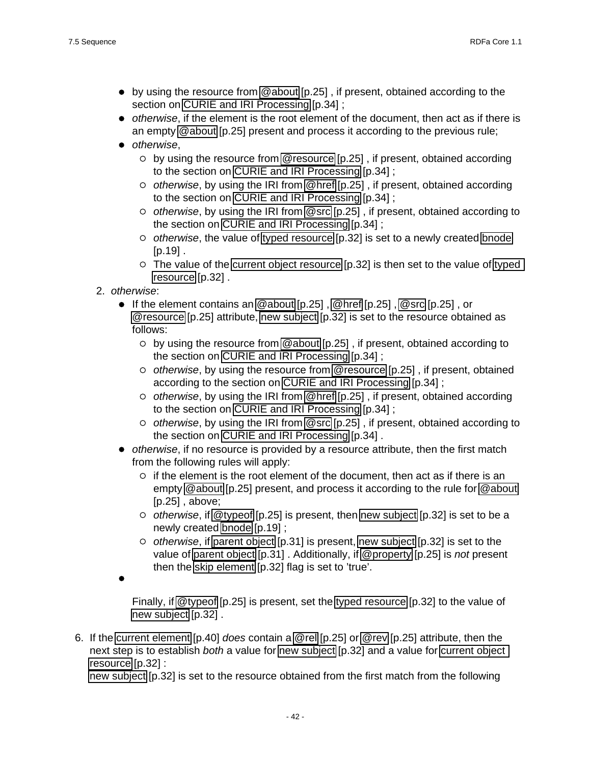- $\bullet$  by using the resource from [@about](#page-24-0) [p.25], if present, obtained according to the section on [CURIE and IRI Processing](#page-33-0) [p.34] ;
- $\bullet$  otherwise, if the element is the root element of the document, then act as if there is an empty [@about](#page-24-0) [p.25] present and process it according to the previous rule;
- otherwise.
	- $\circ$  by using the resource from [@resource](#page-24-1) [p.25], if present, obtained according to the section on [CURIE and IRI Processing](#page-33-0) [p.34] ;
	- $\circ$  otherwise, by using the IRI from [@href](#page-24-2) [p.25], if present, obtained according to the section on [CURIE and IRI Processing](#page-33-0) [p.34] ;
	- $\circ$  otherwise, by using the IRI from [@src](#page-24-3) [p.25], if present, obtained according to the section on [CURIE and IRI Processing](#page-33-0) [p.34] ;
	- $\circ$  otherwise, the value of [typed resource](#page-31-11) [p.32] is set to a newly created bnode  $[p.19]$ .
	- $\circ$  The value of the [current object resource](#page-31-10) [p.32] is then set to the value of typed [resource](#page-31-11) [p.32] .
- 2. otherwise:
	- If the element contains an [@about](#page-24-0) [p.25] , [@href](#page-24-2) [p.25] , [@src](#page-24-3) [p.25] , or [@resource](#page-24-1) [p.25] attribute, [new subject](#page-31-9) [p.32] is set to the resource obtained as follows:
		- $\circ$  by using the resource from [@about](#page-24-0) [p.25], if present, obtained according to the section on [CURIE and IRI Processing](#page-33-0) [p.34] ;
		- $\circ$  otherwise, by using the resource from [@resource](#page-24-1) [p.25], if present, obtained according to the section on [CURIE and IRI Processing](#page-33-0) [p.34] ;
		- $\circ$  otherwise, by using the IRI from [@href](#page-24-2) [p.25], if present, obtained according to the section on [CURIE and IRI Processing](#page-33-0) [p.34] ;
		- $\circ$  otherwise, by using the IRI from [@src](#page-24-3) [p.25], if present, obtained according to the section on [CURIE and IRI Processing](#page-33-0) [p.34] .
	- $\bullet$  otherwise, if no resource is provided by a resource attribute, then the first match from the following rules will apply:
		- $\circ$  if the element is the root element of the document, then act as if there is an empty [@about](#page-24-0) [p.25] present, and process it according to the rule for [@about](#page-24-0)   $[p.25]$ , above;
		- $\circ$  otherwise, if [@typeof](#page-24-6) [p.25] is present, then [new subject](#page-31-9) [p.32] is set to be a newly created [bnode](#page-18-0) [p.19] ;
		- $\circ$  otherwise, if [parent object](#page-30-3) [p.31] is present, [new subject](#page-31-9) [p.32] is set to the value of [parent object](#page-30-3) [p.31] . Additionally, if [@property](#page-24-5) [p.25] is not present then the [skip element](#page-31-8) [p.32] flag is set to 'true'.
	-

Finally, if [@typeof](#page-24-6) [p.25] is present, set the [typed resource](#page-31-11) [p.32] to the value of [new subject](#page-31-9) [p.32] .

6. If the [current element](#page-39-0) [p.40] does contain a [@rel](#page-24-7) [p.25] or [@rev](#page-24-8) [p.25] attribute, then the next step is to establish both a value for [new subject](#page-31-9) [p.32] and a value for current object [resource](#page-31-10) [p.32] :

[new subject](#page-31-9) [p.32] is set to the resource obtained from the first match from the following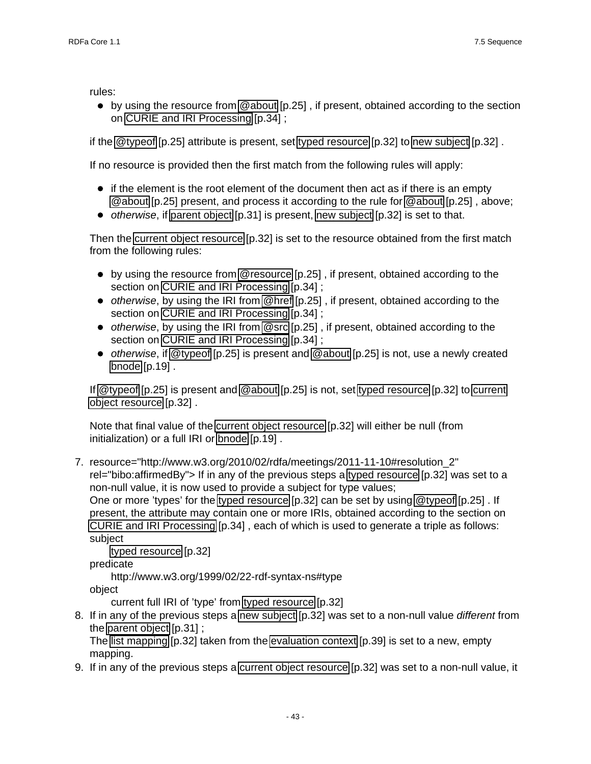rules:

• by using the resource from [@about](#page-24-0) [p.25], if present, obtained according to the section on [CURIE and IRI Processing](#page-33-0) [p.34] ;

if the [@typeof](#page-24-6) [p.25] attribute is present, set [typed resource](#page-31-11) [p.32] to [new subject](#page-31-9) [p.32] .

If no resource is provided then the first match from the following rules will apply:

- $\bullet$  if the element is the root element of the document then act as if there is an empty [@about](#page-24-0) [p.25] present, and process it according to the rule for [@about](#page-24-0) [p.25] , above;
- $\bullet$  otherwise, if [parent object](#page-30-3) [p.31] is present, [new subject](#page-31-9) [p.32] is set to that.

Then the [current object resource](#page-31-10) [p.32] is set to the resource obtained from the first match from the following rules:

- by using the resource from [@resource](#page-24-1) [p.25] , if present, obtained according to the section on [CURIE and IRI Processing](#page-33-0) [p.34] ;
- otherwise, by using the IRI from [@href](#page-24-2) [p.25], if present, obtained according to the section on [CURIE and IRI Processing](#page-33-0) [p.34] ;
- otherwise, by using the IRI from [@src](#page-24-3) [p.25], if present, obtained according to the section on [CURIE and IRI Processing](#page-33-0) [p.34] ;
- $\bullet$  otherwise, if [@typeof](#page-24-6) [p.25] is present and [@about](#page-24-0) [p.25] is not, use a newly created [bnode](#page-18-0) [p.19] .

If [@typeof](#page-24-6) [p.25] is present and [@about](#page-24-0) [p.25] is not, set [typed resource](#page-31-11) [p.32] to [current](#page-31-10) [object resource](#page-31-10) [p.32] .

Note that final value of the [current object resource](#page-31-10) [p.32] will either be null (from initialization) or a full IRI or [bnode](#page-18-0) [p.19] .

7. resource="http://www.w3.org/2010/02/rdfa/meetings/2011-11-10#resolution\_2" rel="bibo:affirmedBy"> If in any of the previous steps a [typed resource](#page-31-11) [p.32] was set to a non-null value, it is now used to provide a subject for type values;

One or more 'types' for the [typed resource](#page-31-11) [p.32] can be set by using [@typeof](#page-24-6) [p.25] . If present, the attribute may contain one or more IRIs, obtained according to the section on [CURIE and IRI Processing](#page-33-0) [p.34] , each of which is used to generate a triple as follows: subject

[typed resource](#page-31-11) [p.32] predicate http://www.w3.org/1999/02/22-rdf-syntax-ns#type

object

current full IRI of 'type' from [typed resource](#page-31-11) [p.32]

8. If in any of the previous steps a [new subject](#page-31-9) [p.32] was set to a non-null value different from the [parent object](#page-30-3) [p.31] ;

The [list mapping](#page-31-3) [p.32] taken from the [evaluation context](#page-38-1) [p.39] is set to a new, empty mapping.

9. If in any of the previous steps a [current object resource](#page-31-10) [p.32] was set to a non-null value, it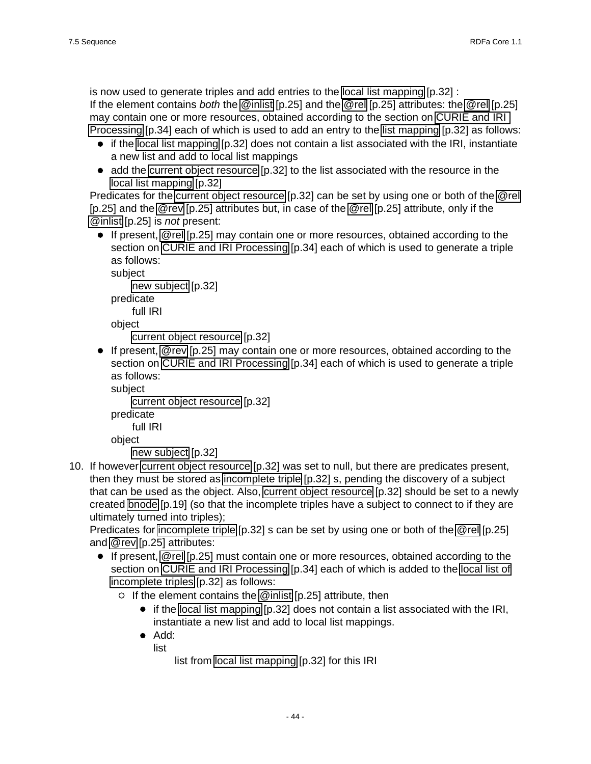is now used to generate triples and add entries to the [local list mapping](#page-31-13) [p.32] : If the element contains both the [@inlist](#page-24-11) [p.25] and the [@rel](#page-24-7) [p.25] attributes: the [@rel](#page-24-7) [p.25] may contain one or more resources, obtained according to the section on [CURIE and IRI](#page-33-0)  [Processing](#page-33-0) [p.34] each of which is used to add an entry to the [list mapping](#page-31-3) [p.32] as follows:

- $\bullet$  if the [local list mapping](#page-31-13) [p.32] does not contain a list associated with the IRI, instantiate a new list and add to local list mappings
- $\bullet$  add the [current object resource](#page-31-10) [p.32] to the list associated with the resource in the [local list mapping](#page-31-13) [p.32]

Predicates for the [current object resource](#page-31-10) [p.32] can be set by using one or both of the [@rel](#page-24-7)  [p.25] and the [@rev](#page-24-8) [p.25] attributes but, in case of the [@rel](#page-24-7) [p.25] attribute, only if the [@inlist](#page-24-11) [p.25] is not present:

If present, [@rel](#page-24-7) [p.25] may contain one or more resources, obtained according to the section on [CURIE and IRI Processing](#page-33-0) [p.34] each of which is used to generate a triple as follows:

subject [new subject](#page-31-9) [p.32] predicate full IRI object

[current object resource](#page-31-10) [p.32]

If present, [@rev](#page-24-8) [p.25] may contain one or more resources, obtained according to the section on [CURIE and IRI Processing](#page-33-0) [p.34] each of which is used to generate a triple as follows:

```
subject 
     current object resource [p.32] 
predicate 
     full IRI 
object
```
[new subject](#page-31-9) [p.32]

10. If however [current object resource](#page-31-10) [p.32] was set to null, but there are predicates present, then they must be stored as [incomplete triple](#page-31-14) [p.32] s, pending the discovery of a subject that can be used as the object. Also, [current object resource](#page-31-10) [p.32] should be set to a newly created [bnode](#page-18-0) [p.19] (so that the incomplete triples have a subject to connect to if they are ultimately turned into triples);

Predicates for [incomplete triple](#page-31-14) [p.32] s can be set by using one or both of the [@rel](#page-24-7) [p.25] and [@rev](#page-24-8) [p.25] attributes:

- If present, [@rel](#page-24-7) [p.25] must contain one or more resources, obtained according to the section on [CURIE and IRI Processing](#page-33-0) [p.34] each of which is added to the [local list of](#page-31-2) [incomplete triples](#page-31-2) [p.32] as follows:
	- $\circ$  If the element contains the [@inlist](#page-24-11) [p.25] attribute, then
		- if the [local list mapping](#page-31-13) [p.32] does not contain a list associated with the IRI, instantiate a new list and add to local list mappings.
		- Add:

list

list from [local list mapping](#page-31-13) [p.32] for this IRI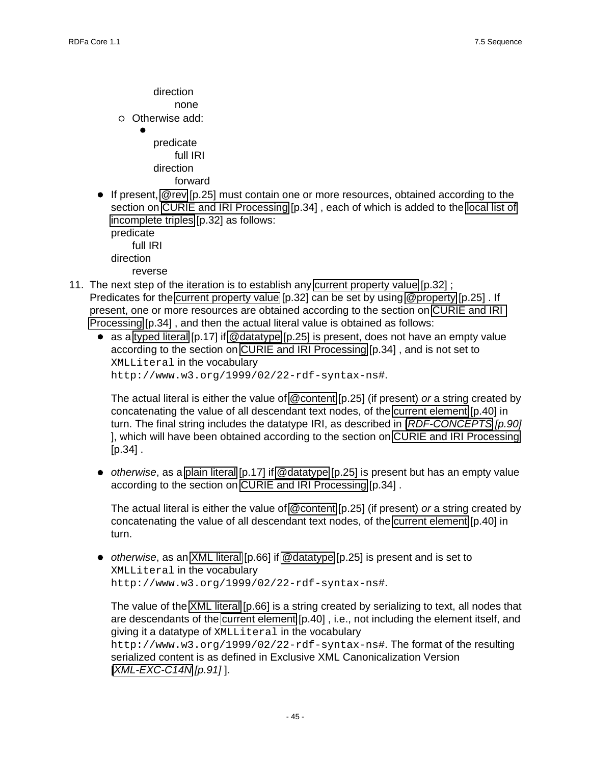direction

none

 $\circ$  Otherwise add:

predicate full IRI direction forward

If present, [@rev](#page-24-8) [p.25] must contain one or more resources, obtained according to the section on [CURIE and IRI Processing](#page-33-0) [p.34] , each of which is added to the [local list of](#page-31-2) [incomplete triples](#page-31-2) [p.32] as follows:

predicate full IRI direction

reverse

11. The next step of the iteration is to establish any [current property value](#page-31-15) [p.32] ;

Predicates for the [current property value](#page-31-15) [p.32] can be set by using [@property](#page-24-5) [p.25] . If present, one or more resources are obtained according to the section on [CURIE and IRI](#page-33-0)  [Processing](#page-33-0) [p.34] , and then the actual literal value is obtained as follows:

 $\bullet$  as a [typed literal](#page-16-0) [p.17] if [@datatype](#page-24-4) [p.25] is present, does not have an empty value according to the section on [CURIE and IRI Processing](#page-33-0) [p.34] , and is not set to XMLLiteral in the vocabulary

http://www.w3.org/1999/02/22-rdf-syntax-ns#.

The actual literal is either the value of [@content](#page-24-10) [p.25] (if present) or a string created by concatenating the value of all descendant text nodes, of the [current element](#page-39-0) [p.40] in turn. The final string includes the datatype IRI, as described in [*[RDF-CONCEPTS](#page-89-1) [p.90]* ], which will have been obtained according to the section on [CURIE and IRI Processing](#page-33-0)  [p.34] .

• otherwise, as a [plain literal](#page-16-1) [p.17] if [@datatype](#page-24-4) [p.25] is present but has an empty value according to the section on [CURIE and IRI Processing](#page-33-0) [p.34] .

The actual literal is either the value of [@content](#page-24-10) [p.25] (if present) or a string created by concatenating the value of all descendant text nodes, of the [current element](#page-39-0) [p.40] in turn.

otherwise, as an [XML literal](#page-65-0) [p.66] if [@datatype](#page-24-4) [p.25] is present and is set to XMLLiteral in the vocabulary http://www.w3.org/1999/02/22-rdf-syntax-ns#.

The value of the [XML literal](#page-65-0) [p.66] is a string created by serializing to text, all nodes that are descendants of the [current element](#page-39-0) [p.40] , i.e., not including the element itself, and giving it a datatype of XMLLiteral in the vocabulary

http://www.w3.org/1999/02/22-rdf-syntax-ns#. The format of the resulting serialized content is as defined in Exclusive XML Canonicalization Version  $[XML-EXC-C14N [p.91]$  $[XML-EXC-C14N [p.91]$  $[XML-EXC-C14N [p.91]$ .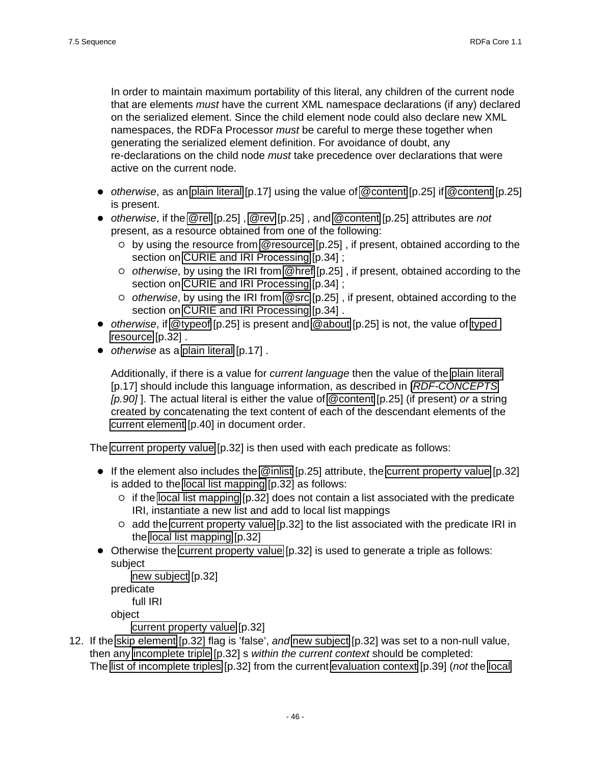In order to maintain maximum portability of this literal, any children of the current node that are elements must have the current XML namespace declarations (if any) declared on the serialized element. Since the child element node could also declare new XML namespaces, the RDFa Processor must be careful to merge these together when generating the serialized element definition. For avoidance of doubt, any re-declarations on the child node *must* take precedence over declarations that were active on the current node.

- $\bullet$  otherwise, as an [plain literal](#page-16-1) [p.17] using the value of [@content](#page-24-10) [p.25] if @content [p.25] is present.
- otherwise, if the [@rel](#page-24-7) [p.25], [@rev](#page-24-8) [p.25], and [@content](#page-24-10) [p.25] attributes are not present, as a resource obtained from one of the following:
	- $\circ$  by using the resource from [@resource](#page-24-1) [p.25], if present, obtained according to the section on [CURIE and IRI Processing](#page-33-0) [p.34] ;
	- $\circ$  otherwise, by using the IRI from [@href](#page-24-2) [p.25], if present, obtained according to the section on [CURIE and IRI Processing](#page-33-0) [p.34] ;
	- $\circ$  otherwise, by using the IRI from [@src](#page-24-3) [p.25], if present, obtained according to the section on [CURIE and IRI Processing](#page-33-0) [p.34] .
- $\bullet$  otherwise, if [@typeof](#page-24-6) [p.25] is present and [@about](#page-24-0) [p.25] is not, the value of typed [resource](#page-31-11) [p.32] .
- <span id="page-45-0"></span> $\bullet$  otherwise as a [plain literal](#page-16-1) [p.17].

Additionally, if there is a value for current language then the value of the [plain literal](#page-16-1)  [p.17] should include this language information, as described in [[RDF-CONCEPTS](#page-89-1)   $[p.90]$ . The actual literal is either the value of [@content](#page-24-10)  $[p.25]$  (if present) or a string created by concatenating the text content of each of the descendant elements of the [current element](#page-39-0) [p.40] in document order.

The [current property value](#page-31-15) [p.32] is then used with each predicate as follows:

- If the element also includes the [@inlist](#page-24-11) [p.25] attribute, the [current property value](#page-31-15) [p.32] is added to the [local list mapping](#page-31-13) [p.32] as follows:
	- $\circ$  if the [local list mapping](#page-31-13) [p.32] does not contain a list associated with the predicate IRI, instantiate a new list and add to local list mappings
	- $\circ$  add the [current property value](#page-31-15) [p.32] to the list associated with the predicate IRI in the [local list mapping](#page-31-13) [p.32]
- $\bullet$  Otherwise the [current property value](#page-31-15) [p.32] is used to generate a triple as follows: subject

```
new subject [p.32]
```

```
predicate 
     full IRI
```
object

[current property value](#page-31-15) [p.32]

12. If the [skip element](#page-31-8) [p.32] flag is 'false', and [new subject](#page-31-9) [p.32] was set to a non-null value, then any [incomplete triple](#page-31-14) [p.32] s within the current context should be completed: The [list of incomplete triples](#page-31-2) [p.32] from the current [evaluation context](#page-38-1) [p.39] (not the [local](#page-31-2)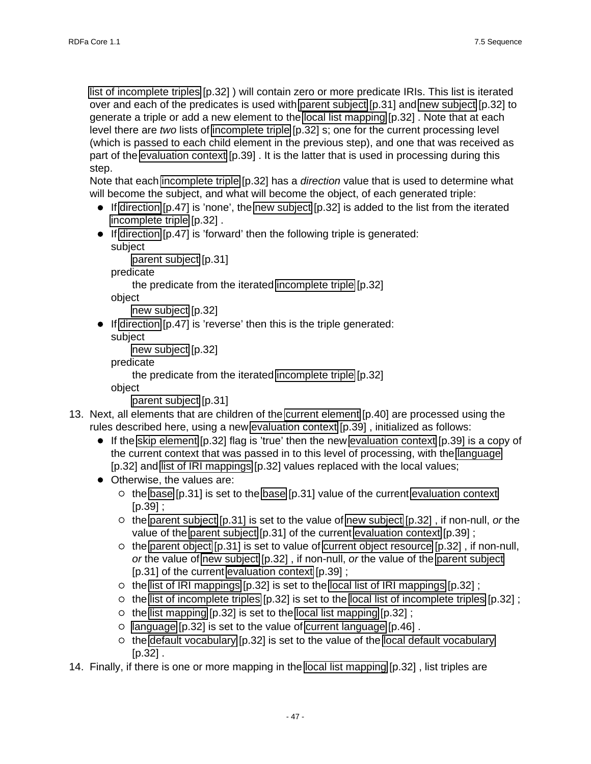[list of incomplete triples](#page-31-2) [p.32] ) will contain zero or more predicate IRIs. This list is iterated over and each of the predicates is used with [parent subject](#page-30-2) [p.31] and [new subject](#page-31-9) [p.32] to generate a triple or add a new element to the [local list mapping](#page-31-13) [p.32] . Note that at each level there are two lists of [incomplete triple](#page-31-14) [p.32] s; one for the current processing level (which is passed to each child element in the previous step), and one that was received as part of the [evaluation context](#page-38-1) [p.39] . It is the latter that is used in processing during this step.

<span id="page-46-0"></span>Note that each [incomplete triple](#page-31-14) [p.32] has a direction value that is used to determine what will become the subject, and what will become the object, of each generated triple:

- $\bullet$  If [direction](#page-46-0) [p.47] is 'none', the [new subject](#page-31-9) [p.32] is added to the list from the iterated [incomplete triple](#page-31-14) [p.32] .
- $\bullet$  If [direction](#page-46-0) [p.47] is 'forward' then the following triple is generated: subject

```
parent subject [p.31]
```
predicate

the predicate from the iterated [incomplete triple](#page-31-14) [p.32]

object

[new subject](#page-31-9) [p.32]

 $\bullet$  If [direction](#page-46-0) [p.47] is 'reverse' then this is the triple generated: subject

```
new subject [p.32]
```
predicate

the predicate from the iterated [incomplete triple](#page-31-14) [p.32]

object

[parent subject](#page-30-2) [p.31]

- 13. Next, all elements that are children of the [current element](#page-39-0) [p.40] are processed using the rules described here, using a new [evaluation context](#page-38-1) [p.39] , initialized as follows:
	- $\bullet$  If the [skip element](#page-31-8) [p.32] flag is 'true' then the new [evaluation context](#page-38-1) [p.39] is a copy of the current context that was passed in to this level of processing, with the [language](#page-31-4)  [p.32] and [list of IRI mappings](#page-31-5) [p.32] values replaced with the local values;
	- Otherwise, the values are:
		- $\circ$  the [base](#page-30-1) [p.31] is set to the base [p.31] value of the current evaluation context  $[p.39]$  ;
		- $\circ$  the [parent subject](#page-30-2) [p.31] is set to the value of [new subject](#page-31-9) [p.32], if non-null, or the value of the [parent subject](#page-30-2) [p.31] of the current [evaluation context](#page-38-1) [p.39] ;
		- $\circ$  the [parent object](#page-30-3) [p.31] is set to value of [current object resource](#page-31-10) [p.32], if non-null, or the value of [new subject](#page-31-9) [p.32] , if non-null, or the value of the [parent subject](#page-30-2)  [p.31] of the current [evaluation context](#page-38-1) [p.39] ;
		- $\circ$  the [list of IRI mappings](#page-31-5) [p.32] is set to the [local list of IRI mappings](#page-31-12) [p.32] ;
		- $\circ$  the [list of incomplete triples](#page-31-2) [p.32] is set to the [local list of incomplete triples](#page-31-2) [p.32] ;
		- $\circ$  the [list mapping](#page-31-3) [p.32] is set to the [local list mapping](#page-31-13) [p.32] ;
		- $\circ$  [language](#page-31-4) [p.32] is set to the value of [current language](#page-45-0) [p.46].
		- $\circ$  the [default vocabulary](#page-31-7) [p.32] is set to the value of the local default vocabulary  $[p.32]$ .
- 14. Finally, if there is one or more mapping in the [local list mapping](#page-31-13) [p.32] , list triples are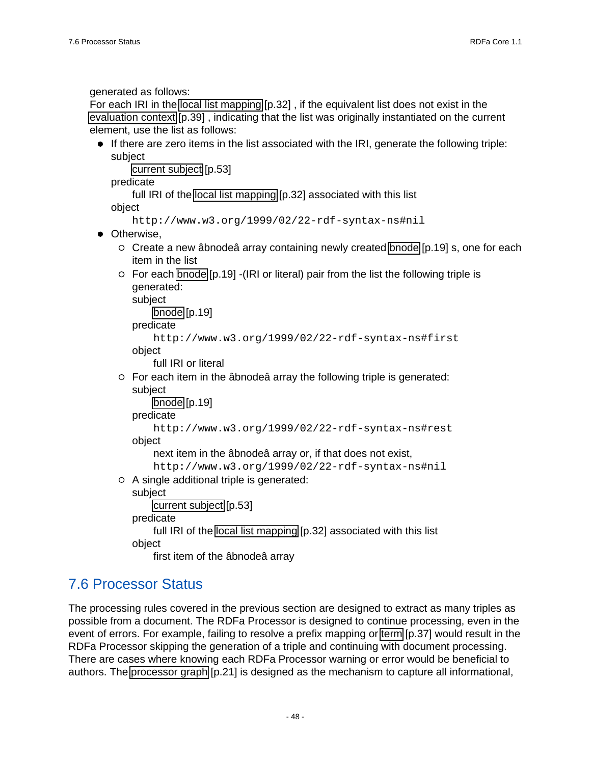generated as follows:

For each IRI in the [local list mapping](#page-31-13) [p.32] , if the equivalent list does not exist in the [evaluation context](#page-38-1) [p.39] , indicating that the list was originally instantiated on the current element, use the list as follows:

If there are zero items in the list associated with the IRI, generate the following triple: subject

```
current subject [p.53]
```
predicate

full IRI of the [local list mapping](#page-31-13) [p.32] associated with this list object

http://www.w3.org/1999/02/22-rdf-syntax-ns#nil

- Otherwise,
	- $\circ$  Create a new âbnodeâ array containing newly created [bnode](#page-18-0) [p.19] s, one for each item in the list
	- $\circ$  For each [bnode](#page-18-0) [p.19] -(IRI or literal) pair from the list the following triple is generated:

subject

[bnode](#page-18-0) [p.19]

predicate

http://www.w3.org/1999/02/22-rdf-syntax-ns#first object

full IRI or literal

For each item in the âbnodeâ array the following triple is generated: subject

[bnode](#page-18-0) [p.19]

predicate

```
http://www.w3.org/1999/02/22-rdf-syntax-ns#rest
object
```
next item in the âbnodeâ array or, if that does not exist,

```
http://www.w3.org/1999/02/22-rdf-syntax-ns#nil
```
 $\circ$  A single additional triple is generated:

## subject

[current subject](#page-52-0) [p.53]

```
predicate
```
full IRI of the [local list mapping](#page-31-13) [p.32] associated with this list

```
object
```
first item of the âbnodeâ array

## <span id="page-47-0"></span>7.6 Processor Status

The processing rules covered in the previous section are designed to extract as many triples as possible from a document. The RDFa Processor is designed to continue processing, even in the event of errors. For example, failing to resolve a prefix mapping or [term](#page-36-1) [p.37] would result in the RDFa Processor skipping the generation of a triple and continuing with document processing. There are cases where knowing each RDFa Processor warning or error would be beneficial to authors. The [processor graph](#page-20-0) [p.21] is designed as the mechanism to capture all informational,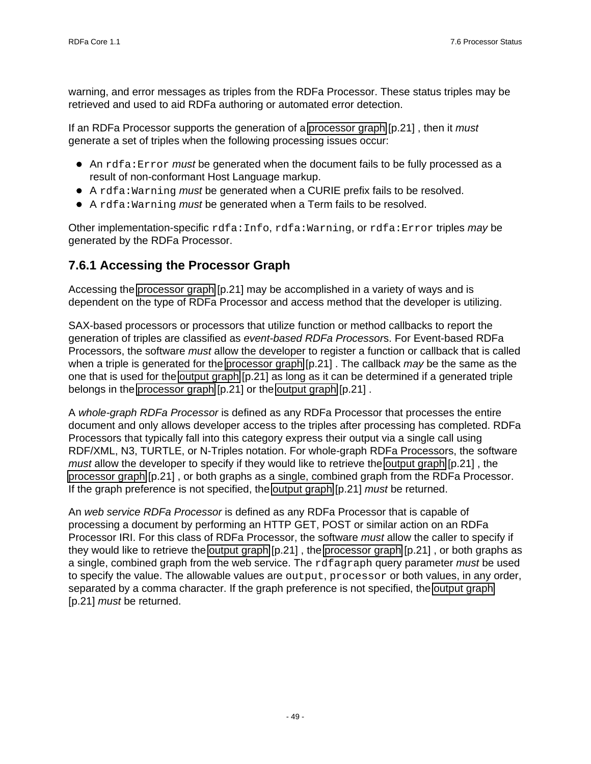warning, and error messages as triples from the RDFa Processor. These status triples may be retrieved and used to aid RDFa authoring or automated error detection.

If an RDFa Processor supports the generation of a [processor graph](#page-20-0) [p.21], then it *must* generate a set of triples when the following processing issues occur:

- An rdfa: Error must be generated when the document fails to be fully processed as a result of non-conformant Host Language markup.
- A rdfa: Warning must be generated when a CURIE prefix fails to be resolved.
- A rdfa: Warning must be generated when a Term fails to be resolved.

Other implementation-specific rdfa: Info, rdfa: Warning, or rdfa: Error triples may be generated by the RDFa Processor.

## **7.6.1 Accessing the Processor Graph**

Accessing the [processor graph](#page-20-0) [p.21] may be accomplished in a variety of ways and is dependent on the type of RDFa Processor and access method that the developer is utilizing.

SAX-based processors or processors that utilize function or method callbacks to report the generation of triples are classified as *event-based RDFa Processor*s. For Event-based RDFa Processors, the software *must* allow the developer to register a function or callback that is called when a triple is generated for the [processor graph](#page-20-0) [p.21]. The callback may be the same as the one that is used for the [output graph](#page-20-1) [p.21] as long as it can be determined if a generated triple belongs in the [processor graph](#page-20-0) [p.21] or the [output graph](#page-20-1) [p.21] .

A whole-graph RDFa Processor is defined as any RDFa Processor that processes the entire document and only allows developer access to the triples after processing has completed. RDFa Processors that typically fall into this category express their output via a single call using RDF/XML, N3, TURTLE, or N-Triples notation. For whole-graph RDFa Processors, the software must allow the developer to specify if they would like to retrieve the [output graph](#page-20-1) [p.21], the [processor graph](#page-20-0) [p.21] , or both graphs as a single, combined graph from the RDFa Processor. If the graph preference is not specified, the [output graph](#page-20-1) [p.21] *must* be returned.

An web service RDFa Processor is defined as any RDFa Processor that is capable of processing a document by performing an HTTP GET, POST or similar action on an RDFa Processor IRI. For this class of RDFa Processor, the software *must* allow the caller to specify if they would like to retrieve the [output graph](#page-20-1) [p.21] , the [processor graph](#page-20-0) [p.21] , or both graphs as a single, combined graph from the web service. The rdfagraph query parameter must be used to specify the value. The allowable values are output, processor or both values, in any order, separated by a comma character. If the graph preference is not specified, the [output graph](#page-20-1)  [p.21] *must* be returned.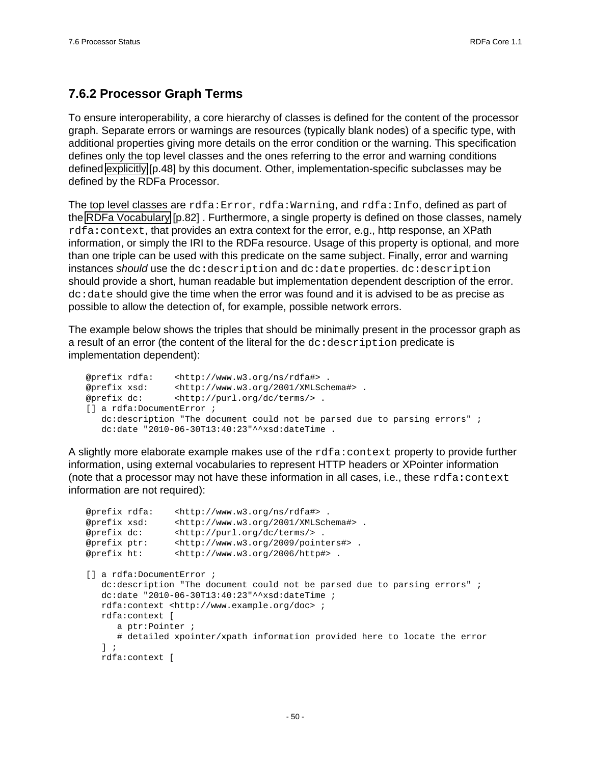### **7.6.2 Processor Graph Terms**

To ensure interoperability, a core hierarchy of classes is defined for the content of the processor graph. Separate errors or warnings are resources (typically blank nodes) of a specific type, with additional properties giving more details on the error condition or the warning. This specification defines only the top level classes and the ones referring to the error and warning conditions defined [explicitly](#page-47-0) [p.48] by this document. Other, implementation-specific subclasses may be defined by the RDFa Processor.

The top level classes are  $\text{rdfa:Error}$ ,  $\text{rdfa:Warning}$ , and  $\text{rdfa:Info}$ , defined as part of the [RDFa Vocabulary](#page-81-0) [p.82] . Furthermore, a single property is defined on those classes, namely rdfa:context, that provides an extra context for the error, e.g., http response, an XPath information, or simply the IRI to the RDFa resource. Usage of this property is optional, and more than one triple can be used with this predicate on the same subject. Finally, error and warning instances should use the dc:description and dc:date properties. dc:description should provide a short, human readable but implementation dependent description of the error. dc:date should give the time when the error was found and it is advised to be as precise as possible to allow the detection of, for example, possible network errors.

The example below shows the triples that should be minimally present in the processor graph as a result of an error (the content of the literal for the  $dc:$  description predicate is implementation dependent):

```
@prefix rdfa: <http://www.w3.org/ns/rdfa#> .
@prefix xsd: <http://www.w3.org/2001/XMLSchema#> .
@prefix dc: <http://purl.org/dc/terms/> .
[] a rdfa:DocumentError ;
   dc:description "The document could not be parsed due to parsing errors" ;
   dc:date "2010-06-30T13:40:23"^^xsd:dateTime .
```
A slightly more elaborate example makes use of the rdfa: context property to provide further information, using external vocabularies to represent HTTP headers or XPointer information (note that a processor may not have these information in all cases, i.e., these rdfa:context information are not required):

```
@prefix rdfa: <http://www.w3.org/ns/rdfa#> .
@prefix xsd: <http://www.w3.org/2001/XMLSchema#> .
@prefix dc: <http://purl.org/dc/terms/> .
@prefix ptr: <http://www.w3.org/2009/pointers#> .
@prefix ht: <http://www.w3.org/2006/http#> .
[] a rdfa:DocumentError ;
   dc:description "The document could not be parsed due to parsing errors" ;
   dc:date "2010-06-30T13:40:23"^^xsd:dateTime ;
   rdfa:context <http://www.example.org/doc> ;
   rdfa:context [
      a ptr:Pointer ;
      # detailed xpointer/xpath information provided here to locate the error
    ] ;
   rdfa:context [
```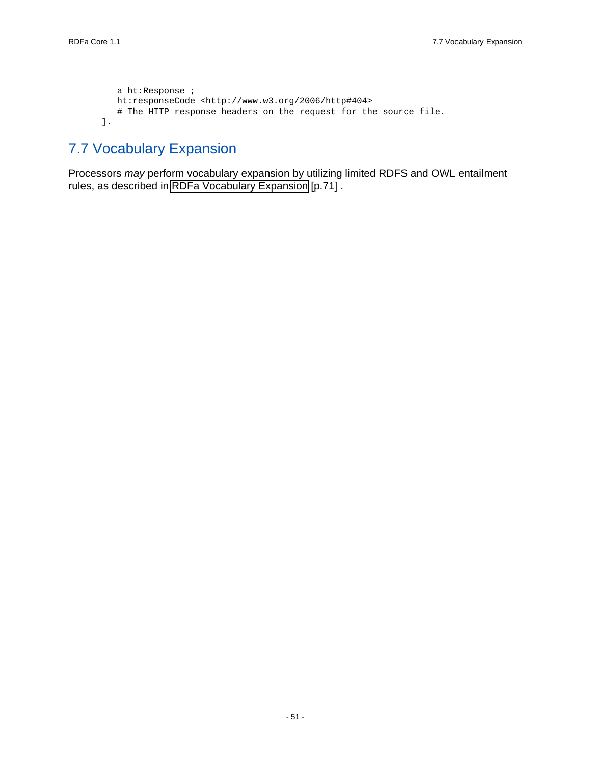```
 a ht:Response ;
   ht:responseCode <http://www.w3.org/2006/http#404>
   # The HTTP response headers on the request for the source file.
 ].
```
## 7.7 Vocabulary Expansion

Processors may perform vocabulary expansion by utilizing limited RDFS and OWL entailment rules, as described in [RDFa Vocabulary Expansion](#page-70-0) [p.71] .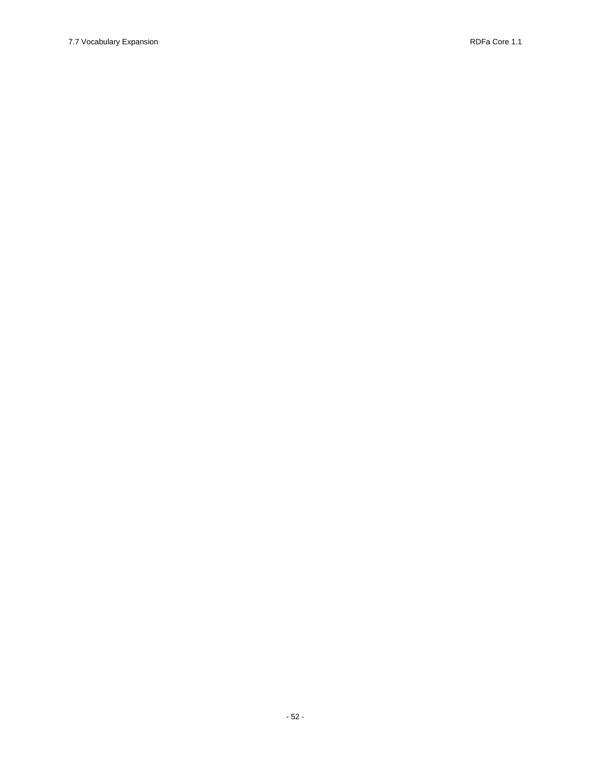7.7 Vocabulary Expansion **RUP Contract Contract Contract Contract Contract Contract Contract Contract Contract Contract Contract Contract Contract Contract Contract Contract Contract Contract Contract Contract Contract Con**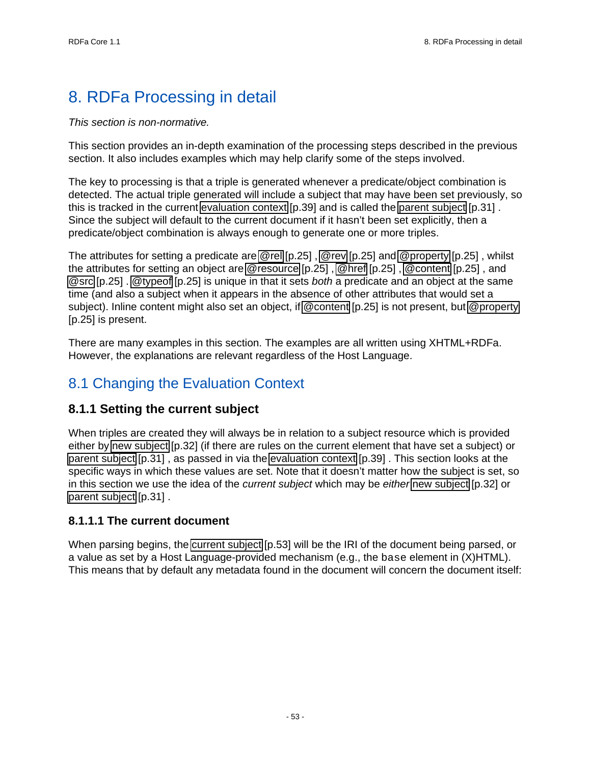# 8. RDFa Processing in detail

#### This section is non-normative.

This section provides an in-depth examination of the processing steps described in the previous section. It also includes examples which may help clarify some of the steps involved.

The key to processing is that a triple is generated whenever a predicate/object combination is detected. The actual triple generated will include a subject that may have been set previously, so this is tracked in the current [evaluation context](#page-38-1) [p.39] and is called the [parent subject](#page-30-2) [p.31] . Since the subject will default to the current document if it hasn't been set explicitly, then a predicate/object combination is always enough to generate one or more triples.

The attributes for setting a predicate are [@rel](#page-24-7) [p.25] , [@rev](#page-24-8) [p.25] and [@property](#page-24-5) [p.25] , whilst the attributes for setting an object are [@resource](#page-24-1) [p.25] , [@href](#page-24-2) [p.25] , [@content](#page-24-10) [p.25] , and [@src](#page-24-3) [p.25] . [@typeof](#page-24-6) [p.25] is unique in that it sets both a predicate and an object at the same time (and also a subject when it appears in the absence of other attributes that would set a subject). Inline content might also set an object, if [@content](#page-24-10) [p.25] is not present, but [@property](#page-24-5)  [p.25] is present.

There are many examples in this section. The examples are all written using XHTML+RDFa. However, the explanations are relevant regardless of the Host Language.

## 8.1 Changing the Evaluation Context

## **8.1.1 Setting the current subject**

When triples are created they will always be in relation to a subject resource which is provided either by [new subject](#page-31-9) [p.32] (if there are rules on the current element that have set a subject) or [parent subject](#page-30-2) [p.31] , as passed in via the [evaluation context](#page-38-1) [p.39] . This section looks at the specific ways in which these values are set. Note that it doesn't matter how the subject is set, so in this section we use the idea of the *current subject* which may be *either* [new subject](#page-31-9) [p.32] or [parent subject](#page-30-2) [p.31] .

### <span id="page-52-0"></span>**8.1.1.1 The current document**

When parsing begins, the [current subject](#page-52-0) [p.53] will be the IRI of the document being parsed, or a value as set by a Host Language-provided mechanism (e.g., the base element in (X)HTML). This means that by default any metadata found in the document will concern the document itself: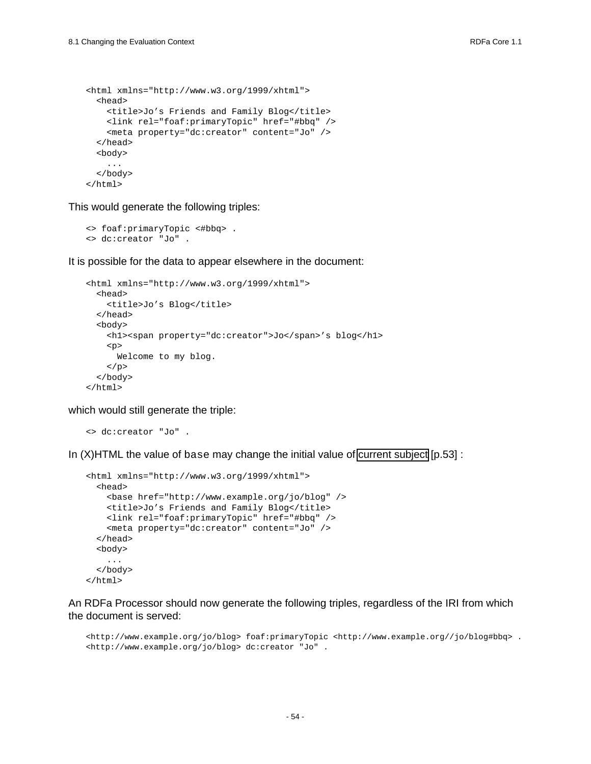```
<html xmlns="http://www.w3.org/1999/xhtml">
   <head>
     <title>Jo's Friends and Family Blog</title>
     <link rel="foaf:primaryTopic" href="#bbq" />
     <meta property="dc:creator" content="Jo" />
   </head>
   <body>
     ...
   </body>
</html>
```
This would generate the following triples:

```
<> foaf:primaryTopic <#bbq> .
<> dc:creator "Jo" .
```
It is possible for the data to appear elsewhere in the document:

```
<html xmlns="http://www.w3.org/1999/xhtml">
   <head>
     <title>Jo's Blog</title>
   </head>
   <body>
     <h1><span property="dc:creator">Jo</span>'s blog</h1>
     <p>
       Welcome to my blog.
    \langle/p>
   </body>
</html>
```
which would still generate the triple:

<> dc:creator "Jo" .

In (X)HTML the value of base may change the initial value of [current subject](#page-52-0) [p.53] :

```
<html xmlns="http://www.w3.org/1999/xhtml">
   <head>
     <base href="http://www.example.org/jo/blog" />
     <title>Jo's Friends and Family Blog</title>
     <link rel="foaf:primaryTopic" href="#bbq" />
     <meta property="dc:creator" content="Jo" />
   </head>
   <body>
     ...
   </body>
</html>
```
An RDFa Processor should now generate the following triples, regardless of the IRI from which the document is served:

<http://www.example.org/jo/blog> foaf:primaryTopic <http://www.example.org//jo/blog#bbq> . <http://www.example.org/jo/blog> dc:creator "Jo" .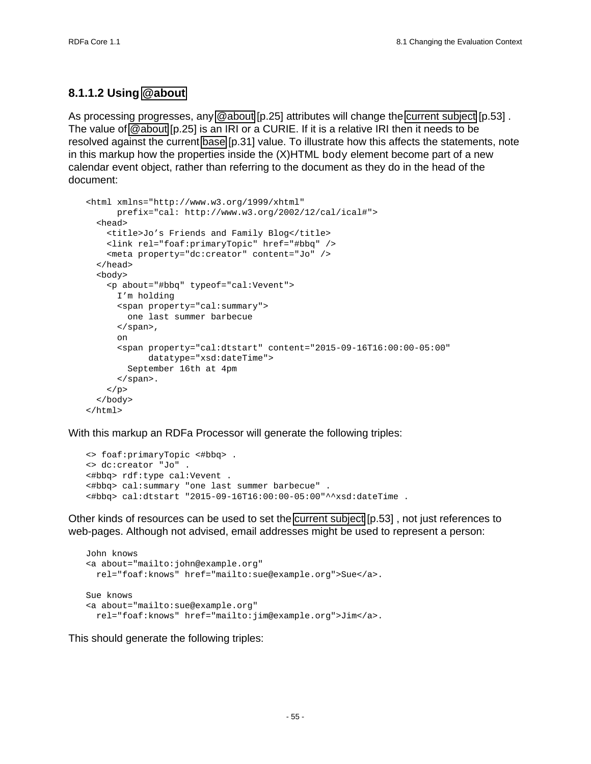### **8.1.1.2 Using [@about](#page-24-0)**

As processing progresses, any [@about](#page-24-0) [p.25] attributes will change the [current subject](#page-52-0) [p.53] . The value of [@about](#page-24-0) [p.25] is an IRI or a CURIE. If it is a relative IRI then it needs to be resolved against the current [base](#page-30-1) [p.31] value. To illustrate how this affects the statements, note in this markup how the properties inside the  $(X)$ HTML body element become part of a new calendar event object, rather than referring to the document as they do in the head of the document:

```
<html xmlns="http://www.w3.org/1999/xhtml"
       prefix="cal: http://www.w3.org/2002/12/cal/ical#">
   <head>
     <title>Jo's Friends and Family Blog</title>
     <link rel="foaf:primaryTopic" href="#bbq" />
     <meta property="dc:creator" content="Jo" />
   </head>
   <body>
     <p about="#bbq" typeof="cal:Vevent">
       I'm holding
       <span property="cal:summary">
         one last summer barbecue
       </span>,
       on
       <span property="cal:dtstart" content="2015-09-16T16:00:00-05:00" 
             datatype="xsd:dateTime">
        September 16th at 4pm
       </span>.
    \langle/p>
   </body>
</html>
```
With this markup an RDFa Processor will generate the following triples:

```
<> foaf:primaryTopic <#bbq> .
<> dc:creator "Jo" .
<#bbq> rdf:type cal:Vevent .
<#bbq> cal:summary "one last summer barbecue" .
<#bbq> cal:dtstart "2015-09-16T16:00:00-05:00"^^xsd:dateTime .
```
Other kinds of resources can be used to set the [current subject](#page-52-0) [p.53] , not just references to web-pages. Although not advised, email addresses might be used to represent a person:

```
John knows
<a about="mailto:john@example.org"
   rel="foaf:knows" href="mailto:sue@example.org">Sue</a>.
Sue knows
<a about="mailto:sue@example.org"
   rel="foaf:knows" href="mailto:jim@example.org">Jim</a>.
```
This should generate the following triples: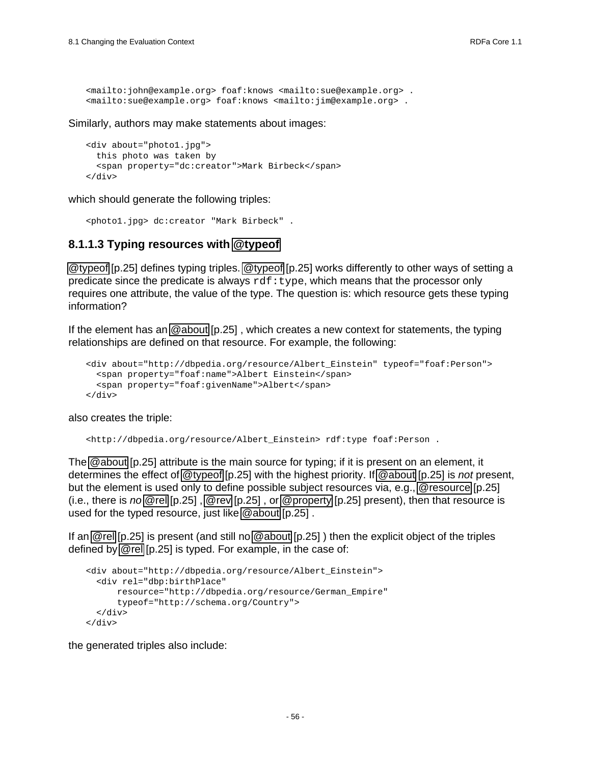```
<mailto:john@example.org> foaf:knows <mailto:sue@example.org> .
<mailto:sue@example.org> foaf:knows <mailto:jim@example.org> .
```
Similarly, authors may make statements about images:

```
<div about="photo1.jpg">
  this photo was taken by
  <span property="dc:creator">Mark Birbeck</span>
</div>
```
which should generate the following triples:

<photo1.jpg> dc:creator "Mark Birbeck" .

#### **8.1.1.3 Typing resources with [@typeof](#page-24-6)**

[@typeof](#page-24-6) [p.25] defines typing triples. [@typeof](#page-24-6) [p.25] works differently to other ways of setting a predicate since the predicate is always  $rdf:type$ , which means that the processor only requires one attribute, the value of the type. The question is: which resource gets these typing information?

If the element has an [@about](#page-24-0) [p.25] , which creates a new context for statements, the typing relationships are defined on that resource. For example, the following:

```
<div about="http://dbpedia.org/resource/Albert_Einstein" typeof="foaf:Person">
  <span property="foaf:name">Albert Einstein</span>
   <span property="foaf:givenName">Albert</span>
</div>
```
also creates the triple:

<http://dbpedia.org/resource/Albert\_Einstein> rdf:type foaf:Person .

The [@about](#page-24-0) [p.25] attribute is the main source for typing; if it is present on an element, it determines the effect of [@typeof](#page-24-6) [p.25] with the highest priority. If [@about](#page-24-0) [p.25] is not present, but the element is used only to define possible subject resources via, e.g., [@resource](#page-24-1) [p.25] (i.e., there is no [@rel](#page-24-7) [p.25] , [@rev](#page-24-8) [p.25] , or [@property](#page-24-5) [p.25] present), then that resource is used for the typed resource, just like [@about](#page-24-0) [p.25] .

If an [@rel](#page-24-7) [p.25] is present (and still no [@about](#page-24-0) [p.25] ) then the explicit object of the triples defined by [@rel](#page-24-7) [p.25] is typed. For example, in the case of:

```
<div about="http://dbpedia.org/resource/Albert_Einstein">
   <div rel="dbp:birthPlace" 
      resource="http://dbpedia.org/resource/German_Empire"
       typeof="http://schema.org/Country">
   </div>
</div>
```
the generated triples also include: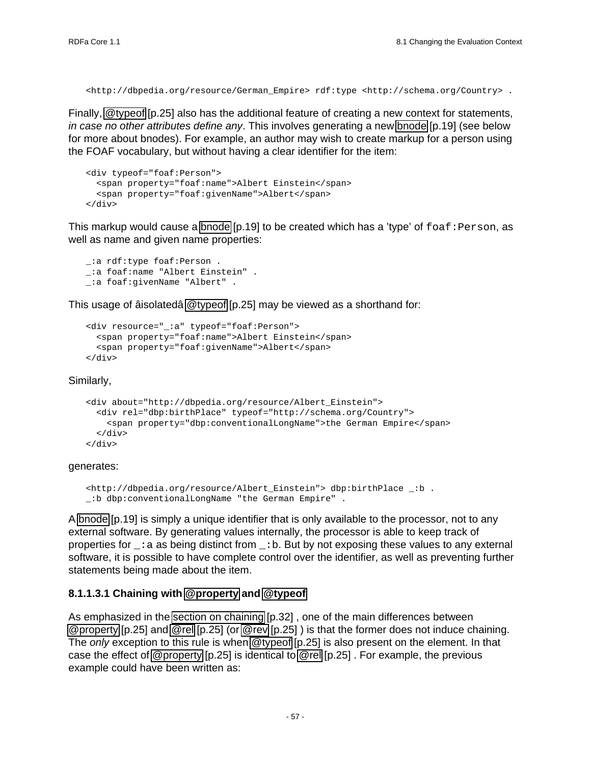```
<http://dbpedia.org/resource/German_Empire> rdf:type <http://schema.org/Country> .
```
Finally, [@typeof](#page-24-6) [p.25] also has the additional feature of creating a new context for statements, in case no other attributes define any. This involves generating a new [bnode](#page-18-0) [p.19] (see below for more about bnodes). For example, an author may wish to create markup for a person using the FOAF vocabulary, but without having a clear identifier for the item:

```
<div typeof="foaf:Person">
   <span property="foaf:name">Albert Einstein</span>
   <span property="foaf:givenName">Albert</span>
</div>
```
This markup would cause a [bnode](#page-18-0) [p.19] to be created which has a 'type' of  $f$ oaf: Person, as well as name and given name properties:

```
_:a rdf:type foaf:Person .
_:a foaf:name "Albert Einstein" .
_:a foaf:givenName "Albert" .
```
This usage of âisolatedâ [@typeof](#page-24-6) [p.25] may be viewed as a shorthand for:

```
<div resource="_:a" typeof="foaf:Person">
   <span property="foaf:name">Albert Einstein</span>
   <span property="foaf:givenName">Albert</span>
</div>
```
#### Similarly,

```
<div about="http://dbpedia.org/resource/Albert_Einstein">
  <div rel="dbp:birthPlace" typeof="http://schema.org/Country">
    <span property="dbp:conventionalLongName">the German Empire</span>
  </div>
</div>
```
#### generates:

```
<http://dbpedia.org/resource/Albert_Einstein"> dbp:birthPlace _:b .
_:b dbp:conventionalLongName "the German Empire" .
```
A [bnode](#page-18-0) [p.19] is simply a unique identifier that is only available to the processor, not to any external software. By generating values internally, the processor is able to keep track of properties for  $\Box$ : a as being distinct from  $\Box$ : b. But by not exposing these values to any external software, it is possible to have complete control over the identifier, as well as preventing further statements being made about the item.

#### <span id="page-56-0"></span>**8.1.1.3.1 Chaining with [@property](#page-24-5) and [@typeof](#page-24-6)**

As emphasized in the [section on chaining](#page-31-16) [p.32] , one of the main differences between [@property](#page-24-5) [p.25] and [@rel](#page-24-7) [p.25] (or [@rev](#page-24-8) [p.25] ) is that the former does not induce chaining. The *only* exception to this rule is when [@typeof](#page-24-6) [p.25] is also present on the element. In that case the effect of [@property](#page-24-5) [p.25] is identical to [@rel](#page-24-7) [p.25] . For example, the previous example could have been written as: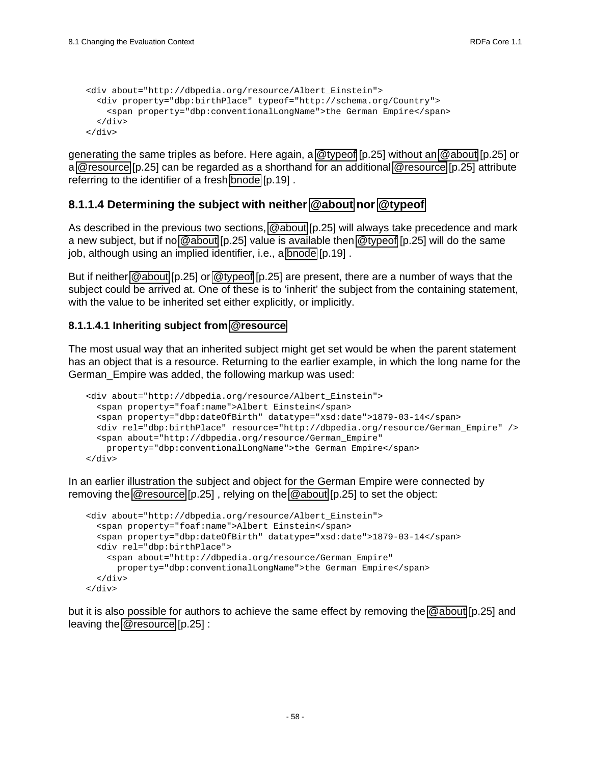```
<div about="http://dbpedia.org/resource/Albert_Einstein">
   <div property="dbp:birthPlace" typeof="http://schema.org/Country">
     <span property="dbp:conventionalLongName">the German Empire</span>
   </div>
</div>
```
generating the same triples as before. Here again, a [@typeof](#page-24-6) [p.25] without an [@about](#page-24-0) [p.25] or a [@resource](#page-24-1) [p.25] can be regarded as a shorthand for an additional [@resource](#page-24-1) [p.25] attribute referring to the identifier of a fresh [bnode](#page-18-0) [p.19] .

#### **8.1.1.4 Determining the subject with neither [@about](#page-24-0) nor [@typeof](#page-24-6)**

As described in the previous two sections, [@about](#page-24-0) [p.25] will always take precedence and mark a new subject, but if no [@about](#page-24-0) [p.25] value is available then [@typeof](#page-24-6) [p.25] will do the same job, although using an implied identifier, i.e., a [bnode](#page-18-0) [p.19] .

But if neither [@about](#page-24-0) [p.25] or [@typeof](#page-24-6) [p.25] are present, there are a number of ways that the subject could be arrived at. One of these is to 'inherit' the subject from the containing statement, with the value to be inherited set either explicitly, or implicitly.

#### **8.1.1.4.1 Inheriting subject from [@resource](#page-24-1)**

The most usual way that an inherited subject might get set would be when the parent statement has an object that is a resource. Returning to the earlier example, in which the long name for the German\_Empire was added, the following markup was used:

```
<div about="http://dbpedia.org/resource/Albert_Einstein">
  <span property="foaf:name">Albert Einstein</span>
  <span property="dbp:dateOfBirth" datatype="xsd:date">1879-03-14</span>
  <div rel="dbp:birthPlace" resource="http://dbpedia.org/resource/German_Empire" />
  <span about="http://dbpedia.org/resource/German_Empire"
    property="dbp:conventionalLongName">the German Empire</span>
</div>
```
In an earlier illustration the subject and object for the German Empire were connected by removing the [@resource](#page-24-1) [p.25] , relying on the [@about](#page-24-0) [p.25] to set the object:

```
<div about="http://dbpedia.org/resource/Albert_Einstein">
  <span property="foaf:name">Albert Einstein</span>
  <span property="dbp:dateOfBirth" datatype="xsd:date">1879-03-14</span>
  <div rel="dbp:birthPlace">
     <span about="http://dbpedia.org/resource/German_Empire"
      property="dbp:conventionalLongName">the German Empire</span>
  </div>
</div>
```
but it is also possible for authors to achieve the same effect by removing the [@about](#page-24-0) [p.25] and leaving the [@resource](#page-24-1) [p.25] :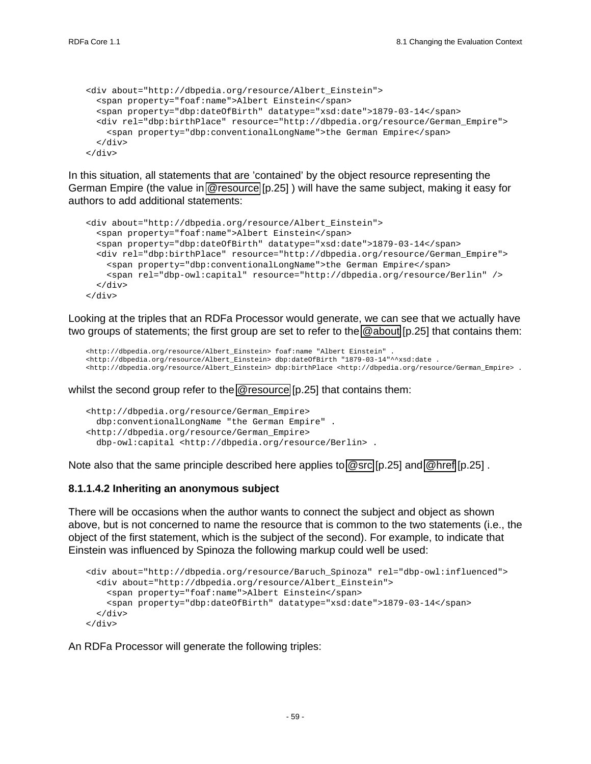```
<div about="http://dbpedia.org/resource/Albert_Einstein">
   <span property="foaf:name">Albert Einstein</span>
   <span property="dbp:dateOfBirth" datatype="xsd:date">1879-03-14</span>
   <div rel="dbp:birthPlace" resource="http://dbpedia.org/resource/German_Empire">
     <span property="dbp:conventionalLongName">the German Empire</span>
   </div>
</div>
```
In this situation, all statements that are 'contained' by the object resource representing the German Empire (the value in [@resource](#page-24-1) [p.25] ) will have the same subject, making it easy for authors to add additional statements:

```
<div about="http://dbpedia.org/resource/Albert_Einstein">
  <span property="foaf:name">Albert Einstein</span>
   <span property="dbp:dateOfBirth" datatype="xsd:date">1879-03-14</span>
   <div rel="dbp:birthPlace" resource="http://dbpedia.org/resource/German_Empire">
     <span property="dbp:conventionalLongName">the German Empire</span>
     <span rel="dbp-owl:capital" resource="http://dbpedia.org/resource/Berlin" />
   </div>
</div>
```
Looking at the triples that an RDFa Processor would generate, we can see that we actually have two groups of statements; the first group are set to refer to the [@about](#page-24-0) [p.25] that contains them:

```
<http://dbpedia.org/resource/Albert_Einstein> foaf:name "Albert Einstein" .
<http://dbpedia.org/resource/Albert_Einstein> dbp:dateOfBirth "1879-03-14"^^xsd:date .
<http://dbpedia.org/resource/Albert_Einstein> dbp:birthPlace <http://dbpedia.org/resource/German_Empire> .
```
whilst the second group refer to the [@resource](#page-24-1) [p.25] that contains them:

```
<http://dbpedia.org/resource/German_Empire>
  dbp:conventionalLongName "the German Empire" .
<http://dbpedia.org/resource/German_Empire>
  dbp-owl:capital <http://dbpedia.org/resource/Berlin> .
```
Note also that the same principle described here applies to [@src](#page-24-3) [p.25] and [@href](#page-24-2) [p.25] .

#### **8.1.1.4.2 Inheriting an anonymous subject**

There will be occasions when the author wants to connect the subject and object as shown above, but is not concerned to name the resource that is common to the two statements (i.e., the object of the first statement, which is the subject of the second). For example, to indicate that Einstein was influenced by Spinoza the following markup could well be used:

```
<div about="http://dbpedia.org/resource/Baruch_Spinoza" rel="dbp-owl:influenced">
   <div about="http://dbpedia.org/resource/Albert_Einstein">
     <span property="foaf:name">Albert Einstein</span>
     <span property="dbp:dateOfBirth" datatype="xsd:date">1879-03-14</span>
  </div>
</div>
```
An RDFa Processor will generate the following triples: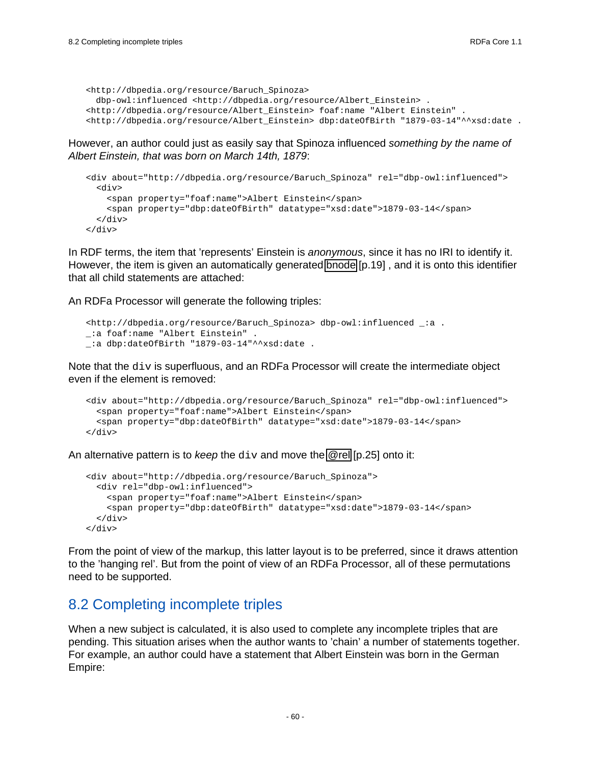```
<http://dbpedia.org/resource/Baruch_Spinoza>
  dbp-owl:influenced <http://dbpedia.org/resource/Albert_Einstein> .
<http://dbpedia.org/resource/Albert_Einstein> foaf:name "Albert Einstein" .
<http://dbpedia.org/resource/Albert_Einstein> dbp:dateOfBirth "1879-03-14"^^xsd:date .
```
However, an author could just as easily say that Spinoza influenced something by the name of Albert Einstein, that was born on March 14th, 1879:

```
<div about="http://dbpedia.org/resource/Baruch_Spinoza" rel="dbp-owl:influenced">
  <div>
     <span property="foaf:name">Albert Einstein</span>
     <span property="dbp:dateOfBirth" datatype="xsd:date">1879-03-14</span>
   </div>
</div>
```
In RDF terms, the item that 'represents' Einstein is anonymous, since it has no IRI to identify it. However, the item is given an automatically generated [bnode](#page-18-0) [p.19] , and it is onto this identifier that all child statements are attached:

An RDFa Processor will generate the following triples:

```
<http://dbpedia.org/resource/Baruch_Spinoza> dbp-owl:influenced _:a .
_:a foaf:name "Albert Einstein" .
_:a dbp:dateOfBirth "1879-03-14"^^xsd:date .
```
Note that the  $div$  is superfluous, and an RDFa Processor will create the intermediate object even if the element is removed:

```
<div about="http://dbpedia.org/resource/Baruch_Spinoza" rel="dbp-owl:influenced">
  <span property="foaf:name">Albert Einstein</span>
  <span property="dbp:dateOfBirth" datatype="xsd:date">1879-03-14</span>
</div>
```
An alternative pattern is to keep the  $div$  and move the [@rel](#page-24-7) [p.25] onto it:

```
<div about="http://dbpedia.org/resource/Baruch_Spinoza">
  <div rel="dbp-owl:influenced">
    <span property="foaf:name">Albert Einstein</span>
     <span property="dbp:dateOfBirth" datatype="xsd:date">1879-03-14</span>
 \sim/div\sim</div>
```
From the point of view of the markup, this latter layout is to be preferred, since it draws attention to the 'hanging rel'. But from the point of view of an RDFa Processor, all of these permutations need to be supported.

## <span id="page-59-0"></span>8.2 Completing incomplete triples

When a new subject is calculated, it is also used to complete any incomplete triples that are pending. This situation arises when the author wants to 'chain' a number of statements together. For example, an author could have a statement that Albert Einstein was born in the German Empire: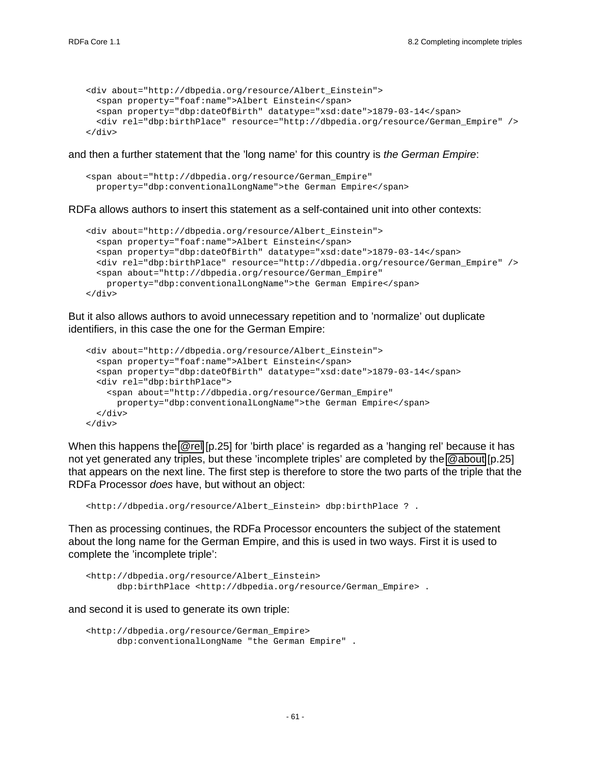```
<div about="http://dbpedia.org/resource/Albert_Einstein">
   <span property="foaf:name">Albert Einstein</span>
   <span property="dbp:dateOfBirth" datatype="xsd:date">1879-03-14</span>
   <div rel="dbp:birthPlace" resource="http://dbpedia.org/resource/German_Empire" />
</div>
```
and then a further statement that the 'long name' for this country is the German Empire:

```
<span about="http://dbpedia.org/resource/German_Empire"
  property="dbp:conventionalLongName">the German Empire</span>
```
RDFa allows authors to insert this statement as a self-contained unit into other contexts:

```
<div about="http://dbpedia.org/resource/Albert_Einstein">
  <span property="foaf:name">Albert Einstein</span>
  <span property="dbp:dateOfBirth" datatype="xsd:date">1879-03-14</span>
  <div rel="dbp:birthPlace" resource="http://dbpedia.org/resource/German_Empire" />
  <span about="http://dbpedia.org/resource/German_Empire"
    property="dbp:conventionalLongName">the German Empire</span>
</div>
```
But it also allows authors to avoid unnecessary repetition and to 'normalize' out duplicate identifiers, in this case the one for the German Empire:

```
<div about="http://dbpedia.org/resource/Albert_Einstein">
   <span property="foaf:name">Albert Einstein</span>
   <span property="dbp:dateOfBirth" datatype="xsd:date">1879-03-14</span>
  <div rel="dbp:birthPlace">
     <span about="http://dbpedia.org/resource/German_Empire"
      property="dbp:conventionalLongName">the German Empire</span>
   </div>
</div>
```
When this happens the [@rel](#page-24-7) [p.25] for 'birth place' is regarded as a 'hanging rel' because it has not yet generated any triples, but these 'incomplete triples' are completed by the [@about](#page-24-0) [p.25] that appears on the next line. The first step is therefore to store the two parts of the triple that the RDFa Processor does have, but without an object:

<http://dbpedia.org/resource/Albert\_Einstein> dbp:birthPlace ? .

Then as processing continues, the RDFa Processor encounters the subject of the statement about the long name for the German Empire, and this is used in two ways. First it is used to complete the 'incomplete triple':

```
<http://dbpedia.org/resource/Albert_Einstein> 
      dbp:birthPlace <http://dbpedia.org/resource/German_Empire> .
```
and second it is used to generate its own triple:

```
<http://dbpedia.org/resource/German_Empire> 
      dbp:conventionalLongName "the German Empire" .
```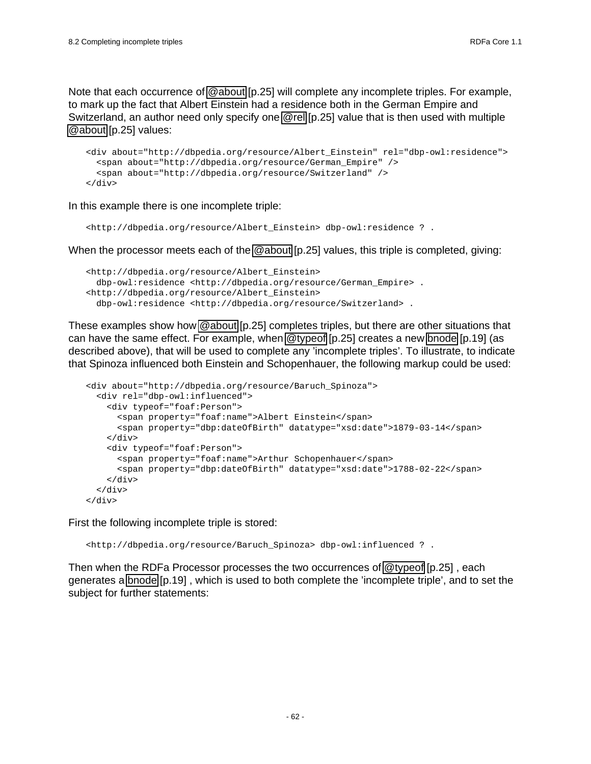Note that each occurrence of [@about](#page-24-0) [p.25] will complete any incomplete triples. For example, to mark up the fact that Albert Einstein had a residence both in the German Empire and Switzerland, an author need only specify one [@rel](#page-24-7) [p.25] value that is then used with multiple [@about](#page-24-0) [p.25] values:

```
<div about="http://dbpedia.org/resource/Albert_Einstein" rel="dbp-owl:residence">
  <span about="http://dbpedia.org/resource/German_Empire" />
  <span about="http://dbpedia.org/resource/Switzerland" />
</div>
```
In this example there is one incomplete triple:

<http://dbpedia.org/resource/Albert\_Einstein> dbp-owl:residence ? .

When the processor meets each of the [@about](#page-24-0) [p.25] values, this triple is completed, giving:

```
<http://dbpedia.org/resource/Albert_Einstein>
  dbp-owl:residence <http://dbpedia.org/resource/German_Empire> .
<http://dbpedia.org/resource/Albert_Einstein>
  dbp-owl:residence <http://dbpedia.org/resource/Switzerland> .
```
These examples show how [@about](#page-24-0) [p.25] completes triples, but there are other situations that can have the same effect. For example, when [@typeof](#page-24-6) [p.25] creates a new [bnode](#page-18-0) [p.19] (as described above), that will be used to complete any 'incomplete triples'. To illustrate, to indicate that Spinoza influenced both Einstein and Schopenhauer, the following markup could be used:

```
<div about="http://dbpedia.org/resource/Baruch_Spinoza">
   <div rel="dbp-owl:influenced">
     <div typeof="foaf:Person">
      <span property="foaf:name">Albert Einstein</span>
       <span property="dbp:dateOfBirth" datatype="xsd:date">1879-03-14</span>
     </div>
     <div typeof="foaf:Person">
      <span property="foaf:name">Arthur Schopenhauer</span>
      <span property="dbp:dateOfBirth" datatype="xsd:date">1788-02-22</span>
    </div> 
  </div>
</div>
```
First the following incomplete triple is stored:

<http://dbpedia.org/resource/Baruch\_Spinoza> dbp-owl:influenced ? .

Then when the RDFa Processor processes the two occurrences of [@typeof](#page-24-6) [p.25] , each generates a [bnode](#page-18-0) [p.19] , which is used to both complete the 'incomplete triple', and to set the subject for further statements: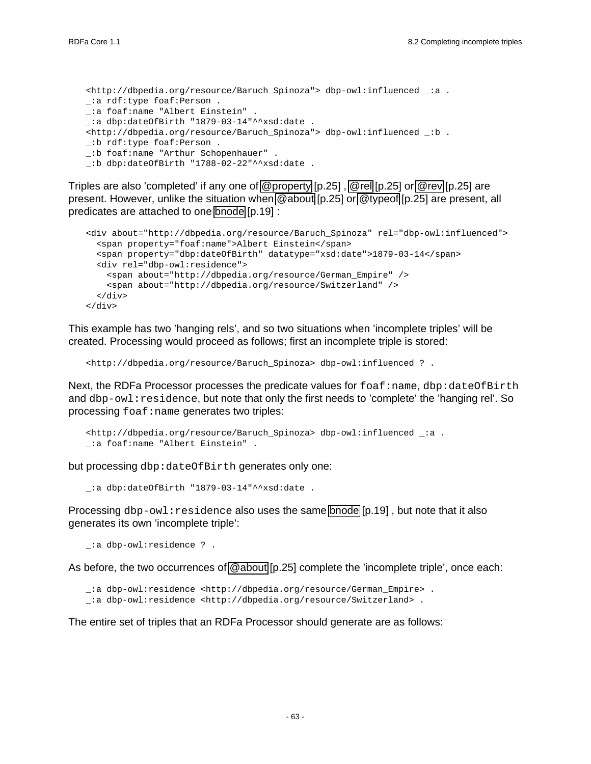```
<http://dbpedia.org/resource/Baruch_Spinoza"> dbp-owl:influenced _:a .
_:a rdf:type foaf:Person .
_:a foaf:name "Albert Einstein" .
_:a dbp:dateOfBirth "1879-03-14"^^xsd:date .
<http://dbpedia.org/resource/Baruch_Spinoza"> dbp-owl:influenced _:b .
_:b rdf:type foaf:Person .
_:b foaf:name "Arthur Schopenhauer" .
_:b dbp:dateOfBirth "1788-02-22"^^xsd:date .
```
Triples are also 'completed' if any one of [@property](#page-24-5) [p.25] , [@rel](#page-24-7) [p.25] or [@rev](#page-24-8) [p.25] are present. However, unlike the situation when [@about](#page-24-0) [p.25] or [@typeof](#page-24-6) [p.25] are present, all predicates are attached to one [bnode](#page-18-0) [p.19] :

```
<div about="http://dbpedia.org/resource/Baruch_Spinoza" rel="dbp-owl:influenced">
   <span property="foaf:name">Albert Einstein</span>
   <span property="dbp:dateOfBirth" datatype="xsd:date">1879-03-14</span>
  <div rel="dbp-owl:residence">
    <span about="http://dbpedia.org/resource/German_Empire" />
    <span about="http://dbpedia.org/resource/Switzerland" />
  </div>
</div>
```
This example has two 'hanging rels', and so two situations when 'incomplete triples' will be created. Processing would proceed as follows; first an incomplete triple is stored:

<http://dbpedia.org/resource/Baruch\_Spinoza> dbp-owl:influenced ? .

Next, the RDFa Processor processes the predicate values for  $f$  oaf: name, dbp:dateOfBirth and dbp-owl:residence, but note that only the first needs to 'complete' the 'hanging rel'. So processing foaf: name generates two triples:

```
<http://dbpedia.org/resource/Baruch_Spinoza> dbp-owl:influenced _:a .
_:a foaf:name "Albert Einstein" .
```
but processing dbp:dateOfBirth generates only one:

\_:a dbp:dateOfBirth "1879-03-14"^^xsd:date .

Processing  $dbp -owl : residue c$  also uses the same [bnode](#page-18-0)  $[p.19]$ , but note that it also generates its own 'incomplete triple':

\_:a dbp-owl:residence ? .

As before, the two occurrences of [@about](#page-24-0) [p.25] complete the 'incomplete triple', once each:

```
_:a dbp-owl:residence <http://dbpedia.org/resource/German_Empire> .
_:a dbp-owl:residence <http://dbpedia.org/resource/Switzerland> .
```
The entire set of triples that an RDFa Processor should generate are as follows: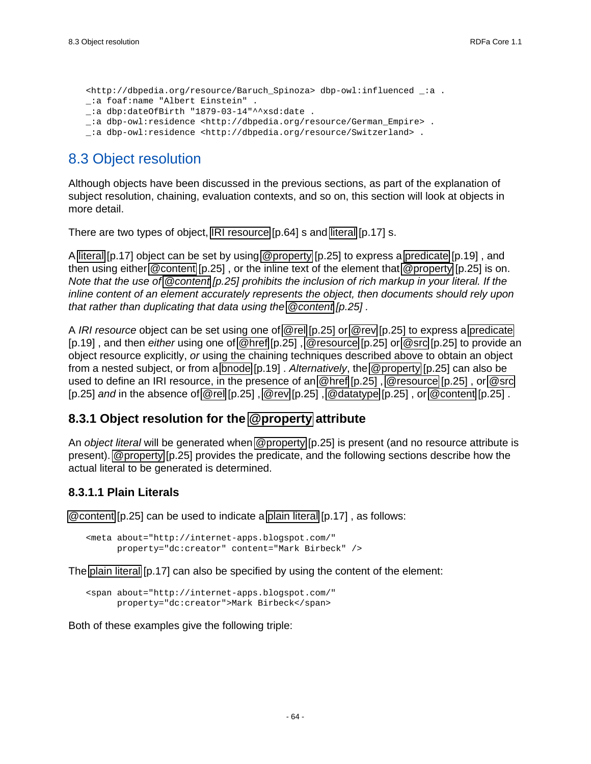```
<http://dbpedia.org/resource/Baruch_Spinoza> dbp-owl:influenced _:a .
_:a foaf:name "Albert Einstein" .
_:a dbp:dateOfBirth "1879-03-14"^^xsd:date .
_:a dbp-owl:residence <http://dbpedia.org/resource/German_Empire> .
_:a dbp-owl:residence <http://dbpedia.org/resource/Switzerland> .
```
## 8.3 Object resolution

Although objects have been discussed in the previous sections, as part of the explanation of subject resolution, chaining, evaluation contexts, and so on, this section will look at objects in more detail.

There are two types of object, [IRI resource](#page-63-0) [p.64] s and [literal](#page-16-1) [p.17] s.

A [literal](#page-16-1) [p.17] object can be set by using [@property](#page-24-5) [p.25] to express a [predicate](#page-18-1) [p.19] , and then using either [@content](#page-24-10) [p.25] , or the inline text of the element that [@property](#page-24-5) [p.25] is on. Note that the use of [@content](#page-24-10) [p.25] prohibits the inclusion of rich markup in your literal. If the inline content of an element accurately represents the object, then documents should rely upon that rather than duplicating that data using the [@content](#page-24-10) [p.25] .

<span id="page-63-0"></span>A IRI resource object can be set using one of [@rel](#page-24-7) [p.25] or [@rev](#page-24-8) [p.25] to express a [predicate](#page-18-1)  [p.19] , and then either using one of [@href](#page-24-2) [p.25] , [@resource](#page-24-1) [p.25] or [@src](#page-24-3) [p.25] to provide an object resource explicitly, or using the chaining techniques described above to obtain an object from a nested subject, or from a [bnode](#page-18-0) [p.19] . Alternatively, the [@property](#page-24-5) [p.25] can also be used to define an IRI resource, in the presence of an [@href](#page-24-2) [p.25] , [@resource](#page-24-1) [p.25] , or [@src](#page-24-3)  [p.25] and in the absence of [@rel](#page-24-7) [p.25] , [@rev](#page-24-8) [p.25] , [@datatype](#page-24-4) [p.25] , or [@content](#page-24-10) [p.25] .

### **8.3.1 Object resolution for the [@property](#page-24-5) attribute**

An object literal will be generated when [@property](#page-24-5) [p.25] is present (and no resource attribute is present). [@property](#page-24-5) [p.25] provides the predicate, and the following sections describe how the actual literal to be generated is determined.

#### **8.3.1.1 Plain Literals**

[@content](#page-24-10) [p.25] can be used to indicate a [plain literal](#page-16-1) [p.17] , as follows:

```
<meta about="http://internet-apps.blogspot.com/"
      property="dc:creator" content="Mark Birbeck" />
```
The [plain literal](#page-16-1) [p.17] can also be specified by using the content of the element:

```
<span about="http://internet-apps.blogspot.com/"
      property="dc:creator">Mark Birbeck</span>
```
Both of these examples give the following triple: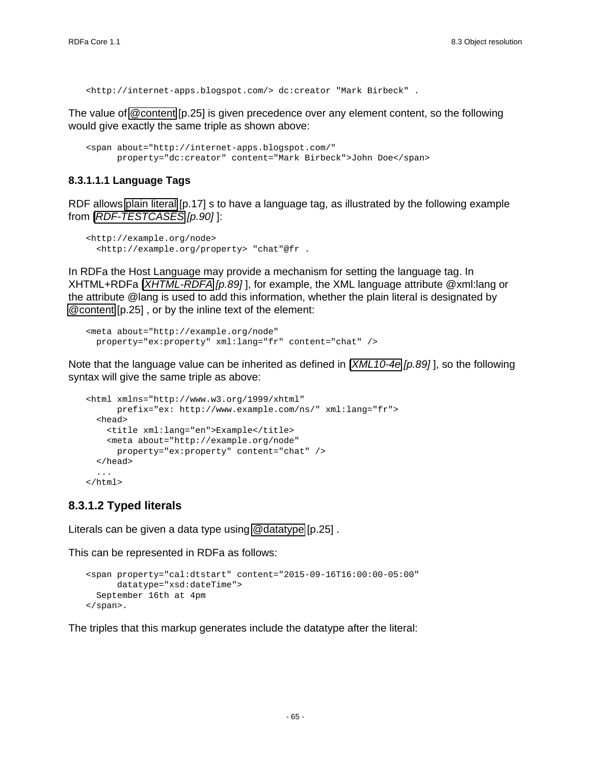```
<http://internet-apps.blogspot.com/> dc:creator "Mark Birbeck" .
```
The value of [@content](#page-24-10) [p.25] is given precedence over any element content, so the following would give exactly the same triple as shown above:

```
<span about="http://internet-apps.blogspot.com/"
      property="dc:creator" content="Mark Birbeck">John Doe</span>
```
#### **8.3.1.1.1 Language Tags**

RDF allows [plain literal](#page-16-1) [p.17] s to have a language tag, as illustrated by the following example from [[RDF-TESTCASES](#page-89-2) [p.90] ]:

```
<http://example.org/node> 
  <http://example.org/property> "chat"@fr .
```
In RDFa the Host Language may provide a mechanism for setting the language tag. In XHTML+RDFa [[XHTML-RDFA](#page-88-0) [p.89] ], for example, the XML language attribute @xml:lang or the attribute @lang is used to add this information, whether the plain literal is designated by [@content](#page-24-10) [p.25] , or by the inline text of the element:

```
<meta about="http://example.org/node"
  property="ex:property" xml:lang="fr" content="chat" />
```
Note that the language value can be inherited as defined in [[XML10-4e](#page-88-1) [p.89]], so the following syntax will give the same triple as above:

```
<html xmlns="http://www.w3.org/1999/xhtml" 
      prefix="ex: http://www.example.com/ns/" xml:lang="fr">
  <head>
   <title xml:lang="en">Example</title>
    <meta about="http://example.org/node"
      property="ex:property" content="chat" />
  </head>
  ...
</html>
```
### **8.3.1.2 Typed literals**

Literals can be given a data type using [@datatype](#page-24-4) [p.25] .

This can be represented in RDFa as follows:

```
<span property="cal:dtstart" content="2015-09-16T16:00:00-05:00" 
      datatype="xsd:dateTime">
  September 16th at 4pm
</span>.
```
The triples that this markup generates include the datatype after the literal: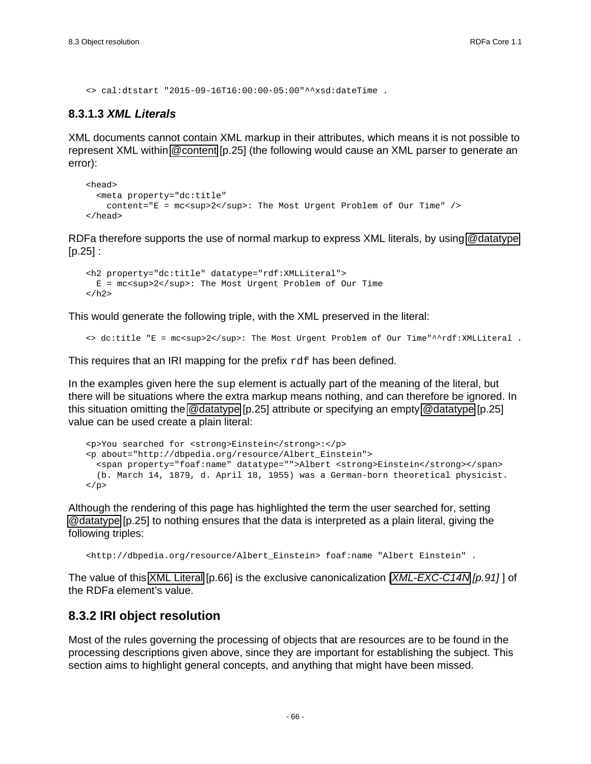<> cal:dtstart "2015-09-16T16:00:00-05:00"^^xsd:dateTime .

#### <span id="page-65-0"></span>**8.3.1.3 XML Literals**

XML documents cannot contain XML markup in their attributes, which means it is not possible to represent XML within [@content](#page-24-10) [p.25] (the following would cause an XML parser to generate an error):

```
<head>
  <meta property="dc:title"
   content="E = mc<sup>2</sup>: The Most Urgent Problem of Our Time" />
</head>
```
RDFa therefore supports the use of normal markup to express XML literals, by using [@datatype](#page-24-4)   $[p.25]$ :

```
<h2 property="dc:title" datatype="rdf:XMLLiteral">
 E = mc<sup>2</sup>: The Most Urgent Problem of Our Time
\langle/h2>
```
This would generate the following triple, with the XML preserved in the literal:

<> dc:title "E = mc<sup>2</sup>: The Most Urgent Problem of Our Time"^^rdf:XMLLiteral .

This requires that an IRI mapping for the prefix  $\text{rdf}$  has been defined.

In the examples given here the sup element is actually part of the meaning of the literal, but there will be situations where the extra markup means nothing, and can therefore be ignored. In this situation omitting the [@datatype](#page-24-4) [p.25] attribute or specifying an empty [@datatype](#page-24-4) [p.25] value can be used create a plain literal:

```
<p>You searched for <strong>Einstein</strong>:</p>
<p about="http://dbpedia.org/resource/Albert_Einstein">
  <span property="foaf:name" datatype="">Albert <strong>Einstein</strong></span>
   (b. March 14, 1879, d. April 18, 1955) was a German-born theoretical physicist.
\langle/p>
```
Although the rendering of this page has highlighted the term the user searched for, setting [@datatype](#page-24-4) [p.25] to nothing ensures that the data is interpreted as a plain literal, giving the following triples:

<http://dbpedia.org/resource/Albert\_Einstein> foaf:name "Albert Einstein" .

The value of this [XML Literal](#page-65-0) [p.66] is the exclusive canonicalization [[XML-EXC-C14N](#page-90-0) [p.91]] of the RDFa element's value.

### **8.3.2 IRI object resolution**

Most of the rules governing the processing of objects that are resources are to be found in the processing descriptions given above, since they are important for establishing the subject. This section aims to highlight general concepts, and anything that might have been missed.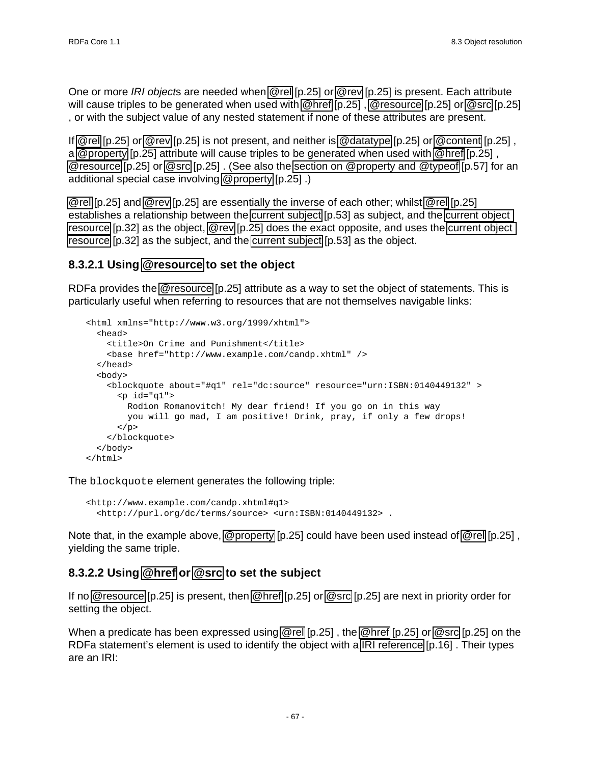One or more IRI objects are needed when [@rel](#page-24-7) [p.25] or [@rev](#page-24-8) [p.25] is present. Each attribute will cause triples to be generated when used with [@href](#page-24-2) [p.25] , [@resource](#page-24-1) [p.25] or [@src](#page-24-3) [p.25] , or with the subject value of any nested statement if none of these attributes are present.

If [@rel](#page-24-7) [p.25] or [@rev](#page-24-8) [p.25] is not present, and neither is [@datatype](#page-24-4) [p.25] or [@content](#page-24-10) [p.25] , a [@property](#page-24-5) [p.25] attribute will cause triples to be generated when used with [@href](#page-24-2) [p.25] , [@resource](#page-24-1) [p.25] or [@src](#page-24-3) [p.25] . (See also the [section on @property and @typeof](#page-56-0) [p.57] for an additional special case involving [@property](#page-24-5) [p.25] .)

[@rel](#page-24-7) [p.25] and [@rev](#page-24-8) [p.25] are essentially the inverse of each other; whilst [@rel](#page-24-7) [p.25] establishes a relationship between the [current subject](#page-52-0) [p.53] as subject, and the [current object](#page-31-10)  [resource](#page-31-10) [p.32] as the object, [@rev](#page-24-8) [p.25] does the exact opposite, and uses the [current object](#page-31-10)  [resource](#page-31-10) [p.32] as the subject, and the [current subject](#page-52-0) [p.53] as the object.

## **8.3.2.1 Using [@resource](#page-24-1) to set the object**

RDFa provides the [@resource](#page-24-1) [p.25] attribute as a way to set the object of statements. This is particularly useful when referring to resources that are not themselves navigable links:

```
<html xmlns="http://www.w3.org/1999/xhtml">
  <head>
   <title>On Crime and Punishment</title>
    <base href="http://www.example.com/candp.xhtml" />
  </head>
  <body>
    <blockquote about="#q1" rel="dc:source" resource="urn:ISBN:0140449132" >
     < p id="q1">
        Rodion Romanovitch! My dear friend! If you go on in this way
        you will go mad, I am positive! Drink, pray, if only a few drops!
     \langle/p>
    </blockquote>
  </body>
</html>
```
The blockquote element generates the following triple:

```
<http://www.example.com/candp.xhtml#q1>
  <http://purl.org/dc/terms/source> <urn:ISBN:0140449132> .
```
Note that, in the example above, [@property](#page-24-5) [p.25] could have been used instead of [@rel](#page-24-7) [p.25] , yielding the same triple.

## **8.3.2.2 Using [@href](#page-24-2) or [@src](#page-24-3) to set the subject**

If no [@resource](#page-24-1) [p.25] is present, then [@href](#page-24-2) [p.25] or [@src](#page-24-3) [p.25] are next in priority order for setting the object.

When a predicate has been expressed using [@rel](#page-24-7) [p.25] , the [@href](#page-24-2) [p.25] or [@src](#page-24-3) [p.25] on the RDFa statement's element is used to identify the object with a [IRI reference](#page-15-0) [p.16] . Their types are an IRI: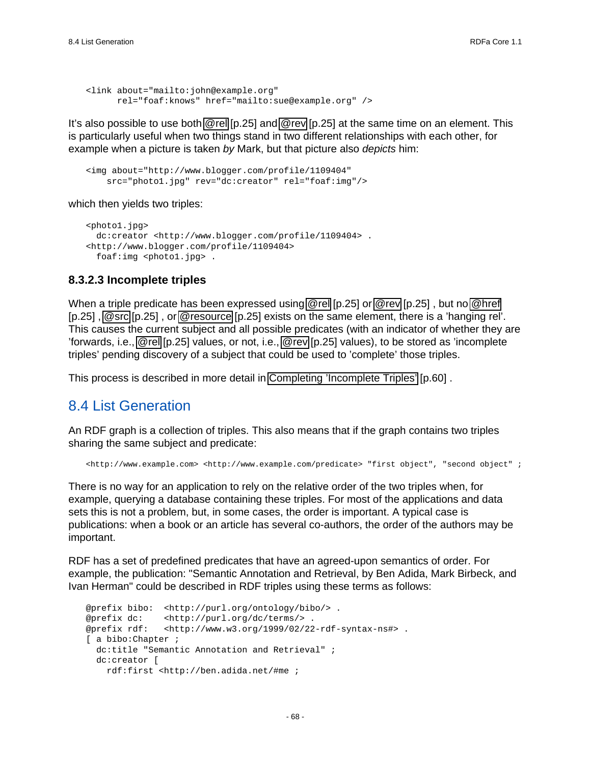```
<link about="mailto:john@example.org"
      rel="foaf:knows" href="mailto:sue@example.org" />
```
It's also possible to use both [@rel](#page-24-7) [p.25] and [@rev](#page-24-8) [p.25] at the same time on an element. This is particularly useful when two things stand in two different relationships with each other, for example when a picture is taken by Mark, but that picture also depicts him:

```
<img about="http://www.blogger.com/profile/1109404"
    src="photo1.jpg" rev="dc:creator" rel="foaf:img"/>
```
which then yields two triples:

```
<photo1.jpg> 
  dc:creator <http://www.blogger.com/profile/1109404> .
<http://www.blogger.com/profile/1109404> 
  foaf:img <photo1.jpg> .
```
### <span id="page-67-0"></span>**8.3.2.3 Incomplete triples**

When a triple predicate has been expressed using [@rel](#page-24-7) [p.25] or [@rev](#page-24-8) [p.25], but no @href [p.25] , [@src](#page-24-3) [p.25] , or [@resource](#page-24-1) [p.25] exists on the same element, there is a 'hanging rel'. This causes the current subject and all possible predicates (with an indicator of whether they are 'forwards, i.e., [@rel](#page-24-7) [p.25] values, or not, i.e., [@rev](#page-24-8) [p.25] values), to be stored as 'incomplete triples' pending discovery of a subject that could be used to 'complete' those triples.

This process is described in more detail in [Completing 'Incomplete Triples'](#page-59-0) [p.60] .

## 8.4 List Generation

An RDF graph is a collection of triples. This also means that if the graph contains two triples sharing the same subject and predicate:

```
<http://www.example.com> <http://www.example.com/predicate> "first object", "second object" ;
```
There is no way for an application to rely on the relative order of the two triples when, for example, querying a database containing these triples. For most of the applications and data sets this is not a problem, but, in some cases, the order is important. A typical case is publications: when a book or an article has several co-authors, the order of the authors may be important.

RDF has a set of predefined predicates that have an agreed-upon semantics of order. For example, the publication: "Semantic Annotation and Retrieval, by Ben Adida, Mark Birbeck, and Ivan Herman" could be described in RDF triples using these terms as follows:

```
@prefix bibo: <http://purl.org/ontology/bibo/> .
@prefix dc: <http://purl.org/dc/terms/> .
@prefix rdf: <http://www.w3.org/1999/02/22-rdf-syntax-ns#> .
[ a bibo: Chapter ;
  dc:title "Semantic Annotation and Retrieval" ;
  dc:creator [
     rdf:first <http://ben.adida.net/#me ;
```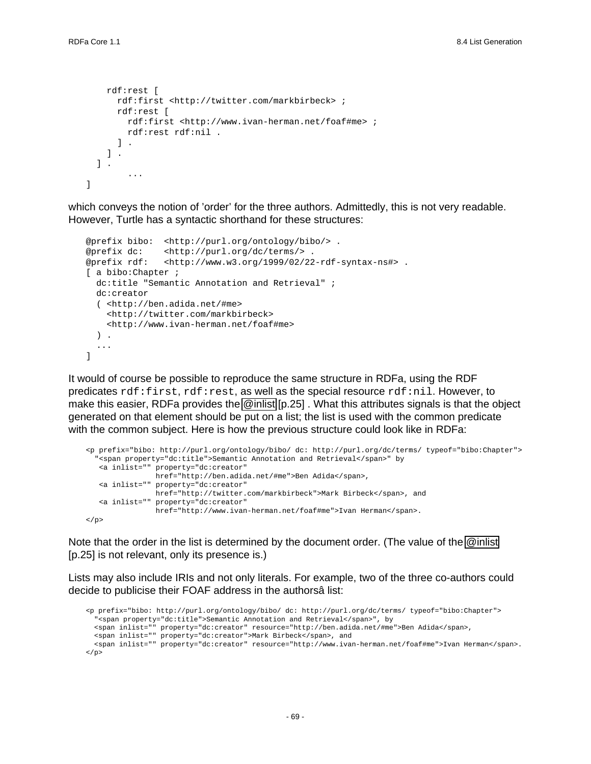```
 rdf:rest [
       rdf:first <http://twitter.com/markbirbeck> ;
       rdf:rest [
         rdf:first <http://www.ivan-herman.net/foaf#me> ;
         rdf:rest rdf:nil .
      \cdot ] .
  ] .
         ...
]
```
which conveys the notion of 'order' for the three authors. Admittedly, this is not very readable. However, Turtle has a syntactic shorthand for these structures:

```
@prefix bibo: <http://purl.org/ontology/bibo/> .
@prefix dc: <http://purl.org/dc/terms/> .
@prefix rdf: <http://www.w3.org/1999/02/22-rdf-syntax-ns#> .
[ a bibo: Chapter ;
  dc:title "Semantic Annotation and Retrieval" ; 
  dc:creator 
   ( <http://ben.adida.net/#me>
     <http://twitter.com/markbirbeck>
     <http://www.ivan-herman.net/foaf#me> 
   ) .
   ...
\overline{1}
```
It would of course be possible to reproduce the same structure in RDFa, using the RDF predicates rdf:first, rdf:rest, as well as the special resource rdf:nil. However, to make this easier, RDFa provides the [@inlist](#page-24-11) [p.25] . What this attributes signals is that the object generated on that element should be put on a list; the list is used with the common predicate with the common subject. Here is how the previous structure could look like in RDFa:

```
<p prefix="bibo: http://purl.org/ontology/bibo/ dc: http://purl.org/dc/terms/ typeof="bibo:Chapter">
   "<span property="dc:title">Semantic Annotation and Retrieval</span>" by
   <a inlist="" property="dc:creator" 
                href="http://ben.adida.net/#me">Ben Adida</span>,
   <a inlist="" property="dc:creator" 
                href="http://twitter.com/markbirbeck">Mark Birbeck</span>, and
   <a inlist="" property="dc:creator" 
                 href="http://www.ivan-herman.net/foaf#me">Ivan Herman</span>. 
\langle/p>
```
Note that the order in the list is determined by the document order. (The value of the [@inlist](#page-24-11)  [p.25] is not relevant, only its presence is.)

Lists may also include IRIs and not only literals. For example, two of the three co-authors could decide to publicise their FOAF address in the authorsâ list:

```
<p prefix="bibo: http://purl.org/ontology/bibo/ dc: http://purl.org/dc/terms/ typeof="bibo:Chapter">
   "<span property="dc:title">Semantic Annotation and Retrieval</span>", by
 <span inlist="" property="dc:creator" resource="http://ben.adida.net/#me">Ben Adida</span>,
 <span inlist="" property="dc:creator">Mark Birbeck</span>, and
   <span inlist="" property="dc:creator" resource="http://www.ivan-herman.net/foaf#me">Ivan Herman</span>.
\langle/p>
```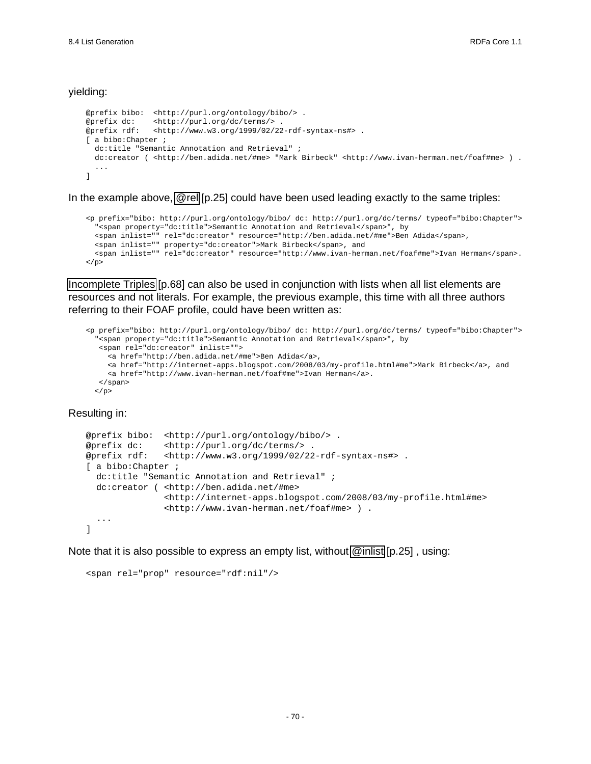#### yielding:

```
@prefix bibo: <http://purl.org/ontology/bibo/> .
@prefix dc: <http://purl.org/dc/terms/> .
@prefix rdf: <http://www.w3.org/1999/02/22-rdf-syntax-ns#> .
[ a bibo:Chapter ;
   dc:title "Semantic Annotation and Retrieval" ;
  dc:creator ( <http://ben.adida.net/#me> "Mark Birbeck" <http://www.ivan-herman.net/foaf#me> ) .
 ...
]
```
In the example above, [@rel](#page-24-7) [p.25] could have been used leading exactly to the same triples:

```
<p prefix="bibo: http://purl.org/ontology/bibo/ dc: http://purl.org/dc/terms/ typeof="bibo:Chapter">
   "<span property="dc:title">Semantic Annotation and Retrieval</span>", by
  <span inlist="" rel="dc:creator" resource="http://ben.adida.net/#me">Ben Adida</span>,
  <span inlist="" property="dc:creator">Mark Birbeck</span>, and
  <span inlist="" rel="dc:creator" resource="http://www.ivan-herman.net/foaf#me">Ivan Herman</span>.
\langle/p>
```
[Incomplete Triples](#page-67-0) [p.68] can also be used in conjunction with lists when all list elements are resources and not literals. For example, the previous example, this time with all three authors referring to their FOAF profile, could have been written as:

```
<p prefix="bibo: http://purl.org/ontology/bibo/ dc: http://purl.org/dc/terms/ typeof="bibo:Chapter">
   "<span property="dc:title">Semantic Annotation and Retrieval</span>", by
   <span rel="dc:creator" inlist="">
     <a href="http://ben.adida.net/#me">Ben Adida</a>,
     <a href="http://internet-apps.blogspot.com/2008/03/my-profile.html#me">Mark Birbeck</a>, and
     <a href="http://www.ivan-herman.net/foaf#me">Ivan Herman</a>.
   </span>
 \rm{<} /p> \rm{>}
```
#### Resulting in:

```
@prefix bibo: <http://purl.org/ontology/bibo/> .
@prefix dc: <http://purl.org/dc/terms/> .
@prefix rdf: <http://www.w3.org/1999/02/22-rdf-syntax-ns#> .
[ a bibo:Chapter ;
   dc:title "Semantic Annotation and Retrieval" ;
   dc:creator ( <http://ben.adida.net/#me>
                <http://internet-apps.blogspot.com/2008/03/my-profile.html#me>
                <http://www.ivan-herman.net/foaf#me> ) .
   ...
]
```
<span id="page-69-0"></span>Note that it is also possible to express an empty list, without [@inlist](#page-24-11) [p.25] , using:

```
<span rel="prop" resource="rdf:nil"/>
```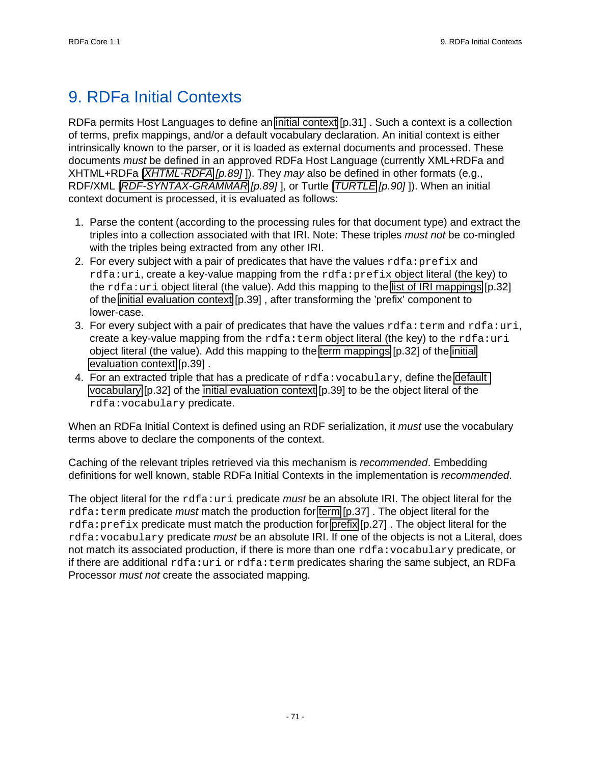# 9. RDFa Initial Contexts

RDFa permits Host Languages to define an [initial context](#page-30-0) [p.31] . Such a context is a collection of terms, prefix mappings, and/or a default vocabulary declaration. An initial context is either intrinsically known to the parser, or it is loaded as external documents and processed. These documents must be defined in an approved RDFa Host Language (currently XML+RDFa and XHTML+RDFa  $[XHTML-RDFA [p.89] ]$  $[XHTML-RDFA [p.89] ]$  $[XHTML-RDFA [p.89] ]$ . They may also be defined in other formats (e.g., RDF/XML [[RDF-SYNTAX-GRAMMAR](#page-88-2) [p.89]], or Turtle [[TURTLE](#page-89-3) [p.90]]). When an initial context document is processed, it is evaluated as follows:

- 1. Parse the content (according to the processing rules for that document type) and extract the triples into a collection associated with that IRI. Note: These triples *must not* be co-mingled with the triples being extracted from any other IRI.
- 2. For every subject with a pair of predicates that have the values  $rdfa:prefix and$ rdfa: uri, create a key-value mapping from the  $rdfa:prefix$  object literal (the key) to the  $rdfa:uri$  object literal (the value). Add this mapping to the [list of IRI mappings](#page-31-5) [p.32] of the [initial evaluation context](#page-38-0) [p.39] , after transforming the 'prefix' component to lower-case.
- 3. For every subject with a pair of predicates that have the values  $rdfa:term$  and  $rdfa:uri$ , create a key-value mapping from the  $rdfa:term$  object literal (the key) to the  $rdfa:uri$ object literal (the value). Add this mapping to the [term mappings](#page-31-6) [p.32] of the [initial](#page-38-0) [evaluation context](#page-38-0) [p.39] .
- 4. For an extracted triple that has a predicate of  $rdfa:vocabulary$ , define the default [vocabulary](#page-31-7) [p.32] of the [initial evaluation context](#page-38-0) [p.39] to be the object literal of the rdfa:vocabulary predicate.

When an RDFa Initial Context is defined using an RDF serialization, it *must* use the vocabulary terms above to declare the components of the context.

Caching of the relevant triples retrieved via this mechanism is recommended. Embedding definitions for well known, stable RDFa Initial Contexts in the implementation is recommended.

<span id="page-70-0"></span>The object literal for the  $rdfa:uri$  predicate must be an absolute IRI. The object literal for the rdfa: [term](#page-36-2) predicate *must* match the production for term  $[p.37]$ . The object literal for the rdfa:prefix predicate must match the production for [prefix](#page-26-0) [p.27] . The object literal for the  $rdfa:vocabulary$  predicate must be an absolute IRI. If one of the objects is not a Literal, does not match its associated production, if there is more than one rdfa: vocabulary predicate, or if there are additional rdfa:uri or rdfa:term predicates sharing the same subject, an RDFa Processor *must not* create the associated mapping.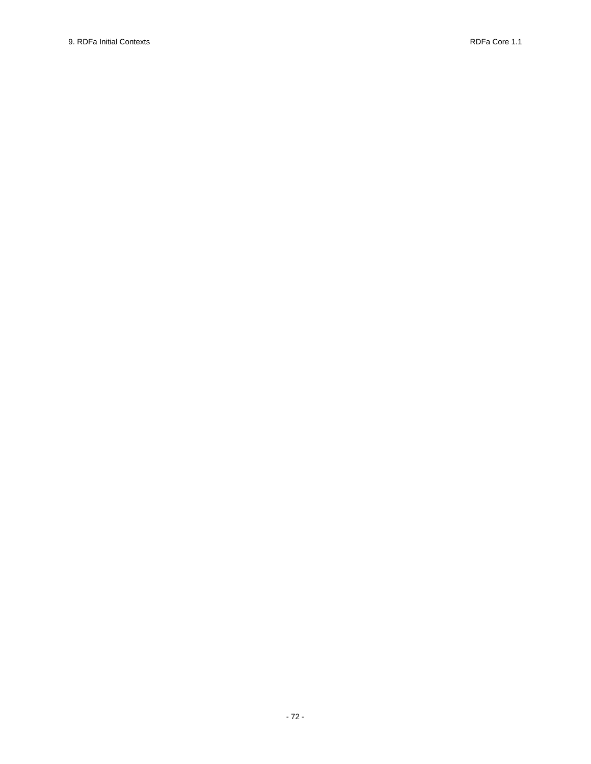9. RDFa Initial Contexts RDFa Core 1.1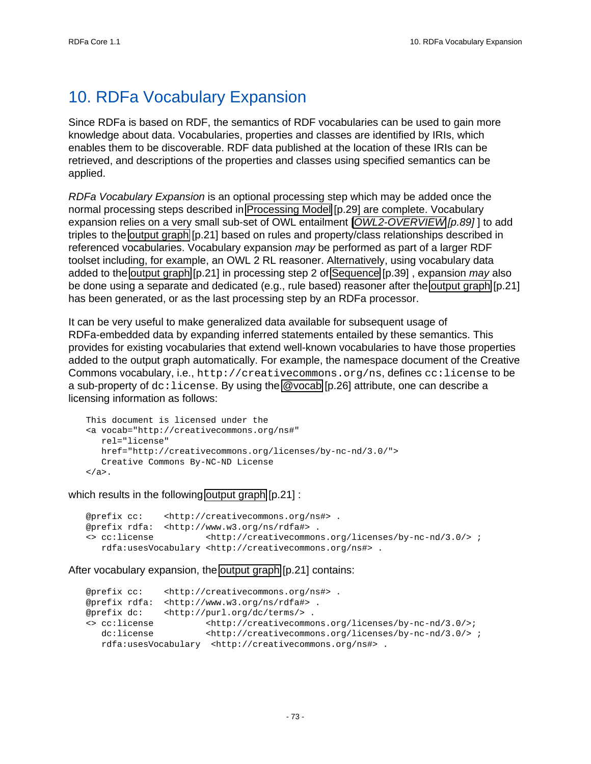# 10. RDFa Vocabulary Expansion

Since RDFa is based on RDF, the semantics of RDF vocabularies can be used to gain more knowledge about data. Vocabularies, properties and classes are identified by IRIs, which enables them to be discoverable. RDF data published at the location of these IRIs can be retrieved, and descriptions of the properties and classes using specified semantics can be applied.

RDFa Vocabulary Expansion is an optional processing step which may be added once the normal processing steps described in [Processing Model](#page-28-0) [p.29] are complete. Vocabulary expansion relies on a very small sub-set of OWL entailment [[OWL2-OVERVIEW](#page-88-0) [p.89]] to add triples to the [output graph](#page-20-0) [p.21] based on rules and property/class relationships described in referenced vocabularies. Vocabulary expansion may be performed as part of a larger RDF toolset including, for example, an OWL 2 RL reasoner. Alternatively, using vocabulary data added to the [output graph](#page-20-0) [p.21] in processing step 2 of [Sequence](#page-38-0) [p.39], expansion may also be done using a separate and dedicated (e.g., rule based) reasoner after the [output graph](#page-20-0) [p.21] has been generated, or as the last processing step by an RDFa processor.

It can be very useful to make generalized data available for subsequent usage of RDFa-embedded data by expanding inferred statements entailed by these semantics. This provides for existing vocabularies that extend well-known vocabularies to have those properties added to the output graph automatically. For example, the namespace document of the Creative Commons vocabulary, i.e., http://creativecommons.org/ns, defines cc:license to be a sub-property of  $dc:license.$  By using the [@vocab](#page-25-0) [p.26] attribute, one can describe a licensing information as follows:

```
This document is licensed under the 
<a vocab="http://creativecommons.org/ns#"
    rel="license"
    href="http://creativecommons.org/licenses/by-nc-nd/3.0/">
    Creative Commons By-NC-ND License
\langlea>.
```
which results in the following [output graph](#page-20-0) [p.21] :

```
@prefix cc: <http://creativecommons.org/ns#> .
@prefix rdfa: <http://www.w3.org/ns/rdfa#> .
<> cc:license <> <> <> <http://creativecommons.org/licenses/by-nc-nd/3.0/> ;
    rdfa:usesVocabulary <http://creativecommons.org/ns#> .
```
After vocabulary expansion, the [output graph](#page-20-0) [p.21] contains:

```
@prefix cc: <http://creativecommons.org/ns#> .
@prefix rdfa: <http://www.w3.org/ns/rdfa#> .
@prefix dc: <http://purl.org/dc/terms/> .
<> cc:license <http://creativecommons.org/licenses/by-nc-nd/3.0/>;
   dc:license <http://creativecommons.org/licenses/by-nc-nd/3.0/> ;
   rdfa:usesVocabulary <http://creativecommons.org/ns#> .
```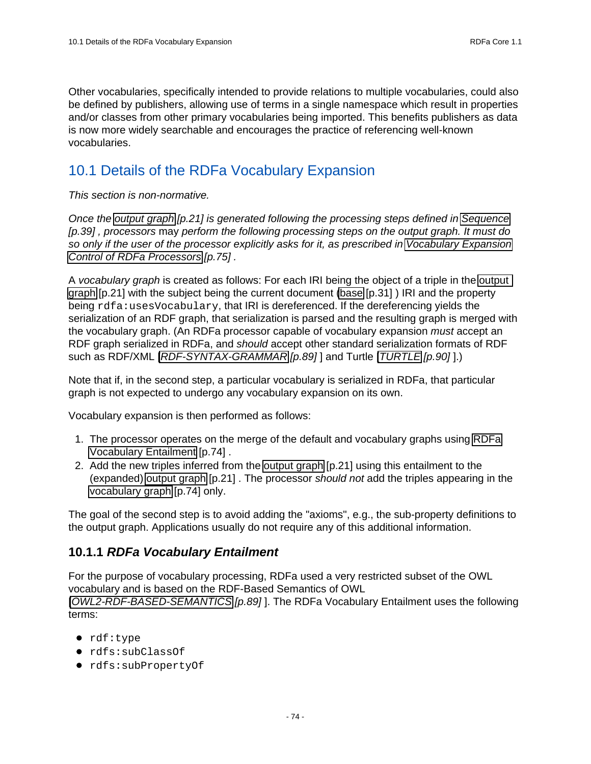Other vocabularies, specifically intended to provide relations to multiple vocabularies, could also be defined by publishers, allowing use of terms in a single namespace which result in properties and/or classes from other primary vocabularies being imported. This benefits publishers as data is now more widely searchable and encourages the practice of referencing well-known vocabularies.

### 10.1 Details of the RDFa Vocabulary Expansion

#### This section is non-normative.

Once the [output graph](#page-20-0) [p.21] is generated following the processing steps defined in [Sequence](#page-38-0)  [p.39] , processors may perform the following processing steps on the output graph. It must do so only if the user of the processor explicitly asks for it, as prescribed in [Vocabulary Expansion](#page-74-0) [Control of RDFa Processors](#page-74-0) [p.75] .

<span id="page-73-1"></span>A vocabulary graph is created as follows: For each IRI being the object of a triple in the [output](#page-20-0)  [graph](#page-20-0) [p.21] with the subject being the current document [\(base](#page-30-0) [p.31] ) IRI and the property being rdfa: usesVocabulary, that IRI is dereferenced. If the dereferencing yields the serialization of an RDF graph, that serialization is parsed and the resulting graph is merged with the vocabulary graph. (An RDFa processor capable of vocabulary expansion must accept an RDF graph serialized in RDFa, and should accept other standard serialization formats of RDF such as RDF/XML [[RDF-SYNTAX-GRAMMAR](#page-88-1) [p.89] ] and Turtle [[TURTLE](#page-89-0) [p.90] ].)

Note that if, in the second step, a particular vocabulary is serialized in RDFa, that particular graph is not expected to undergo any vocabulary expansion on its own.

Vocabulary expansion is then performed as follows:

- 1. The processor operates on the merge of the default and vocabulary graphs using [RDFa](#page-73-0) [Vocabulary Entailment](#page-73-0) [p.74] .
- 2. Add the new triples inferred from the [output graph](#page-20-0) [p.21] using this entailment to the (expanded) [output graph](#page-20-0) [p.21] . The processor should not add the triples appearing in the [vocabulary graph](#page-73-1) [p.74] only.

The goal of the second step is to avoid adding the "axioms", e.g., the sub-property definitions to the output graph. Applications usually do not require any of this additional information.

### <span id="page-73-0"></span>**10.1.1 RDFa Vocabulary Entailment**

For the purpose of vocabulary processing, RDFa used a very restricted subset of the OWL vocabulary and is based on the RDF-Based Semantics of OWL [[OWL2-RDF-BASED-SEMANTICS](#page-88-2) [p.89] ]. The RDFa Vocabulary Entailment uses the following terms:

- rdf:type
- rdfs:subClassOf
- rdfs:subPropertyOf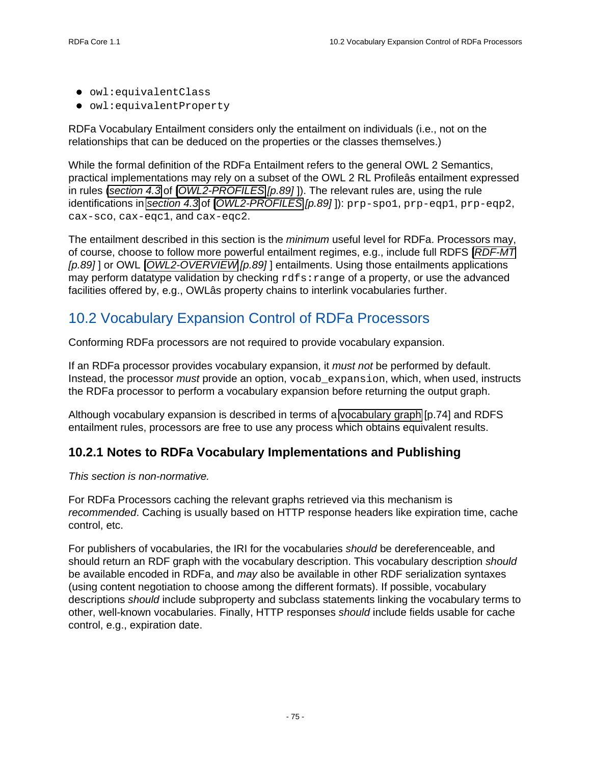- owl:equivalentClass
- owl:equivalentProperty

RDFa Vocabulary Entailment considers only the entailment on individuals (i.e., not on the relationships that can be deduced on the properties or the classes themselves.)

While the formal definition of the RDFa Entailment refers to the general OWL 2 Semantics, practical implementations may rely on a subset of the OWL 2 RL Profileâs entailment expressed in rules ([section 4.3](http://www.w3.org/TR/2009/REC-owl2-profiles-20091027/#Reasoning_in_OWL_2_RL_and_RDF_Graphs_using_Rules) of [[OWL2-PROFILES](#page-88-3) [p.89]]). The relevant rules are, using the rule identifications in [section 4.3](http://www.w3.org/TR/2009/REC-owl2-profiles-20091027/#Reasoning_in_OWL_2_RL_and_RDF_Graphs_using_Rules) of [[OWL2-PROFILES](#page-88-3) [p.89] ]): prp-spo1, prp-eqp1, prp-eqp2, cax-sco, cax-eqc1, and cax-eqc2.

The entailment described in this section is the *minimum* useful level for RDFa. Processors may, of course, choose to follow more powerful entailment regimes, e.g., include full RDFS [RDF-MT [p.89] ] or OWL [[OWL2-OVERVIEW](#page-88-0) [p.89] ] entailments. Using those entailments applications may perform datatype validation by checking rdfs:range of a property, or use the advanced facilities offered by, e.g., OWLâs property chains to interlink vocabularies further.

## <span id="page-74-0"></span>10.2 Vocabulary Expansion Control of RDFa Processors

Conforming RDFa processors are not required to provide vocabulary expansion.

If an RDFa processor provides vocabulary expansion, it *must not* be performed by default. Instead, the processor *must* provide an option, vocab\_expansion, which, when used, instructs the RDFa processor to perform a vocabulary expansion before returning the output graph.

Although vocabulary expansion is described in terms of a [vocabulary graph](#page-73-1) [p.74] and RDFS entailment rules, processors are free to use any process which obtains equivalent results.

### **10.2.1 Notes to RDFa Vocabulary Implementations and Publishing**

This section is non-normative.

For RDFa Processors caching the relevant graphs retrieved via this mechanism is recommended. Caching is usually based on HTTP response headers like expiration time, cache control, etc.

For publishers of vocabularies, the IRI for the vocabularies should be dereferenceable, and should return an RDF graph with the vocabulary description. This vocabulary description should be available encoded in RDFa, and may also be available in other RDF serialization syntaxes (using content negotiation to choose among the different formats). If possible, vocabulary descriptions should include subproperty and subclass statements linking the vocabulary terms to other, well-known vocabularies. Finally, HTTP responses should include fields usable for cache control, e.g., expiration date.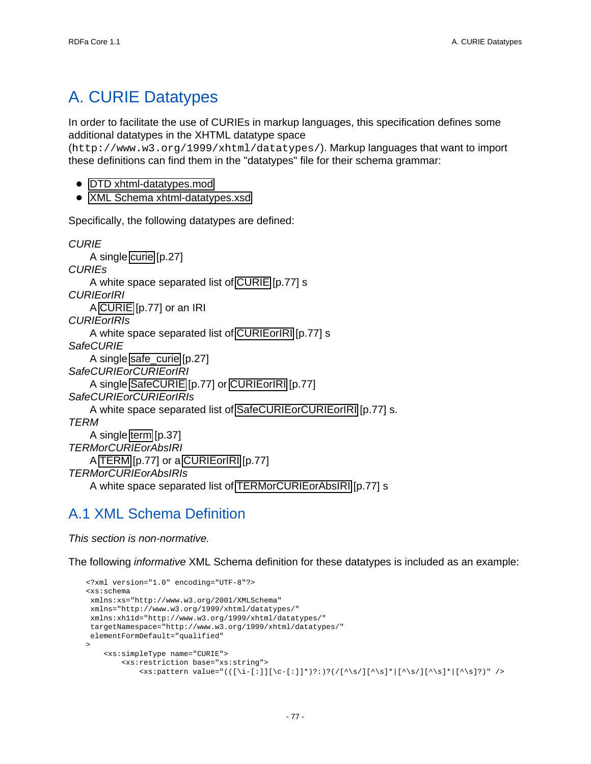## A. CURIE Datatypes

In order to facilitate the use of CURIEs in markup languages, this specification defines some additional datatypes in the XHTML datatype space

(http://www.w3.org/1999/xhtml/datatypes/). Markup languages that want to import these definitions can find them in the "datatypes" file for their schema grammar:

- DTD xhtml-datatypes.mod
- XML Schema xhtml-datatypes.xsd

Specifically, the following datatypes are defined:

```
CURIE
    A single curie [p.27] 
CURIEs
    A white space separated list of CURIE [p.77] s 
CURIEorIRI
    A CURIE [p.77] or an IRI 
CURIEorIRI<sub>s</sub>
    A white space separated list of CURIEorIRI [p.77] s 
SafeCURIE
    A single safe_curie [p.27] 
SafeCURIEorCURIEorIRI
    A single SafeCURIE [p.77] or CURIEorIRI [p.77] 
SafeCURIEorCURIEorIRIs
    A white space separated list of SafeCURIEorCURIEorIRI [p.77] s. 
TERM
    A single term [p.37] 
TERMorCURIEorAbsIRI
    A TERM [p.77] or a CURIEorIRI [p.77] 
TERMorCURIEorAbsIRIs
    A white space separated list of TERMorCURIEorAbsIRI [p.77] s
```
### <span id="page-76-5"></span><span id="page-76-4"></span>A.1 XML Schema Definition

This section is non-normative.

The following *informative* XML Schema definition for these datatypes is included as an example:

```
<?xml version="1.0" encoding="UTF-8"?>
<xs:schema
 xmlns:xs="http://www.w3.org/2001/XMLSchema"
 xmlns="http://www.w3.org/1999/xhtml/datatypes/"
 xmlns:xh11d="http://www.w3.org/1999/xhtml/datatypes/"
  targetNamespace="http://www.w3.org/1999/xhtml/datatypes/"
 elementFormDefault="qualified"
>
     <xs:simpleType name="CURIE">
         <xs:restriction base="xs:string">
             <xs:pattern value="(([\i-[:]][\c-[:]]*)?:)?(/[^\s/][^\s]*|[^\s/][^\s]*|[^\s]?)" />
```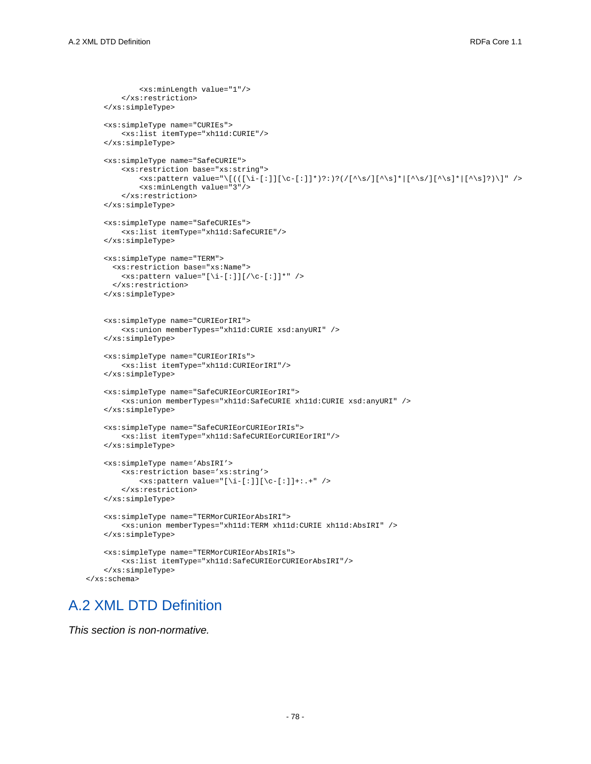```
 <xs:minLength value="1"/>
         </xs:restriction>
     </xs:simpleType> 
     <xs:simpleType name="CURIEs">
         <xs:list itemType="xh11d:CURIE"/>
     </xs:simpleType>
     <xs:simpleType name="SafeCURIE">
         <xs:restriction base="xs:string">
             <xs:pattern value="\[(([\i-[:]][\c-[:]]*)?:)?(/[^\s/][^\s]*|[^\s/][^\s]*|[^\s]?)\]" />
             <xs:minLength value="3"/>
         </xs:restriction>
     </xs:simpleType>
     <xs:simpleType name="SafeCURIEs">
         <xs:list itemType="xh11d:SafeCURIE"/>
     </xs:simpleType>
     <xs:simpleType name="TERM">
      <xs:restriction base="xs:Name">
        \langle xs : pattern value = "[\iota : ] | // c - [:]] * " ? \rangle </xs:restriction>
     </xs:simpleType>
     <xs:simpleType name="CURIEorIRI">
         <xs:union memberTypes="xh11d:CURIE xsd:anyURI" />
     </xs:simpleType>
     <xs:simpleType name="CURIEorIRIs">
         <xs:list itemType="xh11d:CURIEorIRI"/>
     </xs:simpleType>
     <xs:simpleType name="SafeCURIEorCURIEorIRI">
         <xs:union memberTypes="xh11d:SafeCURIE xh11d:CURIE xsd:anyURI" />
     </xs:simpleType>
     <xs:simpleType name="SafeCURIEorCURIEorIRIs">
         <xs:list itemType="xh11d:SafeCURIEorCURIEorIRI"/>
     </xs:simpleType>
     <xs:simpleType name='AbsIRI'>
         <xs:restriction base='xs:string'>
            \langle xs : pattern value = "[\iota_{i-1}][\c_{i-1}] + : +" />
         </xs:restriction>
     </xs:simpleType>
     <xs:simpleType name="TERMorCURIEorAbsIRI">
         <xs:union memberTypes="xh11d:TERM xh11d:CURIE xh11d:AbsIRI" />
     </xs:simpleType>
     <xs:simpleType name="TERMorCURIEorAbsIRIs">
         <xs:list itemType="xh11d:SafeCURIEorCURIEorAbsIRI"/>
     </xs:simpleType>
</xs:schema>
```
## A.2 XML DTD Definition

This section is non-normative.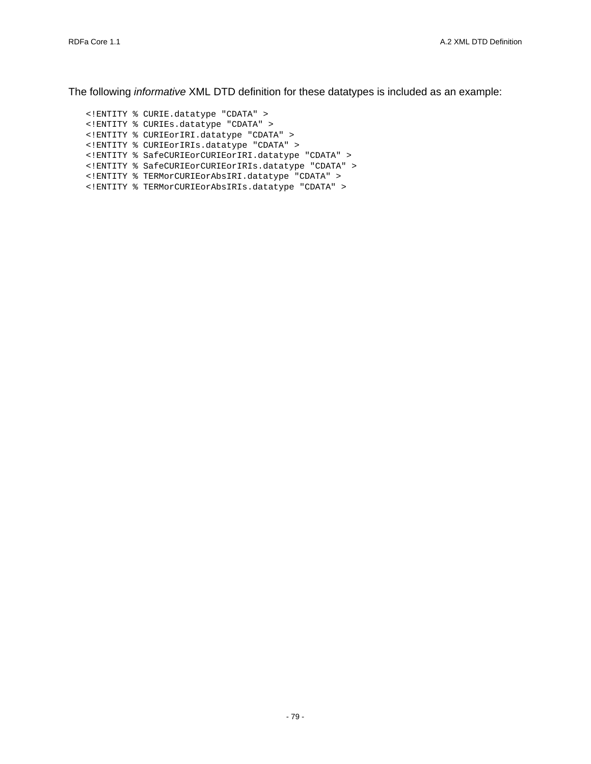The following informative XML DTD definition for these datatypes is included as an example:

```
<!ENTITY % CURIE.datatype "CDATA" >
<!ENTITY % CURIEs.datatype "CDATA" >
<!ENTITY % CURIEorIRI.datatype "CDATA" >
<!ENTITY % CURIEorIRIs.datatype "CDATA" >
<!ENTITY % SafeCURIEorCURIEorIRI.datatype "CDATA" >
<!ENTITY % SafeCURIEorCURIEorIRIs.datatype "CDATA" >
<!ENTITY % TERMorCURIEorAbsIRI.datatype "CDATA" >
<!ENTITY % TERMorCURIEorAbsIRIs.datatype "CDATA" >
```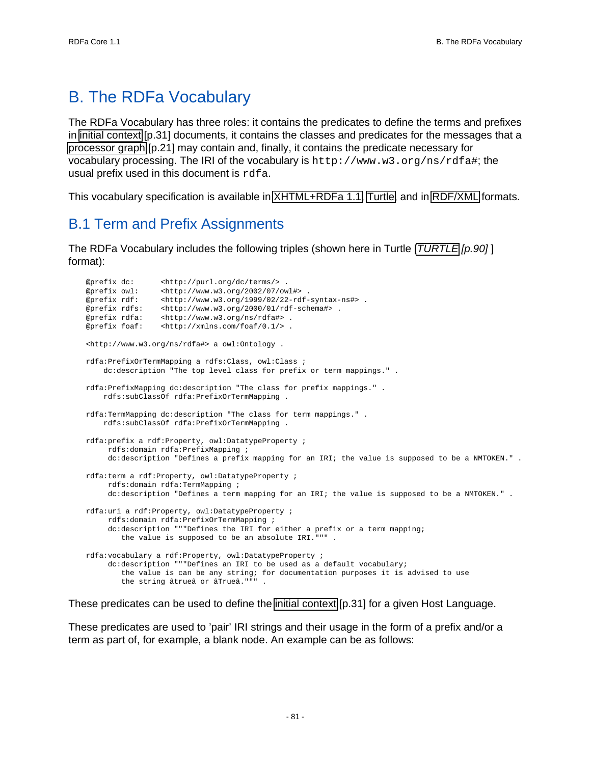## B. The RDFa Vocabulary

The RDFa Vocabulary has three roles: it contains the predicates to define the terms and prefixes in [initial context](#page-30-1) [p.31] documents, it contains the classes and predicates for the messages that a [processor graph](#page-20-1) [p.21] may contain and, finally, it contains the predicate necessary for vocabulary processing. The IRI of the vocabulary is http://www.w3.org/ns/rdfa#; the usual prefix used in this document is rdfa.

This vocabulary specification is available in [XHTML+RDFa 1.1,](http://www.w3.org/ns/rdfa.html) [Turtle,](http://www.w3.org/ns/rdfa.ttl) and in [RDF/XML](http://www.w3.org/ns/rdfa.rdf) formats.

## B.1 Term and Prefix Assignments

The RDFa Vocabulary includes the following triples (shown here in Turtle [[TURTLE](#page-89-0) [p.90]] format):

```
@prefix dc: <http://purl.org/dc/terms/> .
@prefix owl: <http://www.w3.org/2002/07/owl#> .
@prefix rdf: <http://www.w3.org/1999/02/22-rdf-syntax-ns#> .
@prefix rdfs: <http://www.w3.org/2000/01/rdf-schema#> .
@prefix rdfa: <http://www.w3.org/ns/rdfa#> .
@prefix foaf: <http://xmlns.com/foaf/0.1/> .
<http://www.w3.org/ns/rdfa#> a owl:Ontology .
rdfa:PrefixOrTermMapping a rdfs:Class, owl:Class ;
    dc:description "The top level class for prefix or term mappings." .
rdfa:PrefixMapping dc:description "The class for prefix mappings." .
     rdfs:subClassOf rdfa:PrefixOrTermMapping .
rdfa:TermMapping dc:description "The class for term mappings." .
    rdfs:subClassOf rdfa:PrefixOrTermMapping .
rdfa:prefix a rdf:Property, owl:DatatypeProperty ;
     rdfs:domain rdfa:PrefixMapping ;
      dc:description "Defines a prefix mapping for an IRI; the value is supposed to be a NMTOKEN." . 
rdfa:term a rdf:Property, owl:DatatypeProperty ;
     rdfs:domain rdfa:TermMapping ;
      dc:description "Defines a term mapping for an IRI; the value is supposed to be a NMTOKEN." . 
rdfa:uri a rdf:Property, owl:DatatypeProperty ;
      rdfs:domain rdfa:PrefixOrTermMapping ;
     dc:description """Defines the IRI for either a prefix or a term mapping;
         the value is supposed to be an absolute IRI.""" . 
rdfa:vocabulary a rdf:Property, owl:DatatypeProperty ;
      dc:description """Defines an IRI to be used as a default vocabulary;
         the value is can be any string; for documentation purposes it is advised to use
         the string âtrueâ or âTrueâ.""" .
```
These predicates can be used to define the [initial context](#page-30-1) [p.31] for a given Host Language.

These predicates are used to 'pair' IRI strings and their usage in the form of a prefix and/or a term as part of, for example, a blank node. An example can be as follows: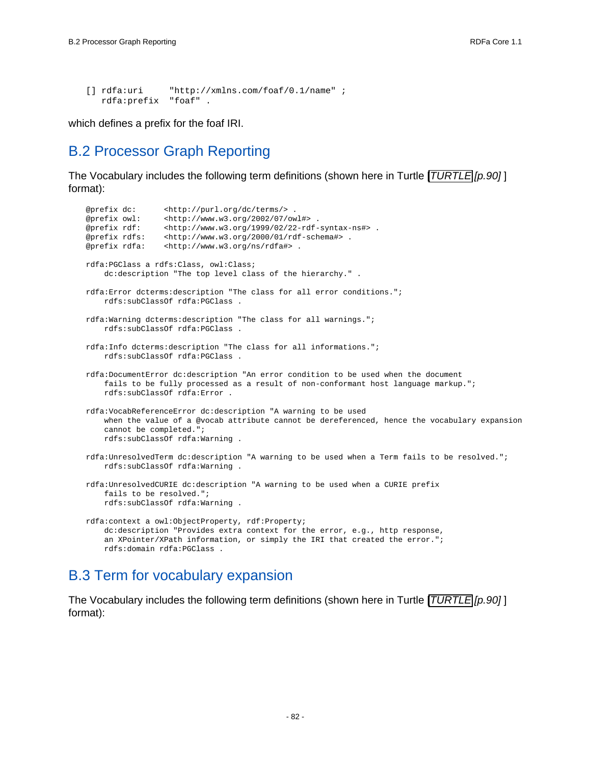```
[] rdfa:uri "http://xmlns.com/foaf/0.1/name" ;
   rdfa:prefix "foaf" .
```
which defines a prefix for the foaf IRI.

### B.2 Processor Graph Reporting

The Vocabulary includes the following term definitions (shown here in Turtle [[TURTLE](#page-89-0) [p.90]] format):

```
@prefix dc: <http://purl.org/dc/terms/> .
@prefix owl: <http://www.w3.org/2002/07/owl#> .
               @prefix rdf: <http://www.w3.org/1999/02/22-rdf-syntax-ns#> .
@prefix rdfs: <http://www.w3.org/2000/01/rdf-schema#> .
@prefix rdfa: <http://www.w3.org/ns/rdfa#> .
rdfa:PGClass a rdfs:Class, owl:Class;
     dc:description "The top level class of the hierarchy." .
rdfa:Error dcterms:description "The class for all error conditions.";
     rdfs:subClassOf rdfa:PGClass .
rdfa:Warning dcterms:description "The class for all warnings.";
     rdfs:subClassOf rdfa:PGClass .
rdfa:Info dcterms:description "The class for all informations.";
     rdfs:subClassOf rdfa:PGClass .
rdfa:DocumentError dc:description "An error condition to be used when the document
     fails to be fully processed as a result of non-conformant host language markup.";
     rdfs:subClassOf rdfa:Error .
rdfa:VocabReferenceError dc:description "A warning to be used
     when the value of a @vocab attribute cannot be dereferenced, hence the vocabulary expansion
     cannot be completed.";
     rdfs:subClassOf rdfa:Warning .
rdfa:UnresolvedTerm dc:description "A warning to be used when a Term fails to be resolved.";
    rdfs:subClassOf rdfa:Warning .
rdfa:UnresolvedCURIE dc:description "A warning to be used when a CURIE prefix
     fails to be resolved.";
     rdfs:subClassOf rdfa:Warning .
rdfa:context a owl:ObjectProperty, rdf:Property;
     dc:description "Provides extra context for the error, e.g., http response,
     an XPointer/XPath information, or simply the IRI that created the error.";
     rdfs:domain rdfa:PGClass .
```
### B.3 Term for vocabulary expansion

The Vocabulary includes the following term definitions (shown here in Turtle [[TURTLE](#page-89-0) [p.90]] format):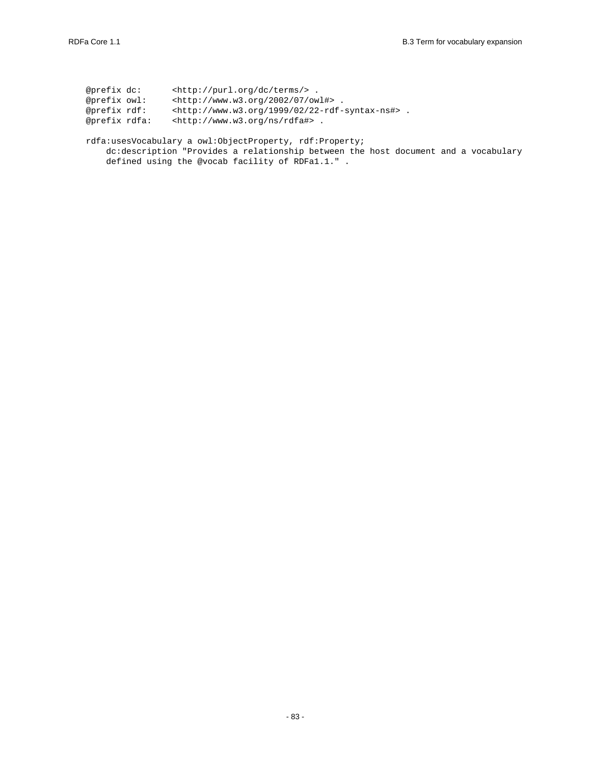@prefix dc: <http://purl.org/dc/terms/> .  $<$ http://www.w3.org/2002/07/owl#> . @prefix rdf: <http://www.w3.org/1999/02/22-rdf-syntax-ns#> . @prefix rdfa: <http://www.w3.org/ns/rdfa#> . rdfa:usesVocabulary a owl:ObjectProperty, rdf:Property; dc:description "Provides a relationship between the host document and a vocabulary defined using the @vocab facility of RDFa1.1." .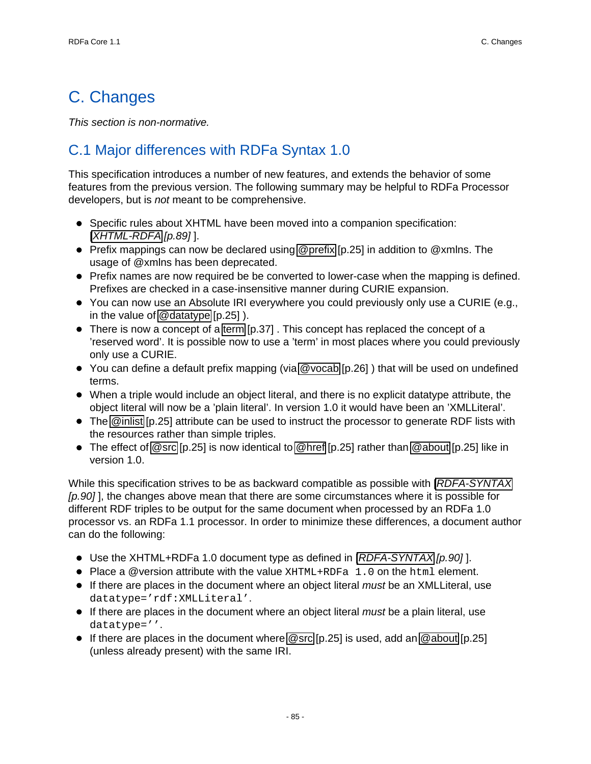# C. Changes

This section is non-normative.

## C.1 Major differences with RDFa Syntax 1.0

This specification introduces a number of new features, and extends the behavior of some features from the previous version. The following summary may be helpful to RDFa Processor developers, but is *not* meant to be comprehensive.

- Specific rules about XHTML have been moved into a companion specification:  $[XHTML-RDFA [p.89]$  $[XHTML-RDFA [p.89]$  $[XHTML-RDFA [p.89]$ ].
- Prefix mappings can now be declared using [@prefix](#page-24-0) [p.25] in addition to @xmlns. The usage of @xmlns has been deprecated.
- Prefix names are now required be be converted to lower-case when the mapping is defined. Prefixes are checked in a case-insensitive manner during CURIE expansion.
- You can now use an Absolute IRI everywhere you could previously only use a CURIE (e.g., in the value of [@datatype](#page-24-1) [p.25] ).
- There is now a concept of a [term](#page-36-1) [p.37] . This concept has replaced the concept of a 'reserved word'. It is possible now to use a 'term' in most places where you could previously only use a CURIE.
- You can define a default prefix mapping (via [@vocab](#page-25-0) [p.26] ) that will be used on undefined terms.
- When a triple would include an object literal, and there is no explicit datatype attribute, the object literal will now be a 'plain literal'. In version 1.0 it would have been an 'XMLLiteral'.
- The [@inlist](#page-24-2) [p.25] attribute can be used to instruct the processor to generate RDF lists with the resources rather than simple triples.
- $\bullet$  The effect of [@src](#page-24-3) [p.25] is now identical to [@href](#page-24-4) [p.25] rather than [@about](#page-24-5) [p.25] like in version 1.0.

While this specification strives to be as backward compatible as possible with [RDFA-SYNTAX] [p.90] ], the changes above mean that there are some circumstances where it is possible for different RDF triples to be output for the same document when processed by an RDFa 1.0 processor vs. an RDFa 1.1 processor. In order to minimize these differences, a document author can do the following:

- Use the XHTML+RDFa 1.0 document type as defined in [[RDFA-SYNTAX](#page-89-1) [p.90]].
- $\bullet$  Place a @version attribute with the value  $XHTML+RDFa 1.0$  on the html element.
- $\bullet$  If there are places in the document where an object literal *must* be an XMLLiteral, use datatype='rdf:XMLLiteral'.
- $\bullet$  If there are places in the document where an object literal *must* be a plain literal, use datatype=''.
- If there are places in the document where  $@$ src [p.25] is used, add an  $@$  about [p.25] (unless already present) with the same IRI.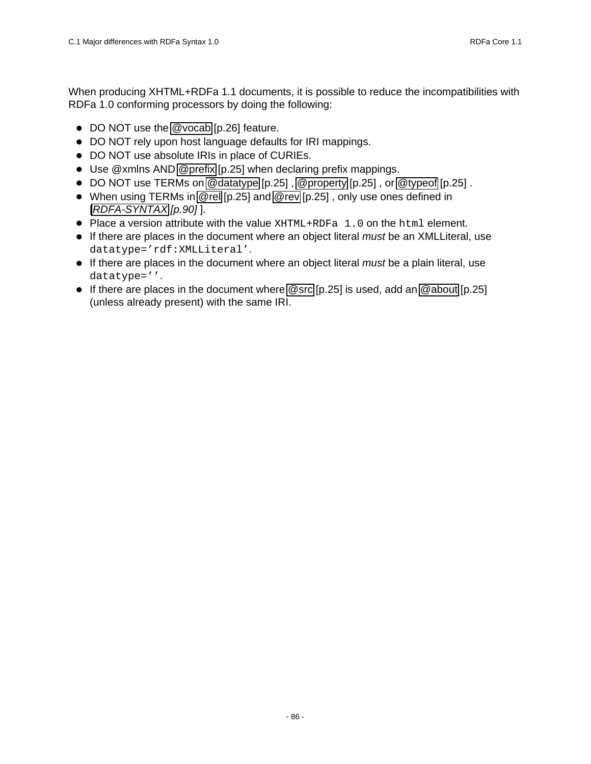When producing XHTML+RDFa 1.1 documents, it is possible to reduce the incompatibilities with RDFa 1.0 conforming processors by doing the following:

- DO NOT use the [@vocab](#page-25-0) [p.26] feature.
- DO NOT rely upon host language defaults for IRI mappings.
- DO NOT use absolute IRIs in place of CURIEs.
- Use @xmlns AND [@prefix](#page-24-0) [p.25] when declaring prefix mappings.
- DO NOT use TERMs on [@datatype](#page-24-1) [p.25], [@property](#page-24-6) [p.25], or [@typeof](#page-24-7) [p.25].
- When using TERMs in [@rel](#page-24-8) [p.25] and [@rev](#page-24-9) [p.25] , only use ones defined in [[RDFA-SYNTAX](#page-89-1) [p.90] ].
- $\bullet$  Place a version attribute with the value  $XHTML+RDFa 1.0$  on the html element.
- $\bullet$  If there are places in the document where an object literal *must* be an XMLLiteral, use datatype='rdf:XMLLiteral'.
- $\bullet$  If there are places in the document where an object literal *must* be a plain literal, use datatype=''.
- If there are places in the document where  $@$ src [p.25] is used, add an  $@$  about [p.25] (unless already present) with the same IRI.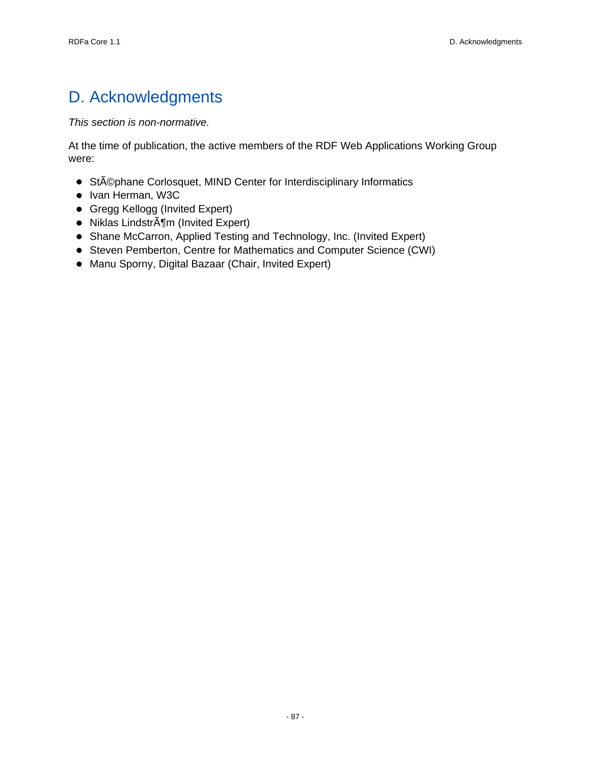## D. Acknowledgments

This section is non-normative.

At the time of publication, the active members of the RDF Web Applications Working Group were:

- Stéphane Corlosquet, MIND Center for Interdisciplinary Informatics
- Ivan Herman, W3C
- Gregg Kellogg (Invited Expert)
- $\bullet$  Niklas Lindstr $\tilde{A}$ ¶m (Invited Expert)
- Shane McCarron, Applied Testing and Technology, Inc. (Invited Expert)
- Steven Pemberton, Centre for Mathematics and Computer Science (CWI)
- Manu Sporny, Digital Bazaar (Chair, Invited Expert)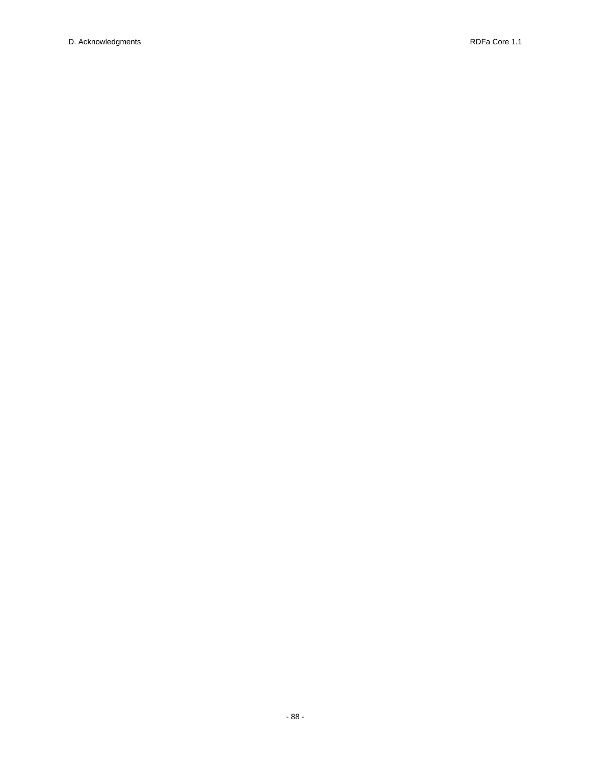D. Acknowledgments RDFa Core 1.1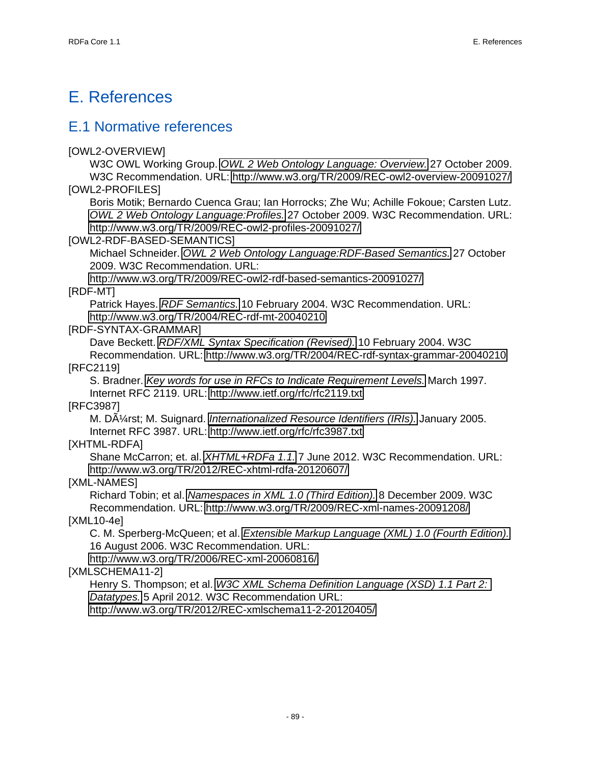## E. References

### E.1 Normative references

#### <span id="page-88-0"></span>[OWL2-OVERVIEW]

W3C OWL Working Group. [OWL 2 Web Ontology Language: Overview.](http://www.w3.org/TR/2009/REC-owl2-overview-20091027/) 27 October 2009. W3C Recommendation. URL:<http://www.w3.org/TR/2009/REC-owl2-overview-20091027/>

### <span id="page-88-3"></span>[OWL2-PROFILES]

Boris Motik; Bernardo Cuenca Grau; Ian Horrocks; Zhe Wu; Achille Fokoue; Carsten Lutz. [OWL 2 Web Ontology Language:Profiles.](http://www.w3.org/TR/2009/REC-owl2-profiles-20091027/) 27 October 2009. W3C Recommendation. URL: <http://www.w3.org/TR/2009/REC-owl2-profiles-20091027/>

#### <span id="page-88-2"></span>[OWL2-RDF-BASED-SEMANTICS]

Michael Schneider. [OWL 2 Web Ontology Language:RDF-Based Semantics.](http://www.w3.org/TR/2009/REC-owl2-rdf-based-semantics-20091027/) 27 October 2009. W3C Recommendation. URL:

<http://www.w3.org/TR/2009/REC-owl2-rdf-based-semantics-20091027/>

### <span id="page-88-4"></span>[RDF-MT]

Patrick Hayes. [RDF Semantics.](http://www.w3.org/TR/2004/REC-rdf-mt-20040210) 10 February 2004. W3C Recommendation. URL: <http://www.w3.org/TR/2004/REC-rdf-mt-20040210>

### <span id="page-88-1"></span>[RDF-SYNTAX-GRAMMAR]

Dave Beckett. [RDF/XML Syntax Specification \(Revised\).](http://www.w3.org/TR/2004/REC-rdf-syntax-grammar-20040210) 10 February 2004. W3C Recommendation. URL:<http://www.w3.org/TR/2004/REC-rdf-syntax-grammar-20040210> [RFC2119]

S. Bradner. [Key words for use in RFCs to Indicate Requirement Levels.](http://www.ietf.org/rfc/rfc2119.txt) March 1997. Internet RFC 2119. URL:<http://www.ietf.org/rfc/rfc2119.txt>

### [RFC3987]

M. DÄ1/st; M. Suignard. [Internationalized Resource Identifiers \(IRIs\).](http://www.ietf.org/rfc/rfc3987.txt) January 2005. Internet RFC 3987. URL:<http://www.ietf.org/rfc/rfc3987.txt>

### <span id="page-88-5"></span>[XHTML-RDFA]

Shane McCarron; et. al. [XHTML+RDFa 1.1.](http://www.w3.org/TR/2012/REC-xhtml-rdfa-20120607/) 7 June 2012. W3C Recommendation. URL: <http://www.w3.org/TR/2012/REC-xhtml-rdfa-20120607/>

### [XML-NAMES]

Richard Tobin; et al. [Namespaces in XML 1.0 \(Third Edition\).](http://www.w3.org/TR/2009/REC-xml-names-20091208/) 8 December 2009. W3C Recommendation. URL:<http://www.w3.org/TR/2009/REC-xml-names-20091208/>

### [XML10-4e]

C. M. Sperberg-McQueen; et al. [Extensible Markup Language \(XML\) 1.0 \(Fourth Edition\).](http://www.w3.org/TR/2006/REC-xml-20060816/) 16 August 2006. W3C Recommendation. URL:

<http://www.w3.org/TR/2006/REC-xml-20060816/>

### [XMLSCHEMA11-2]

Henry S. Thompson; et al. W3C XML Schema Definition Language (XSD) 1.1 Part 2: [Datatypes.](http://www.w3.org/TR/2012/REC-xmlschema11-2-20120405/) 5 April 2012. W3C Recommendation URL: <http://www.w3.org/TR/2012/REC-xmlschema11-2-20120405/>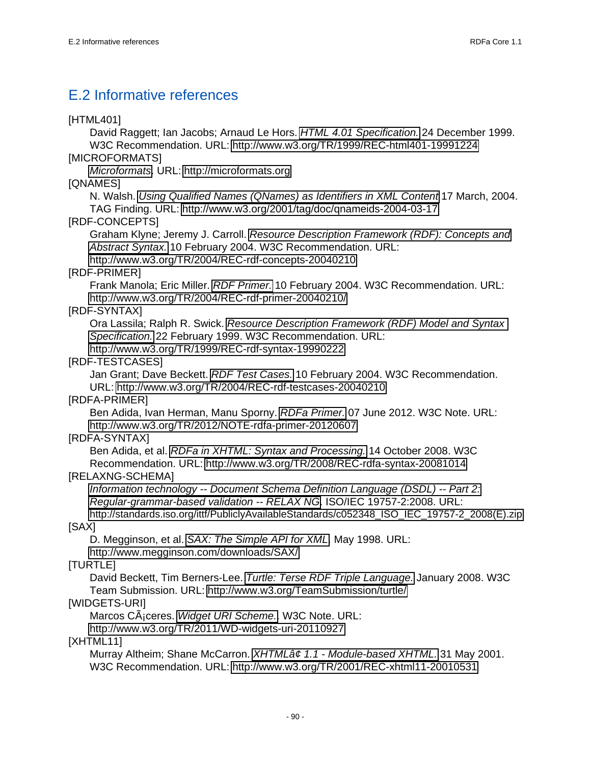### E.2 Informative references

#### <span id="page-89-1"></span><span id="page-89-0"></span>[HTML401] David Raggett; Ian Jacobs; Arnaud Le Hors. [HTML 4.01 Specification.](http://www.w3.org/TR/1999/REC-html401-19991224) 24 December 1999. W3C Recommendation. URL:<http://www.w3.org/TR/1999/REC-html401-19991224> [MICROFORMATS] [Microformats](http://microformats.org/). URL: [http://microformats.org](http://microformats.org/)  [QNAMES] N. Walsh. [Using Qualified Names \(QNames\) as Identifiers in XML Content](http://www.w3.org/2001/tag/doc/qnameids-2004-03-17) 17 March, 2004. TAG Finding. URL:<http://www.w3.org/2001/tag/doc/qnameids-2004-03-17> [RDF-CONCEPTS] Graham Klyne; Jeremy J. Carroll. [Resource Description Framework \(RDF\): Concepts and](http://www.w3.org/TR/2004/REC-rdf-concepts-20040210) [Abstract Syntax.](http://www.w3.org/TR/2004/REC-rdf-concepts-20040210) 10 February 2004. W3C Recommendation. URL: <http://www.w3.org/TR/2004/REC-rdf-concepts-20040210> [RDF-PRIMER] Frank Manola; Eric Miller. [RDF Primer.](http://www.w3.org/TR/2004/REC-rdf-primer-20040210/) 10 February 2004. W3C Recommendation. URL: <http://www.w3.org/TR/2004/REC-rdf-primer-20040210/> [RDF-SYNTAX] Ora Lassila; Ralph R. Swick. [Resource Description Framework \(RDF\) Model and Syntax](http://www.w3.org/TR/1999/REC-rdf-syntax-19990222)  [Specification.](http://www.w3.org/TR/1999/REC-rdf-syntax-19990222) 22 February 1999. W3C Recommendation. URL: <http://www.w3.org/TR/1999/REC-rdf-syntax-19990222> [RDF-TESTCASES] Jan Grant; Dave Beckett. [RDF Test Cases.](http://www.w3.org/TR/2004/REC-rdf-testcases-20040210) 10 February 2004. W3C Recommendation. URL:<http://www.w3.org/TR/2004/REC-rdf-testcases-20040210> [RDFA-PRIMER] Ben Adida, Ivan Herman, Manu Sporny. [RDFa Primer.](http://www.w3.org/TR/2012/NOTE-rdfa-primer-20120607) 07 June 2012. W3C Note. URL: <http://www.w3.org/TR/2012/NOTE-rdfa-primer-20120607> [RDFA-SYNTAX] Ben Adida, et al. [RDFa in XHTML: Syntax and Processing.](http://www.w3.org/TR/2008/REC-rdfa-syntax-20081014) 14 October 2008. W3C Recommendation. URL:<http://www.w3.org/TR/2008/REC-rdfa-syntax-20081014> [RELAXNG-SCHEMA] [Information technology -- Document Schema Definition Language \(DSDL\) -- Part 2:](http://standards.iso.org/ittf/PubliclyAvailableStandards/c052348_ISO_IEC_19757-2_2008(E).zip) [Regular-grammar-based validation -- RELAX NG](http://standards.iso.org/ittf/PubliclyAvailableStandards/c052348_ISO_IEC_19757-2_2008(E).zip). ISO/IEC 19757-2:2008. URL: [http://standards.iso.org/ittf/PubliclyAvailableStandards/c052348\\_ISO\\_IEC\\_19757-2\\_2008\(E\).zip](http://standards.iso.org/ittf/PubliclyAvailableStandards/c052348_ISO_IEC_19757-2_2008(E).zip) **ISAXI** D. Megginson, et al. [SAX: The Simple API for XML](http://www.megginson.com/downloads/SAX/). May 1998. URL: <http://www.megginson.com/downloads/SAX/> [TURTLE] David Beckett, Tim Berners-Lee. [Turtle: Terse RDF Triple Language.](http://www.w3.org/TeamSubmission/turtle/) January 2008. W3C Team Submission. URL:<http://www.w3.org/TeamSubmission/turtle/> [WIDGETS-URI] Marcos CÂ<sub>i</sub>ceres. [Widget URI Scheme.](http://www.w3.org/TR/2011/WD-widgets-uri-20110927). W3C Note. URL: <http://www.w3.org/TR/2011/WD-widgets-uri-20110927> [XHTML11] Murray Altheim; Shane McCarron. XHTML a 1.1 - Module-based XHTML. 31 May 2001. W3C Recommendation. URL:<http://www.w3.org/TR/2001/REC-xhtml11-20010531>